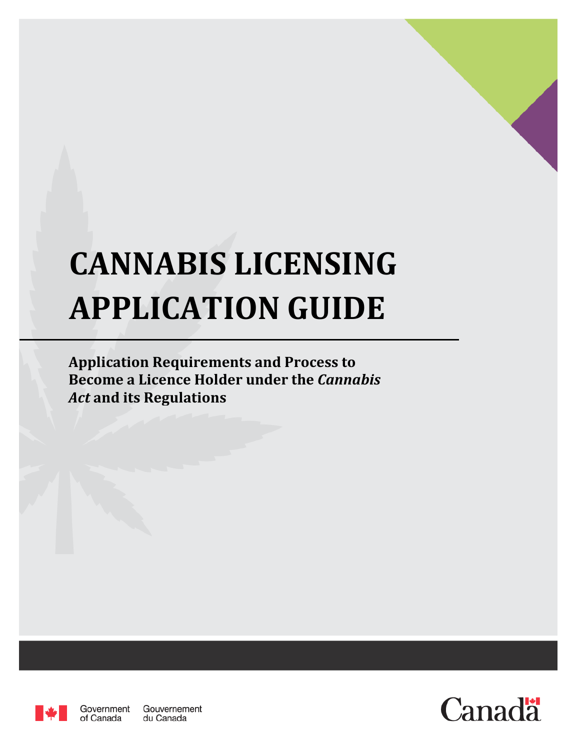# **CANNABIS LICENSING APPLICATION GUIDE**

**Application Requirements and Process to Become a Licence Holder under the** *Cannabis Act* **and its Regulations**



Government Gouvernement of Canada du Canada

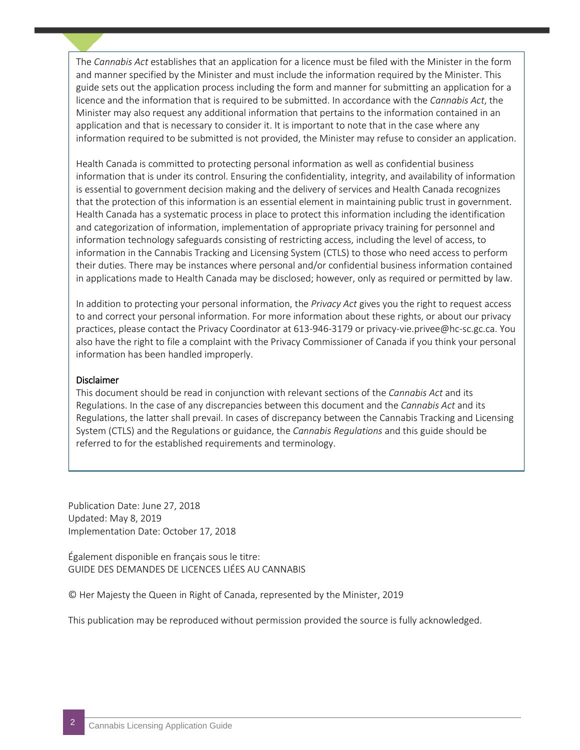The *Cannabis Act* establishes that an application for a licence must be filed with the Minister in the form and manner specified by the Minister and must include the information required by the Minister. This guide sets out the application process including the form and manner for submitting an application for a licence and the information that is required to be submitted. In accordance with the *Cannabis Act*, the Minister may also request any additional information that pertains to the information contained in an application and that is necessary to consider it. It is important to note that in the case where any information required to be submitted is not provided, the Minister may refuse to consider an application.

For essential to government decision making and the delivery of services and riealth candidate eoginees<br>that the protection of this information is an essential element in maintaining public trust in government. Health Canada is committed to protecting personal information as well as confidential business information that is under its control. Ensuring the confidentiality, integrity, and availability of information is essential to government decision making and the delivery of services and Health Canada recognizes Health Canada has a systematic process in place to protect this information including the identification and categorization of information, implementation of appropriate privacy training for personnel and information technology safeguards consisting of restricting access, including the level of access, to information in the Cannabis Tracking and Licensing System (CTLS) to those who need access to perform their duties. There may be instances where personal and/or confidential business information contained in applications made to Health Canada may be disclosed; however, only as required or permitted by law.

In addition to protecting your personal information, the *Privacy Act* gives you the right to request access to and correct your personal information. For more information about these rights, or about our privacy practices, please contact the Privacy Coordinator at 613-946-3179 or privacy-vie.privee@hc-sc.gc.ca. You also have the right to file a complaint with the Privacy Commissioner of Canada if you think your personal information has been handled improperly.

#### Disclaimer

This document should be read in conjunction with relevant sections of the *Cannabis Act* and its Regulations. In the case of any discrepancies between this document and the *Cannabis Act* and its Regulations, the latter shall prevail. In cases of discrepancy between the Cannabis Tracking and Licensing System (CTLS) and the Regulations or guidance, the *Cannabis Regulations* and this guide should be referred to for the established requirements and terminology.

Publication Date: June 27, 2018 Updated: May 8, 2019 Implementation Date: October 17, 2018

Également disponible en français sous le titre: GUIDE DES DEMANDES DE LICENCES LIÉES AU CANNABIS

© Her Majesty the Queen in Right of Canada, represented by the Minister, 2019

This publication may be reproduced without permission provided the source is fully acknowledged.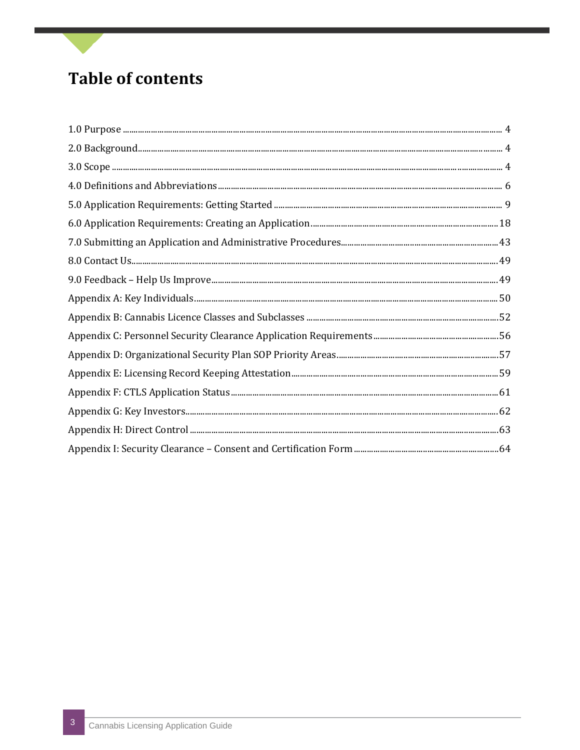### **Table of contents**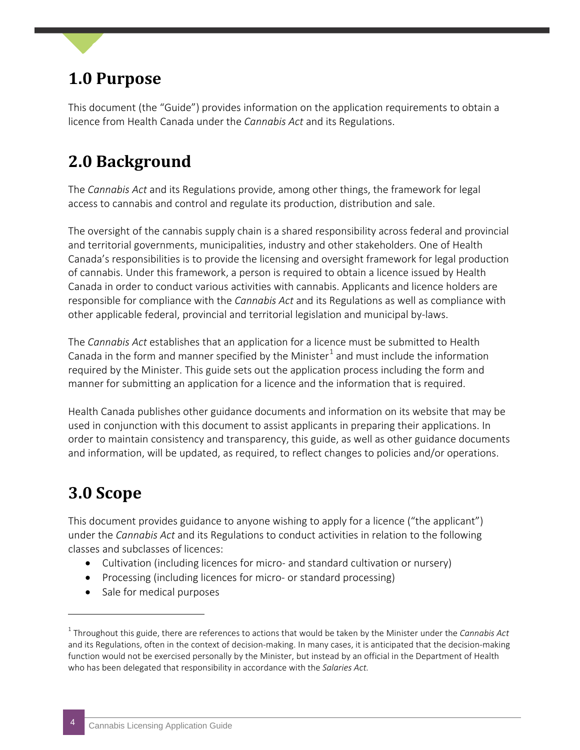### <span id="page-3-0"></span>**1.0 Purpose**

This document (the "Guide") provides information on the application requirements to obtain a licence from Health Canada under the *Cannabis Act* and its Regulations.

### <span id="page-3-1"></span>**2.0 Background**

The *Cannabis Act* and its Regulations provide, among other things, the framework for legal access to cannabis and control and regulate its production, distribution and sale.

The oversight of the cannabis supply chain is a shared responsibility across federal and provincial and territorial governments, municipalities, industry and other stakeholders. One of Health Canada's responsibilities is to provide the licensing and oversight framework for legal production of cannabis. Under this framework, a person is required to obtain a licence issued by Health Canada in order to conduct various activities with cannabis. Applicants and licence holders are responsible for compliance with the *Cannabis Act* and its Regulations as well as compliance with other applicable federal, provincial and territorial legislation and municipal by-laws.

The *Cannabis Act* establishes that an application for a licence must be submitted to Health Canada in the form and manner specified by the Minister<sup>[1](#page-3-3)</sup> and must include the information required by the Minister. This guide sets out the application process including the form and manner for submitting an application for a licence and the information that is required.

Health Canada publishes other guidance documents and information on its website that may be used in conjunction with this document to assist applicants in preparing their applications. In order to maintain consistency and transparency, this guide, as well as other guidance documents and information, will be updated, as required, to reflect changes to policies and/or operations.

### <span id="page-3-2"></span>**3.0 Scope**

j

This document provides guidance to anyone wishing to apply for a licence ("the applicant") under the *Cannabis Act* and its Regulations to conduct activities in relation to the following classes and subclasses of licences:

- Cultivation (including licences for micro- and standard cultivation or nursery)
- Processing (including licences for micro- or standard processing)
- Sale for medical purposes

<span id="page-3-3"></span><sup>1</sup> Throughout this guide, there are references to actions that would be taken by the Minister under the *Cannabis Act* and its Regulations, often in the context of decision-making. In many cases, it is anticipated that the decision-making function would not be exercised personally by the Minister, but instead by an official in the Department of Health who has been delegated that responsibility in accordance with the *Salaries Act.*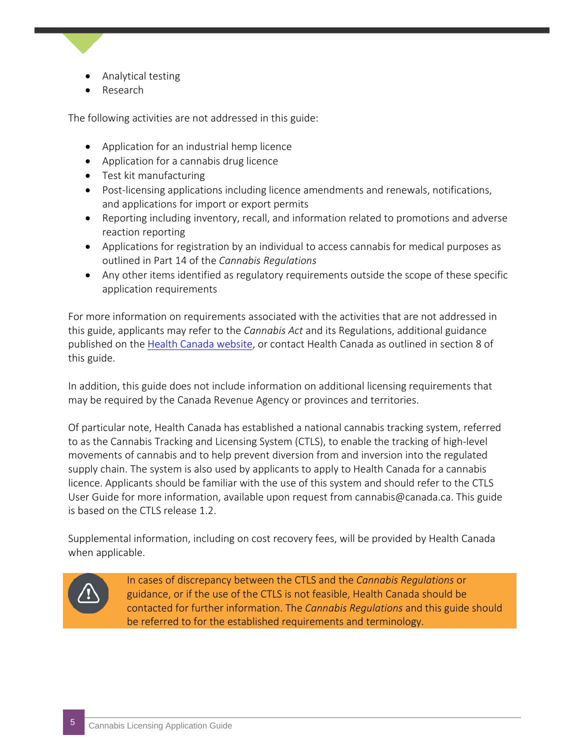- Analytical testing
- Research

The following activities are not addressed in this guide:

- Application for an industrial hemp licence
- Application for a cannabis drug licence
- Test kit manufacturing
- Post-licensing applications including licence amendments and renewals, notifications, and applications for import or export permits
- Reporting including inventory, recall, and information related to promotions and adverse reaction reporting
- Applications for registration by an individual to access cannabis for medical purposes as outlined in Part 14 of the *Cannabis Regulations*
- Any other items identified as regulatory requirements outside the scope of these specific application requirements

For more information on requirements associated with the activities that are not addressed in this guide, applicants may refer to the *Cannabis Act* and its Regulations, additional guidance published on the [Health Canada website,](http://www.canada.ca/cannabis) or contact Health Canada as outlined in section 8 of this guide.

In addition, this guide does not include information on additional licensing requirements that may be required by the Canada Revenue Agency or provinces and territories.

Of particular note, Health Canada has established a national cannabis tracking system, referred to as the Cannabis Tracking and Licensing System (CTLS), to enable the tracking of high-level movements of cannabis and to help prevent diversion from and inversion into the regulated supply chain. The system is also used by applicants to apply to Health Canada for a cannabis licence. Applicants should be familiar with the use of this system and should refer to the CTLS User Guide for more information, available upon request from cannabis@canada.ca. This guide is based on the CTLS release 1.2

Supplemental information, including on cost recovery fees, will be provided by Health Canada when applicable.



In cases of discrepancy between the CTLS and the *Cannabis Regulations* or guidance, or if the use of the CTLS is not feasible, Health Canada should be contacted for further information. The *Cannabis Regulations* and this guide should be referred to for the established requirements and terminology.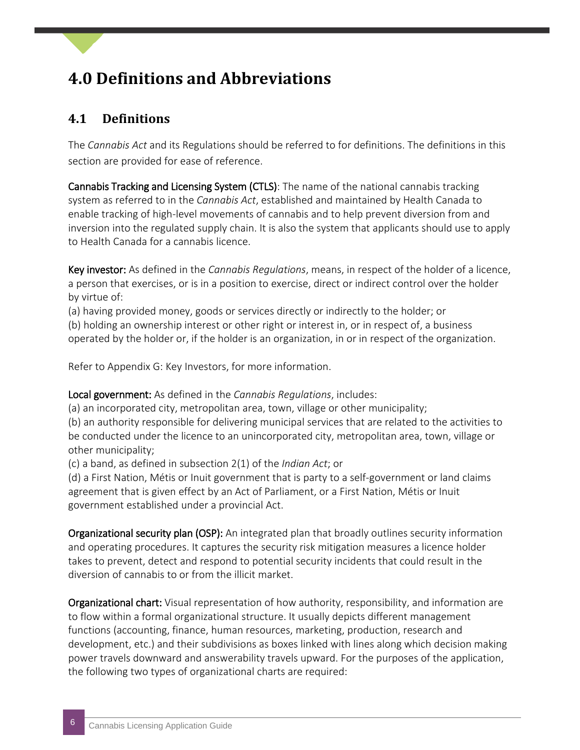### <span id="page-5-0"></span>**4.0 Definitions and Abbreviations**

#### **4.1 Definitions**

The *Cannabis Act* and its Regulations should be referred to for definitions. The definitions in this section are provided for ease of reference.

Cannabis Tracking and Licensing System (CTLS): The name of the national cannabis tracking system as referred to in the *Cannabis Act*, established and maintained by Health Canada to enable tracking of high-level movements of cannabis and to help prevent diversion from and inversion into the regulated supply chain. It is also the system that applicants should use to apply to Health Canada for a cannabis licence.

Key investor: As defined in the *Cannabis Regulations*, means, in respect of the holder of a licence, a person that exercises, or is in a position to exercise, direct or indirect control over the holder by virtue of:

(a) having provided money, goods or services directly or indirectly to the holder; or

(b) holding an ownership interest or other right or interest in, or in respect of, a business operated by the holder or, if the holder is an organization, in or in respect of the organization.

Refer to Appendix G: Key Investors, for more information.

Local government: As defined in the *Cannabis Regulations*, includes:

(a) an incorporated city, metropolitan area, town, village or other municipality;

(b) an authority responsible for delivering municipal services that are related to the activities to be conducted under the licence to an unincorporated city, metropolitan area, town, village or other municipality;

(c) a band, as defined in subsection 2(1) of the *Indian Act*; or

(d) a First Nation, Métis or Inuit government that is party to a self-government or land claims agreement that is given effect by an Act of Parliament, or a First Nation, Métis or Inuit government established under a provincial Act.

Organizational security plan (OSP): An integrated plan that broadly outlines security information and operating procedures. It captures the security risk mitigation measures a licence holder takes to prevent, detect and respond to potential security incidents that could result in the diversion of cannabis to or from the illicit market.

Organizational chart: Visual representation of how authority, responsibility, and information are to flow within a formal organizational structure. It usually depicts different management functions (accounting, finance, human resources, marketing, production, research and development, etc.) and their subdivisions as boxes linked with lines along which decision making power travels downward and answerability travels upward. For the purposes of the application, the following two types of organizational charts are required: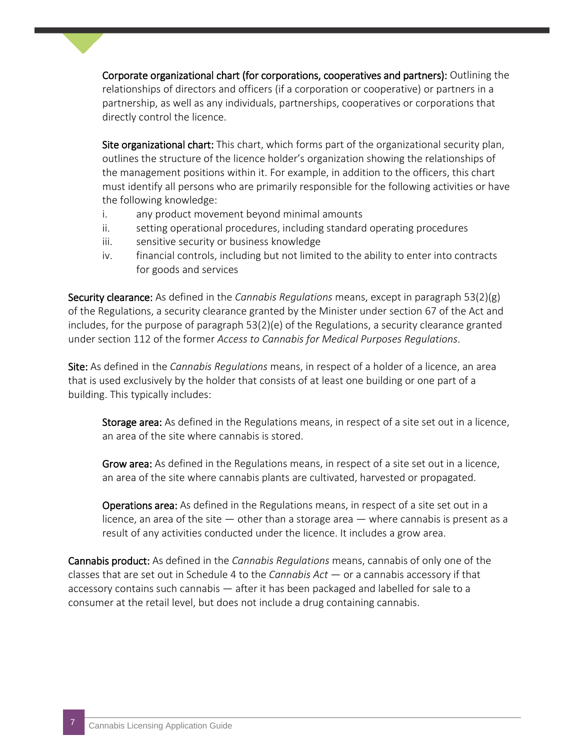Corporate organizational chart (for corporations, cooperatives and partners): Outlining the relationships of directors and officers (if a corporation or cooperative) or partners in a partnership, as well as any individuals, partnerships, cooperatives or corporations that directly control the licence.

Site organizational chart: This chart, which forms part of the organizational security plan, outlines the structure of the licence holder's organization showing the relationships of the management positions within it. For example, in addition to the officers, this chart must identify all persons who are primarily responsible for the following activities or have the following knowledge:

- i. any product movement beyond minimal amounts
- ii. setting operational procedures, including standard operating procedures
- iii. sensitive security or business knowledge
- iv. financial controls, including but not limited to the ability to enter into contracts for goods and services

Security clearance: As defined in the *Cannabis Regulations* means, except in paragraph 53(2)(g) of the Regulations, a security clearance granted by the Minister under section 67 of the Act and includes, for the purpose of paragraph 53(2)(e) of the Regulations, a security clearance granted under section 112 of the former *Access to Cannabis for Medical Purposes Regulations*.

Site: As defined in the *Cannabis Regulations* means, in respect of a holder of a licence, an area that is used exclusively by the holder that consists of at least one building or one part of a building. This typically includes:

Storage area: As defined in the Regulations means, in respect of a site set out in a licence, an area of the site where cannabis is stored.

Grow area: As defined in the Regulations means, in respect of a site set out in a licence, an area of the site where cannabis plants are cultivated, harvested or propagated.

Operations area: As defined in the Regulations means, in respect of a site set out in a licence, an area of the site  $-$  other than a storage area  $-$  where cannabis is present as a result of any activities conducted under the licence. It includes a grow area.

Cannabis product: As defined in the *Cannabis Regulations* means, cannabis of only one of the classes that are set out in Schedule 4 to the *Cannabis Act* — or a cannabis accessory if that accessory contains such cannabis — after it has been packaged and labelled for sale to a consumer at the retail level, but does not include a drug containing cannabis.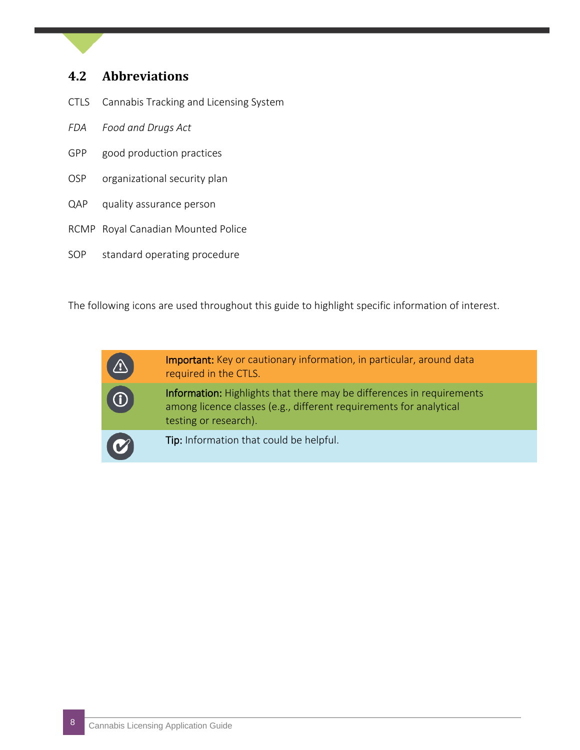#### **4.2 Abbreviations**

- CTLS Cannabis Tracking and Licensing System
- *FDA Food and Drugs Act*
- GPP good production practices
- OSP organizational security plan
- QAP quality assurance person
- RCMP Royal Canadian Mounted Police
- SOP standard operating procedure

The following icons are used throughout this guide to highlight specific information of interest.



Important: Key or cautionary information, in particular, around data required in the CTLS.

Information: Highlights that there may be differences in requirements among licence classes (e.g., different requirements for analytical testing or research).

Tip: Information that could be helpful.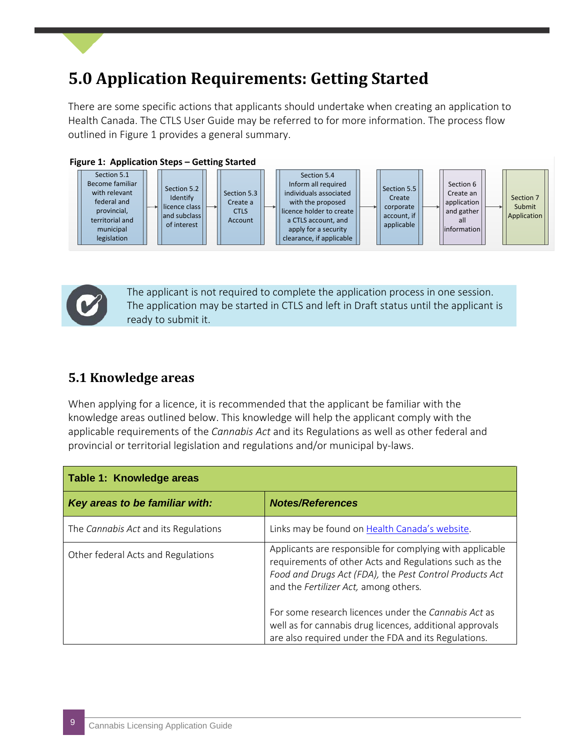### <span id="page-8-0"></span>**5.0 Application Requirements: Getting Started**

There are some specific actions that applicants should undertake when creating an application to Health Canada. The CTLS User Guide may be referred to for more information. The process flow outlined in Figure 1 provides a general summary.





 The applicant is not required to complete the application process in one session. The application may be started in CTLS and left in Draft status until the applicant is ready to submit it.

#### **5.1 Knowledge areas**

When applying for a licence, it is recommended that the applicant be familiar with the knowledge areas outlined below. This knowledge will help the applicant comply with the applicable requirements of the *Cannabis Act* and its Regulations as well as other federal and provincial or territorial legislation and regulations and/or municipal by-laws.

| Table 1: Knowledge areas             |                                                                                                                                                                                                                        |
|--------------------------------------|------------------------------------------------------------------------------------------------------------------------------------------------------------------------------------------------------------------------|
| Key areas to be familiar with:       | <b>Notes/References</b>                                                                                                                                                                                                |
| The Cannabis Act and its Regulations | Links may be found on Health Canada's website.                                                                                                                                                                         |
| Other federal Acts and Regulations   | Applicants are responsible for complying with applicable<br>requirements of other Acts and Regulations such as the<br>Food and Drugs Act (FDA), the Pest Control Products Act<br>and the Fertilizer Act, among others. |
|                                      | For some research licences under the Cannabis Act as<br>well as for cannabis drug licences, additional approvals<br>are also required under the FDA and its Regulations.                                               |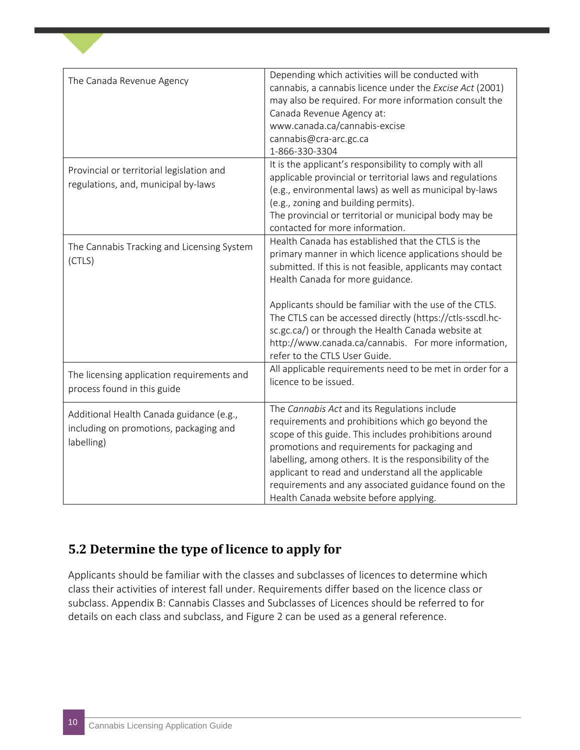| The Canada Revenue Agency                                                                        | Depending which activities will be conducted with<br>cannabis, a cannabis licence under the Excise Act (2001)<br>may also be required. For more information consult the<br>Canada Revenue Agency at:                                                                                                                                                                                                                                                                                  |
|--------------------------------------------------------------------------------------------------|---------------------------------------------------------------------------------------------------------------------------------------------------------------------------------------------------------------------------------------------------------------------------------------------------------------------------------------------------------------------------------------------------------------------------------------------------------------------------------------|
|                                                                                                  | www.canada.ca/cannabis-excise<br>cannabis@cra-arc.gc.ca<br>1-866-330-3304                                                                                                                                                                                                                                                                                                                                                                                                             |
| Provincial or territorial legislation and<br>regulations, and, municipal by-laws                 | It is the applicant's responsibility to comply with all<br>applicable provincial or territorial laws and regulations<br>(e.g., environmental laws) as well as municipal by-laws<br>(e.g., zoning and building permits).<br>The provincial or territorial or municipal body may be<br>contacted for more information.                                                                                                                                                                  |
| The Cannabis Tracking and Licensing System<br>(CTLS)                                             | Health Canada has established that the CTLS is the<br>primary manner in which licence applications should be<br>submitted. If this is not feasible, applicants may contact<br>Health Canada for more guidance.<br>Applicants should be familiar with the use of the CTLS.<br>The CTLS can be accessed directly (https://ctls-sscdl.hc-<br>sc.gc.ca/) or through the Health Canada website at<br>http://www.canada.ca/cannabis. For more information,<br>refer to the CTLS User Guide. |
| The licensing application requirements and<br>process found in this guide                        | All applicable requirements need to be met in order for a<br>licence to be issued.                                                                                                                                                                                                                                                                                                                                                                                                    |
| Additional Health Canada guidance (e.g.,<br>including on promotions, packaging and<br>labelling) | The Cannabis Act and its Regulations include<br>requirements and prohibitions which go beyond the<br>scope of this guide. This includes prohibitions around<br>promotions and requirements for packaging and<br>labelling, among others. It is the responsibility of the<br>applicant to read and understand all the applicable<br>requirements and any associated guidance found on the<br>Health Canada website before applying.                                                    |

#### **5.2 Determine the type of licence to apply for**

Applicants should be familiar with the classes and subclasses of licences to determine which class their activities of interest fall under. Requirements differ based on the licence class or subclass. Appendix B: Cannabis Classes and Subclasses of Licences should be referred to for details on each class and subclass, and Figure 2 can be used as a general reference.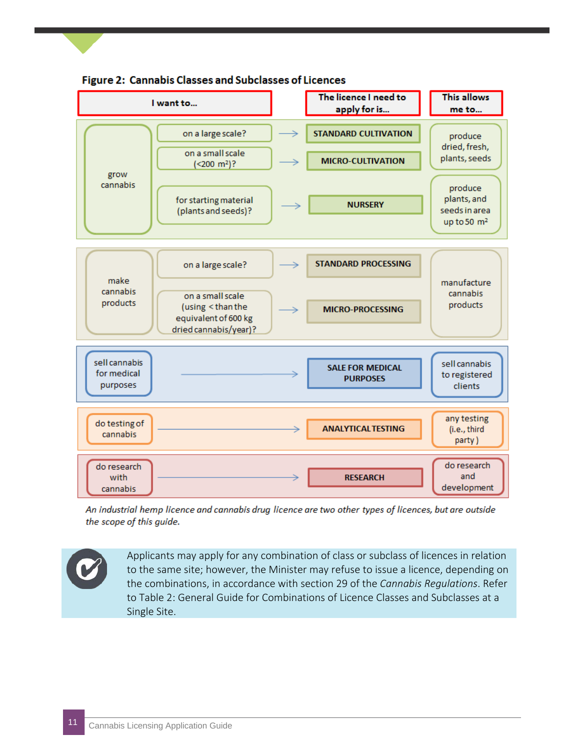



An industrial hemp licence and cannabis drug licence are two other types of licences, but are outside the scope of this guide.

Applicants may apply for any combination of class or subclass of licences in relation to the same site; however, the Minister may refuse to issue a licence, depending on the combinations, in accordance with section 29 of the *Cannabis Regulations*. Refer to Table 2: General Guide for Combinations of Licence Classes and Subclasses at a Single Site.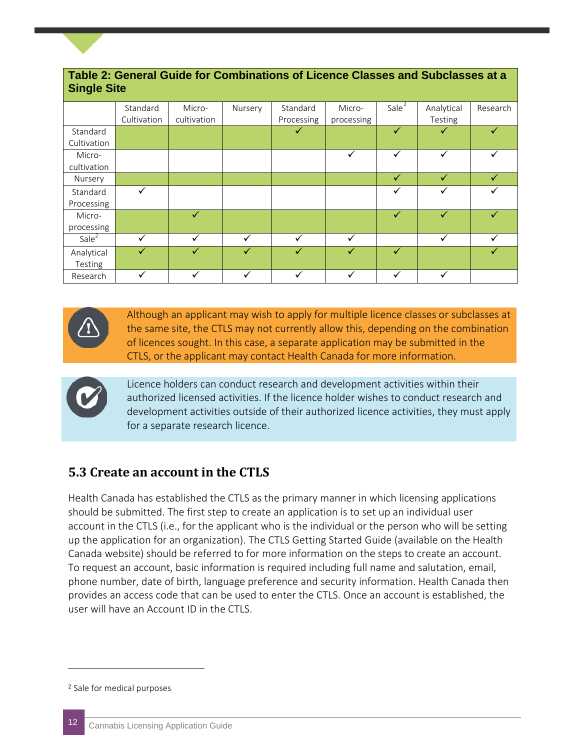| <b>Single Site</b> |             |              |              |              |            |          |              |          |
|--------------------|-------------|--------------|--------------|--------------|------------|----------|--------------|----------|
|                    | Standard    | Micro-       | Nursery      | Standard     | Micro-     | Sale $2$ | Analytical   | Research |
|                    | Cultivation | cultivation  |              | Processing   | processing |          | Testing      |          |
| Standard           |             |              |              | ✓            |            | ✓        |              |          |
| Cultivation        |             |              |              |              |            |          |              |          |
| Micro-             |             |              |              |              | ✓          | ✓        |              |          |
| cultivation        |             |              |              |              |            |          |              |          |
| Nursery            |             |              |              |              |            | ✓        | $\checkmark$ |          |
| Standard           |             |              |              |              |            | ✓        |              |          |
| Processing         |             |              |              |              |            |          |              |          |
| Micro-             |             | $\checkmark$ |              |              |            | ✓        |              |          |
| processing         |             |              |              |              |            |          |              |          |
| Sale <sup>2</sup>  | ✓           | ✓            | $\checkmark$ | $\checkmark$ | ✓          |          | $\checkmark$ |          |
| Analytical         |             |              | ✓            | √            | ✓          | ✓        |              |          |
| Testing            |             |              |              |              |            |          |              |          |
| Research           |             |              |              | v            |            | ✓        |              |          |

## **Table 2: General Guide for Combinations of Licence Classes and Subclasses at a**

Although an applicant may wish to apply for multiple licence classes or subclasses at the same site, the CTLS may not currently allow this, depending on the combination of licences sought. In this case, a separate application may be submitted in the CTLS, or the applicant may contact Health Canada for more information.



Licence holders can conduct research and development activities within their authorized licensed activities. If the licence holder wishes to conduct research and development activities outside of their authorized licence activities, they must apply for a separate research licence.

#### **5.3 Create an account in the CTLS**

Health Canada has established the CTLS as the primary manner in which licensing applications should be submitted. The first step to create an application is to set up an individual user account in the CTLS (i.e., for the applicant who is the individual or the person who will be setting up the application for an organization). The CTLS Getting Started Guide (available on the Health Canada website) should be referred to for more information on the steps to create an account. To request an account, basic information is required including full name and salutation, email, phone number, date of birth, language preference and security information. Health Canada then provides an access code that can be used to enter the CTLS. Once an account is established, the user will have an Account ID in the CTLS.

j

<span id="page-11-0"></span><sup>2</sup> Sale for medical purposes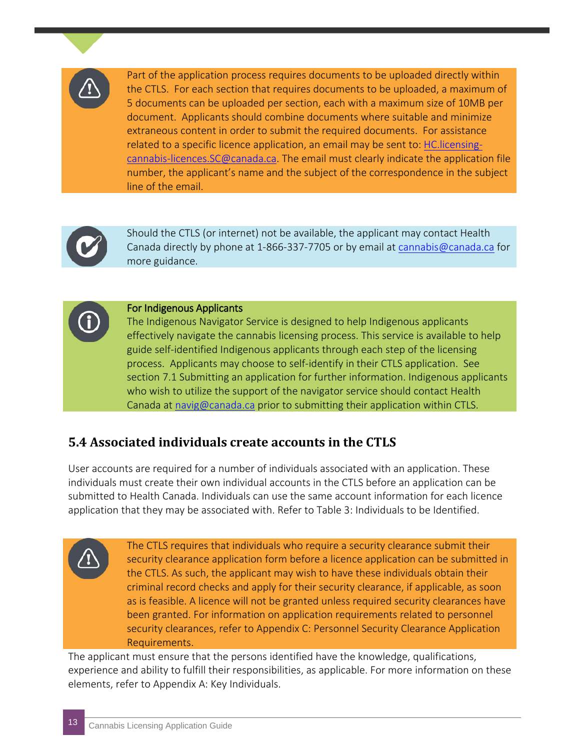

Part of the application process requires documents to be uploaded directly within the CTLS. For each section that requires documents to be uploaded, a maximum of 5 documents can be uploaded per section, each with a maximum size of 10MB per document. Applicants should combine documents where suitable and minimize extraneous content in order to submit the required documents. For assistance related to a specific licence application, an email may be sent to: [HC.licensing](mailto:HC.licensing-cannabis-licences.SC@canada.ca)[cannabis-licences.SC@canada.ca.](mailto:HC.licensing-cannabis-licences.SC@canada.ca) The email must clearly indicate the application file number, the applicant's name and the subject of the correspondence in the subject line of the email.



Should the CTLS (or internet) not be available, the applicant may contact Health Canada directly by phone at 1-866-337-7705 or by email at [cannabis@canada.ca](mailto:cannabis@canada.ca) for more guidance.

#### For Indigenous Applicants

The Indigenous Navigator Service is designed to help Indigenous applicants effectively navigate the cannabis licensing process. This service is available to help guide self-identified Indigenous applicants through each step of the licensing process. Applicants may choose to self-identify in their CTLS application. See section 7.1 Submitting an application for further information. Indigenous applicants who wish to utilize the support of the navigator service should contact Health Canada at [navig@canada.ca](mailto:navig@canada.ca) prior to submitting their application within CTLS.

#### **5.4 Associated individuals create accounts in the CTLS**

User accounts are required for a number of individuals associated with an application. These individuals must create their own individual accounts in the CTLS before an application can be submitted to Health Canada. Individuals can use the same account information for each licence application that they may be associated with. Refer to Table 3: Individuals to be Identified.

> The CTLS requires that individuals who require a security clearance submit their security clearance application form before a licence application can be submitted in the CTLS. As such, the applicant may wish to have these individuals obtain their criminal record checks and apply for their security clearance, if applicable, as soon as is feasible. A licence will not be granted unless required security clearances have been granted. For information on application requirements related to personnel security clearances, refer to Appendix C: Personnel Security Clearance Application Requirements.

The applicant must ensure that the persons identified have the knowledge, qualifications, experience and ability to fulfill their responsibilities, as applicable. For more information on these elements, refer to Appendix A: Key Individuals.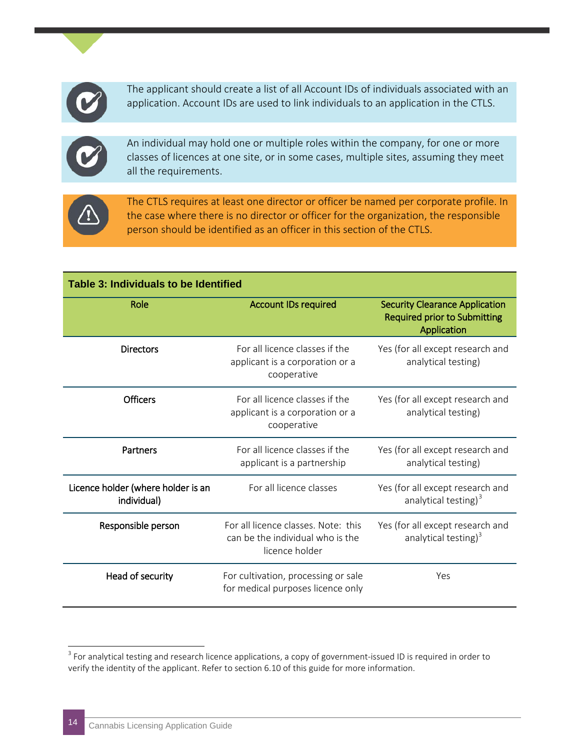

The applicant should create a list of all Account IDs of individuals associated with an application. Account IDs are used to link individuals to an application in the CTLS.



An individual may hold one or multiple roles within the company, for one or more classes of licences at one site, or in some cases, multiple sites, assuming they meet all the requirements.



The CTLS requires at least one director or officer be named per corporate profile. In the case where there is no director or officer for the organization, the responsible person should be identified as an officer in this section of the CTLS.

| <b>Table 3: Individuals to be Identified</b>      |                                                                                           |                                                                                             |  |  |
|---------------------------------------------------|-------------------------------------------------------------------------------------------|---------------------------------------------------------------------------------------------|--|--|
| Role                                              | <b>Account IDs required</b>                                                               | <b>Security Clearance Application</b><br><b>Required prior to Submitting</b><br>Application |  |  |
| <b>Directors</b>                                  | For all licence classes if the<br>applicant is a corporation or a<br>cooperative          | Yes (for all except research and<br>analytical testing)                                     |  |  |
| <b>Officers</b>                                   | For all licence classes if the<br>applicant is a corporation or a<br>cooperative          | Yes (for all except research and<br>analytical testing)                                     |  |  |
| Partners                                          | For all licence classes if the<br>applicant is a partnership                              | Yes (for all except research and<br>analytical testing)                                     |  |  |
| Licence holder (where holder is an<br>individual) | For all licence classes                                                                   | Yes (for all except research and<br>analytical testing) <sup>3</sup>                        |  |  |
| Responsible person                                | For all licence classes. Note: this<br>can be the individual who is the<br>licence holder | Yes (for all except research and<br>analytical testing) <sup>3</sup>                        |  |  |
| Head of security                                  | For cultivation, processing or sale<br>for medical purposes licence only                  | Yes                                                                                         |  |  |

<span id="page-13-0"></span><sup>&</sup>lt;sup>3</sup> For analytical testing and research licence applications, a copy of government-issued ID is required in order to verify the identity of the applicant. Refer to section 6.10 of this guide for more information.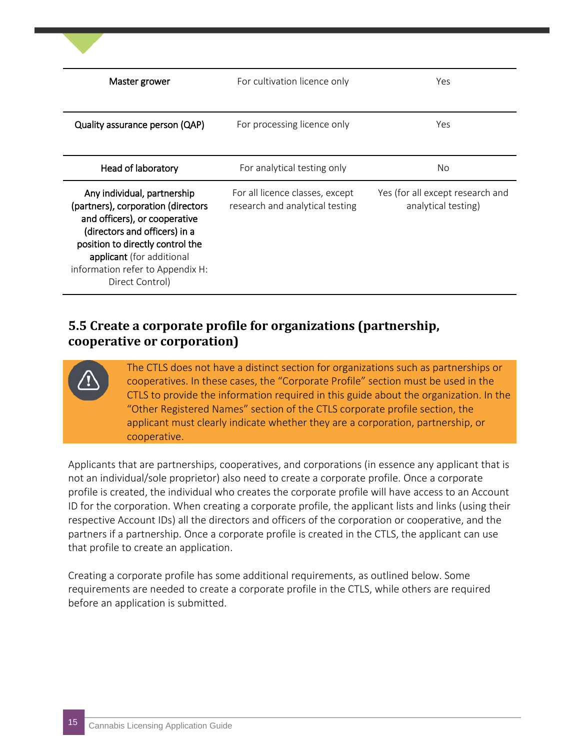| Master grower                                                                                                                                                                                                                                               | For cultivation licence only                                       | Yes                                                     |
|-------------------------------------------------------------------------------------------------------------------------------------------------------------------------------------------------------------------------------------------------------------|--------------------------------------------------------------------|---------------------------------------------------------|
| Quality assurance person (QAP)                                                                                                                                                                                                                              | For processing licence only                                        | Yes                                                     |
| Head of laboratory                                                                                                                                                                                                                                          | For analytical testing only                                        | <b>No</b>                                               |
| Any individual, partnership<br>(partners), corporation (directors<br>and officers), or cooperative<br>(directors and officers) in a<br>position to directly control the<br>applicant (for additional<br>information refer to Appendix H:<br>Direct Control) | For all licence classes, except<br>research and analytical testing | Yes (for all except research and<br>analytical testing) |

#### **5.5 Create a corporate profile for organizations (partnership, cooperative or corporation)**

The CTLS does not have a distinct section for organizations such as partnerships or cooperatives. In these cases, the "Corporate Profile" section must be used in the CTLS to provide the information required in this guide about the organization. In the "Other Registered Names" section of the CTLS corporate profile section, the applicant must clearly indicate whether they are a corporation, partnership, or cooperative.

Applicants that are partnerships, cooperatives, and corporations (in essence any applicant that is not an individual/sole proprietor) also need to create a corporate profile. Once a corporate profile is created, the individual who creates the corporate profile will have access to an Account ID for the corporation. When creating a corporate profile, the applicant lists and links (using their respective Account IDs) all the directors and officers of the corporation or cooperative, and the partners if a partnership. Once a corporate profile is created in the CTLS, the applicant can use that profile to create an application.

Creating a corporate profile has some additional requirements, as outlined below. Some requirements are needed to create a corporate profile in the CTLS, while others are required before an application is submitted.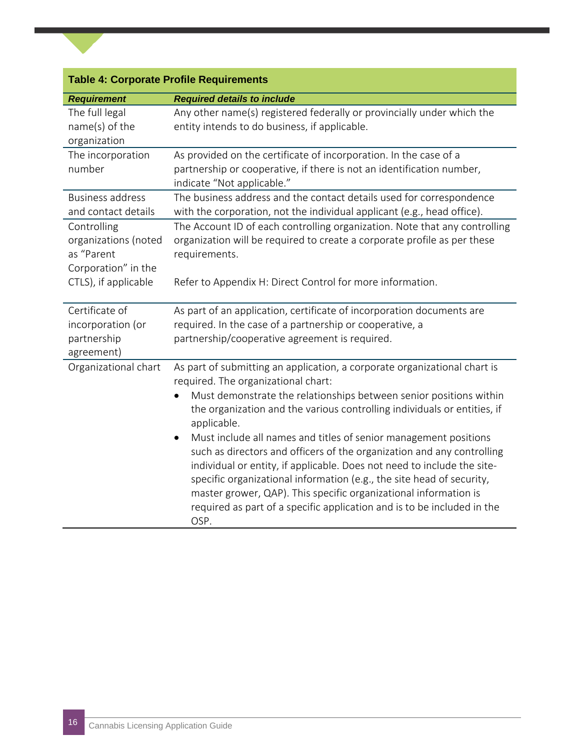|                                                                  | <b>Table 4: Corporate Profile Requirements</b>                                                                                                                                                                                                                                                                                                                                                                                                                                                                                                                                                                                                                                                                                             |
|------------------------------------------------------------------|--------------------------------------------------------------------------------------------------------------------------------------------------------------------------------------------------------------------------------------------------------------------------------------------------------------------------------------------------------------------------------------------------------------------------------------------------------------------------------------------------------------------------------------------------------------------------------------------------------------------------------------------------------------------------------------------------------------------------------------------|
| <b>Requirement</b>                                               | <b>Required details to include</b>                                                                                                                                                                                                                                                                                                                                                                                                                                                                                                                                                                                                                                                                                                         |
| The full legal<br>name(s) of the<br>organization                 | Any other name(s) registered federally or provincially under which the<br>entity intends to do business, if applicable.                                                                                                                                                                                                                                                                                                                                                                                                                                                                                                                                                                                                                    |
| The incorporation<br>number                                      | As provided on the certificate of incorporation. In the case of a<br>partnership or cooperative, if there is not an identification number,<br>indicate "Not applicable."                                                                                                                                                                                                                                                                                                                                                                                                                                                                                                                                                                   |
| <b>Business address</b><br>and contact details                   | The business address and the contact details used for correspondence<br>with the corporation, not the individual applicant (e.g., head office).                                                                                                                                                                                                                                                                                                                                                                                                                                                                                                                                                                                            |
| Controlling<br>organizations (noted<br>as "Parent                | The Account ID of each controlling organization. Note that any controlling<br>organization will be required to create a corporate profile as per these<br>requirements.                                                                                                                                                                                                                                                                                                                                                                                                                                                                                                                                                                    |
| Corporation" in the<br>CTLS), if applicable                      | Refer to Appendix H: Direct Control for more information.                                                                                                                                                                                                                                                                                                                                                                                                                                                                                                                                                                                                                                                                                  |
| Certificate of<br>incorporation (or<br>partnership<br>agreement) | As part of an application, certificate of incorporation documents are<br>required. In the case of a partnership or cooperative, a<br>partnership/cooperative agreement is required.                                                                                                                                                                                                                                                                                                                                                                                                                                                                                                                                                        |
| Organizational chart                                             | As part of submitting an application, a corporate organizational chart is<br>required. The organizational chart:<br>Must demonstrate the relationships between senior positions within<br>the organization and the various controlling individuals or entities, if<br>applicable.<br>Must include all names and titles of senior management positions<br>such as directors and officers of the organization and any controlling<br>individual or entity, if applicable. Does not need to include the site-<br>specific organizational information (e.g., the site head of security,<br>master grower, QAP). This specific organizational information is<br>required as part of a specific application and is to be included in the<br>OSP. |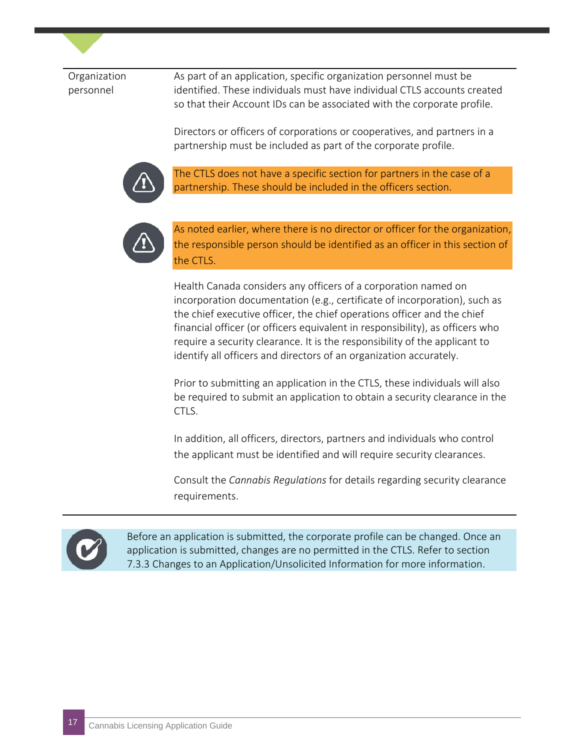#### Organization personnel

As part of an application, specific organization personnel must be identified. These individuals must have individual CTLS accounts created so that their Account IDs can be associated with the corporate profile.

Directors or officers of corporations or cooperatives, and partners in a partnership must be included as part of the corporate profile.



The CTLS does not have a specific section for partners in the case of a partnership. These should be included in the officers section.



As noted earlier, where there is no director or officer for the organization, the responsible person should be identified as an officer in this section of the CTLS.

Health Canada considers any officers of a corporation named on incorporation documentation (e.g., certificate of incorporation), such as the chief executive officer, the chief operations officer and the chief financial officer (or officers equivalent in responsibility), as officers who require a security clearance. It is the responsibility of the applicant to identify all officers and directors of an organization accurately.

Prior to submitting an application in the CTLS, these individuals will also be required to submit an application to obtain a security clearance in the CTLS.

In addition, all officers, directors, partners and individuals who control the applicant must be identified and will require security clearances.

Consult the *Cannabis Regulations* for details regarding security clearance requirements.



Before an application is submitted, the corporate profile can be changed. Once an application is submitted, changes are no permitted in the CTLS. Refer to section 7.3.3 Changes to an Application/Unsolicited Information for more information.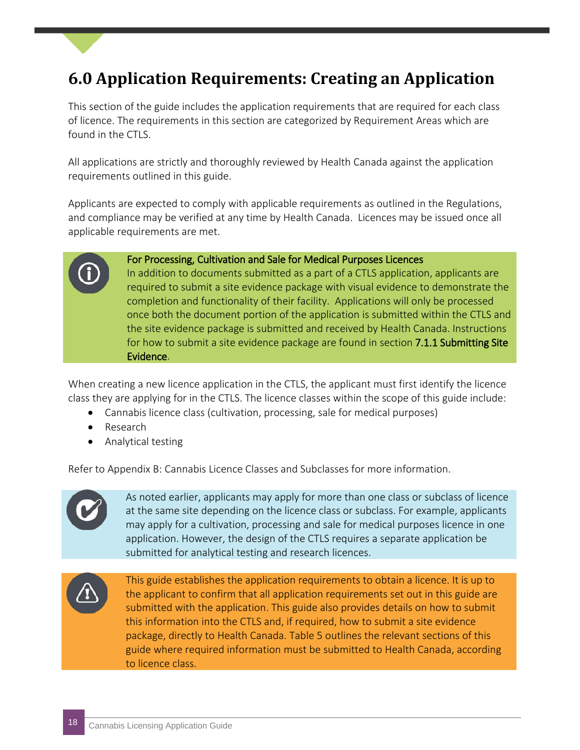### <span id="page-17-0"></span>**6.0 Application Requirements: Creating an Application**

This section of the guide includes the application requirements that are required for each class of licence. The requirements in this section are categorized by Requirement Areas which are found in the CTLS.

All applications are strictly and thoroughly reviewed by Health Canada against the application requirements outlined in this guide.

Applicants are expected to comply with applicable requirements as outlined in the Regulations, and compliance may be verified at any time by Health Canada. Licences may be issued once all applicable requirements are met.

#### For Processing, Cultivation and Sale for Medical Purposes Licences

In addition to documents submitted as a part of a CTLS application, applicants are required to submit a site evidence package with visual evidence to demonstrate the completion and functionality of their facility. Applications will only be processed once both the document portion of the application is submitted within the CTLS and the site evidence package is submitted and received by Health Canada. Instructions for how to submit a site evidence package are found in section 7.1.1 Submitting Site Evidence.

When creating a new licence application in the CTLS, the applicant must first identify the licence class they are applying for in the CTLS. The licence classes within the scope of this guide include:

- Cannabis licence class (cultivation, processing, sale for medical purposes)
- Research
- Analytical testing

Refer to Appendix B: Cannabis Licence Classes and Subclasses for more information.



As noted earlier, applicants may apply for more than one class or subclass of licence at the same site depending on the licence class or subclass. For example, applicants may apply for a cultivation, processing and sale for medical purposes licence in one application. However, the design of the CTLS requires a separate application be submitted for analytical testing and research licences.



This guide establishes the application requirements to obtain a licence. It is up to the applicant to confirm that all application requirements set out in this guide are submitted with the application. This guide also provides details on how to submit this information into the CTLS and, if required, how to submit a site evidence package, directly to Health Canada. Table 5 outlines the relevant sections of this guide where required information must be submitted to Health Canada, according to licence class.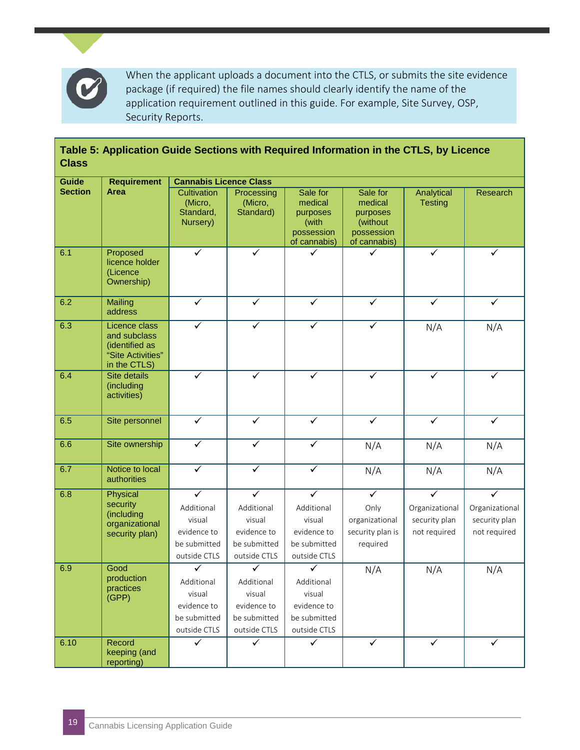

When the applicant uploads a document into the CTLS, or submits the site evidence package (if required) the file names should clearly identify the name of the application requirement outlined in this guide. For example, Site Survey, OSP, Security Reports.

| <b>Class</b>   | Table 5: Application Guide Sections with Required Information in the CTLS, by Licence |                                                 |                                    |                                                                        |                                                                           |                              |                         |
|----------------|---------------------------------------------------------------------------------------|-------------------------------------------------|------------------------------------|------------------------------------------------------------------------|---------------------------------------------------------------------------|------------------------------|-------------------------|
| <b>Guide</b>   | <b>Requirement</b>                                                                    | <b>Cannabis Licence Class</b>                   |                                    |                                                                        |                                                                           |                              |                         |
| <b>Section</b> | <b>Area</b>                                                                           | Cultivation<br>(Micro,<br>Standard,<br>Nursery) | Processing<br>(Micro,<br>Standard) | Sale for<br>medical<br>purposes<br>(with<br>possession<br>of cannabis) | Sale for<br>medical<br>purposes<br>(without<br>possession<br>of cannabis) | Analytical<br><b>Testing</b> | Research                |
| 6.1            | Proposed<br>licence holder<br>(Licence<br>Ownership)                                  | ✓                                               | ✓                                  |                                                                        |                                                                           | ✓                            | ✓                       |
| 6.2            | <b>Mailing</b><br>address                                                             | $\checkmark$                                    | $\checkmark$                       | $\checkmark$                                                           | $\checkmark$                                                              | $\checkmark$                 | $\checkmark$            |
| 6.3            | Licence class<br>and subclass<br>(identified as<br>"Site Activities"<br>in the CTLS)  |                                                 | ✓                                  | ✓                                                                      | ✓                                                                         | N/A                          | N/A                     |
| 6.4            | Site details<br>(including<br>activities)                                             | ✓                                               | $\checkmark$                       | ✓                                                                      | ✓                                                                         | $\checkmark$                 | ✓                       |
| 6.5            | Site personnel                                                                        | $\checkmark$                                    | $\checkmark$                       | $\checkmark$                                                           | $\checkmark$                                                              | $\checkmark$                 | $\checkmark$            |
| 6.6            | Site ownership                                                                        | $\checkmark$                                    | $\checkmark$                       | ✓                                                                      | N/A                                                                       | N/A                          | N/A                     |
| 6.7            | Notice to local<br>authorities                                                        | $\checkmark$                                    | $\checkmark$                       | $\checkmark$                                                           | N/A                                                                       | N/A                          | N/A                     |
| 6.8            | Physical                                                                              | $\overline{\checkmark}$                         | $\checkmark$                       | $\overline{\checkmark}$                                                | $\checkmark$                                                              | $\overline{\checkmark}$      | $\overline{\checkmark}$ |
|                | security                                                                              | Additional                                      | Additional                         | Additional                                                             | Only                                                                      | Organizational               | Organizational          |
|                | (including<br>organizational                                                          | visual                                          | visual                             | visual                                                                 | organizational                                                            | security plan                | security plan           |
|                | security plan)                                                                        | evidence to                                     | evidence to                        | evidence to                                                            | security plan is                                                          | not required                 | not required            |
|                |                                                                                       | be submitted                                    | be submitted                       | be submitted                                                           | required                                                                  |                              |                         |
|                | Good                                                                                  | outside CTLS<br>$\checkmark$                    | outside CTLS                       | outside CTLS<br>$\vec{\sqrt{}}$                                        |                                                                           |                              |                         |
| 6.9            | production                                                                            |                                                 | $\checkmark$                       |                                                                        | N/A                                                                       | N/A                          | N/A                     |
|                | practices                                                                             | Additional<br>visual                            | Additional<br>visual               | Additional<br>visual                                                   |                                                                           |                              |                         |
|                | (GPP)                                                                                 | evidence to                                     | evidence to                        | evidence to                                                            |                                                                           |                              |                         |
|                |                                                                                       | be submitted                                    | be submitted                       | be submitted                                                           |                                                                           |                              |                         |
|                |                                                                                       | outside CTLS                                    | outside CTLS                       | outside CTLS                                                           |                                                                           |                              |                         |
| 6.10           | Record<br>keeping (and<br>reporting)                                                  | $\checkmark$                                    | $\checkmark$                       | $\checkmark$                                                           | $\checkmark$                                                              | $\checkmark$                 | $\checkmark$            |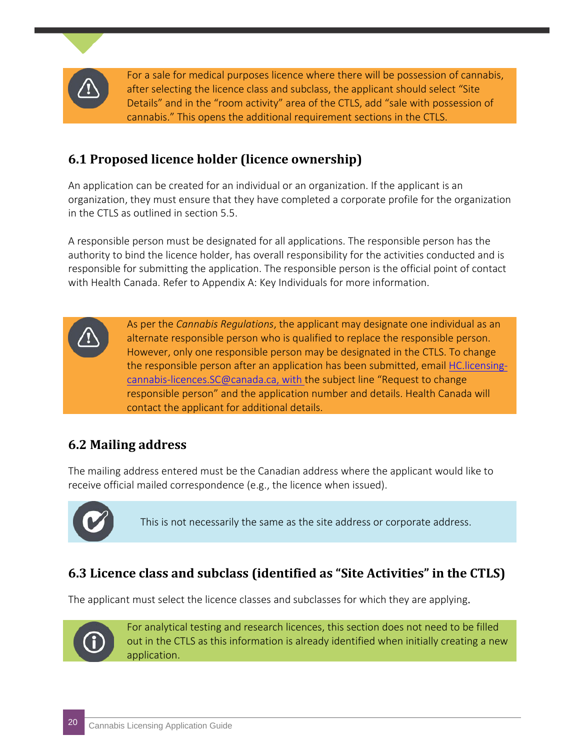

For a sale for medical purposes licence where there will be possession of cannabis, after selecting the licence class and subclass, the applicant should select "Site Details" and in the "room activity" area of the CTLS, add "sale with possession of cannabis." This opens the additional requirement sections in the CTLS.

#### **6.1 Proposed licence holder (licence ownership)**

An application can be created for an individual or an organization. If the applicant is an organization, they must ensure that they have completed a corporate profile for the organization in the CTLS as outlined in section 5.5.

A responsible person must be designated for all applications. The responsible person has the authority to bind the licence holder, has overall responsibility for the activities conducted and is responsible for submitting the application. The responsible person is the official point of contact with Health Canada. Refer to Appendix A: Key Individuals for more information.

> As per the *Cannabis Regulations*, the applicant may designate one individual as an alternate responsible person who is qualified to replace the responsible person. However, only one responsible person may be designated in the CTLS. To change the responsible person after an application has been submitted, email [HC.licensing](mailto:HC.licensing-cannabis-licences.SC@canada.ca)[cannabis-licences.SC@canada.ca,](mailto:HC.licensing-cannabis-licences.SC@canada.ca) with the subject line "Request to change responsible person" and the application number and details. Health Canada will contact the applicant for additional details.

#### **6.2 Mailing address**

The mailing address entered must be the Canadian address where the applicant would like to receive official mailed correspondence (e.g., the licence when issued).



This is not necessarily the same as the site address or corporate address.

#### **6.3 Licence class and subclass (identified as "Site Activities" in the CTLS)**

The applicant must select the licence classes and subclasses for which they are applying.



For analytical testing and research licences, this section does not need to be filled out in the CTLS as this information is already identified when initially creating a new application.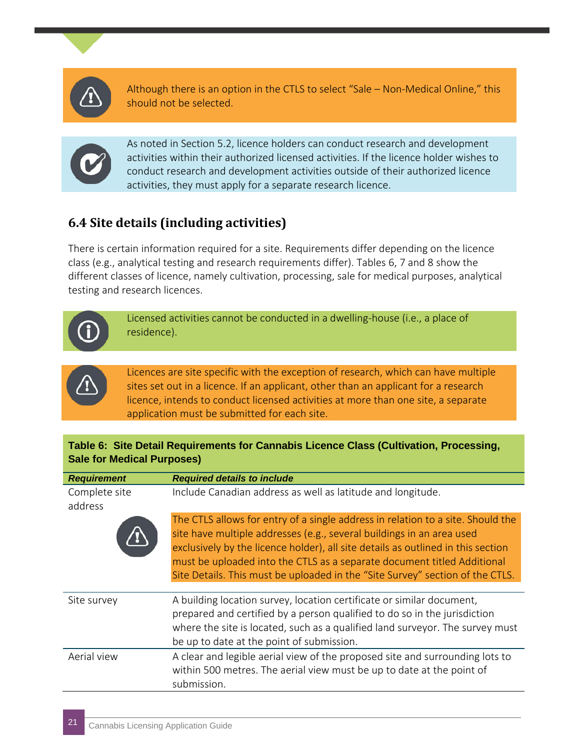

Although there is an option in the CTLS to select "Sale – Non-Medical Online," this should not be selected.



As noted in Section 5.2, licence holders can conduct research and development activities within their authorized licensed activities. If the licence holder wishes to conduct research and development activities outside of their authorized licence activities, they must apply for a separate research licence.

### **6.4 Site details (including activities)**

There is certain information required for a site. Requirements differ depending on the licence class (e.g., analytical testing and research requirements differ). Tables 6, 7 and 8 show the different classes of licence, namely cultivation, processing, sale for medical purposes, analytical testing and research licences.



Licensed activities cannot be conducted in a dwelling-house (i.e., a place of residence).



Licences are site specific with the exception of research, which can have multiple sites set out in a licence. If an applicant, other than an applicant for a research licence, intends to conduct licensed activities at more than one site, a separate application must be submitted for each site.

#### **Table 6: Site Detail Requirements for Cannabis Licence Class (Cultivation, Processing, Sale for Medical Purposes)**

| <b>Requirement</b>       | <b>Required details to include</b>                                                                                                                                                                                                                                                                                                                                                                       |
|--------------------------|----------------------------------------------------------------------------------------------------------------------------------------------------------------------------------------------------------------------------------------------------------------------------------------------------------------------------------------------------------------------------------------------------------|
| Complete site<br>address | Include Canadian address as well as latitude and longitude.                                                                                                                                                                                                                                                                                                                                              |
|                          | The CTLS allows for entry of a single address in relation to a site. Should the<br>site have multiple addresses (e.g., several buildings in an area used<br>exclusively by the licence holder), all site details as outlined in this section<br>must be uploaded into the CTLS as a separate document titled Additional<br>Site Details. This must be uploaded in the "Site Survey" section of the CTLS. |
| Site survey              | A building location survey, location certificate or similar document,<br>prepared and certified by a person qualified to do so in the jurisdiction<br>where the site is located, such as a qualified land surveyor. The survey must<br>be up to date at the point of submission.                                                                                                                         |
| Aerial view              | A clear and legible aerial view of the proposed site and surrounding lots to<br>within 500 metres. The aerial view must be up to date at the point of<br>submission.                                                                                                                                                                                                                                     |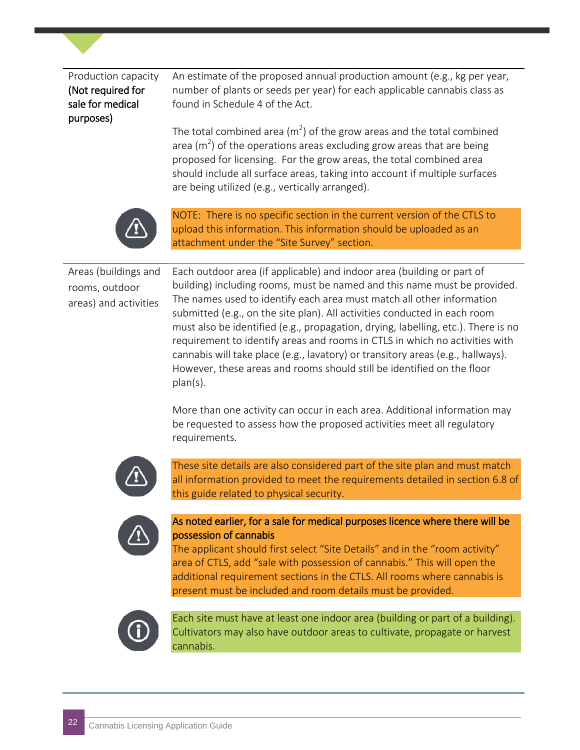| Production capacity | An estimate of the proposed annual production amount (e.g., kg per year,                                                                                                                                                          |
|---------------------|-----------------------------------------------------------------------------------------------------------------------------------------------------------------------------------------------------------------------------------|
| (Not required for   | number of plants or seeds per year) for each applicable cannabis class as                                                                                                                                                         |
| sale for medical    | found in Schedule 4 of the Act.                                                                                                                                                                                                   |
| purposes)           |                                                                                                                                                                                                                                   |
|                     | $\mathbf{r}$ , and a set of the set of the set of the set of the set of the set of the set of the set of the set of the set of the set of the set of the set of the set of the set of the set of the set of the set of the set of |

The total combined area (m<sup>2</sup>) of the grow areas and the total combined area (m<sup>2</sup>) of the operations areas excluding grow areas that are being proposed for licensing. For the grow areas, the total combined area should include all surface areas, taking into account if multiple surfaces are being utilized (e.g., vertically arranged).



NOTE: There is no specific section in the current version of the CTLS to upload this information. This information should be uploaded as an attachment under the "Site Survey" section.

Areas (buildings and rooms, outdoor areas) and activities

Each outdoor area (if applicable) and indoor area (building or part of building) including rooms, must be named and this name must be provided. The names used to identify each area must match all other information submitted (e.g., on the site plan). All activities conducted in each room must also be identified (e.g., propagation, drying, labelling, etc.). There is no requirement to identify areas and rooms in CTLS in which no activities with cannabis will take place (e.g., lavatory) or transitory areas (e.g., hallways). However, these areas and rooms should still be identified on the floor plan(s).

More than one activity can occur in each area. Additional information may be requested to assess how the proposed activities meet all regulatory requirements.



These site details are also considered part of the site plan and must match all information provided to meet the requirements detailed in section 6.8 of this guide related to physical security.



#### As noted earlier, for a sale for medical purposes licence where there will be possession of cannabis

The applicant should first select "Site Details" and in the "room activity" area of CTLS, add "sale with possession of cannabis." This will open the additional requirement sections in the CTLS. All rooms where cannabis is present must be included and room details must be provided.



Each site must have at least one indoor area (building or part of a building). Cultivators may also have outdoor areas to cultivate, propagate or harvest cannabis.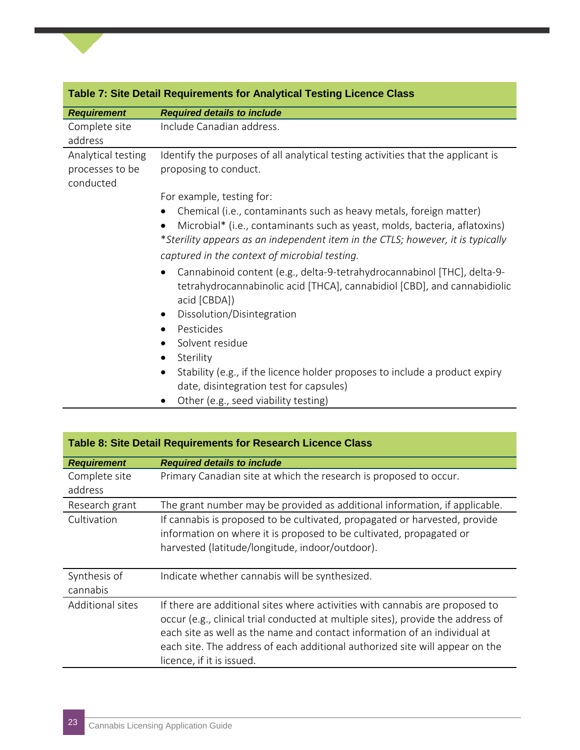|                                                    | <b>Table 7: Site Detail Requirements for Analytical Testing Licence Class</b>                                                                                                                                                                    |
|----------------------------------------------------|--------------------------------------------------------------------------------------------------------------------------------------------------------------------------------------------------------------------------------------------------|
| <b>Requirement</b>                                 | <b>Required details to include</b>                                                                                                                                                                                                               |
| Complete site<br>address                           | Include Canadian address.                                                                                                                                                                                                                        |
| Analytical testing<br>processes to be<br>conducted | Identify the purposes of all analytical testing activities that the applicant is<br>proposing to conduct.                                                                                                                                        |
|                                                    | For example, testing for:                                                                                                                                                                                                                        |
|                                                    | Chemical (i.e., contaminants such as heavy metals, foreign matter)<br>$\bullet$<br>Microbial* (i.e., contaminants such as yeast, molds, bacteria, aflatoxins)<br>*Sterility appears as an independent item in the CTLS; however, it is typically |
|                                                    | captured in the context of microbial testing.                                                                                                                                                                                                    |
|                                                    | Cannabinoid content (e.g., delta-9-tetrahydrocannabinol [THC], delta-9-<br>$\bullet$<br>tetrahydrocannabinolic acid [THCA], cannabidiol [CBD], and cannabidiolic<br>acid [CBDA])                                                                 |
|                                                    | Dissolution/Disintegration                                                                                                                                                                                                                       |
|                                                    | Pesticides                                                                                                                                                                                                                                       |
|                                                    | Solvent residue                                                                                                                                                                                                                                  |
|                                                    | Sterility<br>$\bullet$                                                                                                                                                                                                                           |
|                                                    | Stability (e.g., if the licence holder proposes to include a product expiry<br>$\bullet$<br>date, disintegration test for capsules)                                                                                                              |

• Other (e.g., seed viability testing)

|                          | Table 8: Site Detail Requirements for Research Licence Class                                                                                                                                                                                                                                                                                               |
|--------------------------|------------------------------------------------------------------------------------------------------------------------------------------------------------------------------------------------------------------------------------------------------------------------------------------------------------------------------------------------------------|
| <b>Requirement</b>       | <b>Required details to include</b>                                                                                                                                                                                                                                                                                                                         |
| Complete site            | Primary Canadian site at which the research is proposed to occur.                                                                                                                                                                                                                                                                                          |
| address                  |                                                                                                                                                                                                                                                                                                                                                            |
| Research grant           | The grant number may be provided as additional information, if applicable.                                                                                                                                                                                                                                                                                 |
| Cultivation              | If cannabis is proposed to be cultivated, propagated or harvested, provide<br>information on where it is proposed to be cultivated, propagated or                                                                                                                                                                                                          |
|                          | harvested (latitude/longitude, indoor/outdoor).                                                                                                                                                                                                                                                                                                            |
| Synthesis of<br>cannabis | Indicate whether cannabis will be synthesized.                                                                                                                                                                                                                                                                                                             |
| <b>Additional sites</b>  | If there are additional sites where activities with cannabis are proposed to<br>occur (e.g., clinical trial conducted at multiple sites), provide the address of<br>each site as well as the name and contact information of an individual at<br>each site. The address of each additional authorized site will appear on the<br>licence, if it is issued. |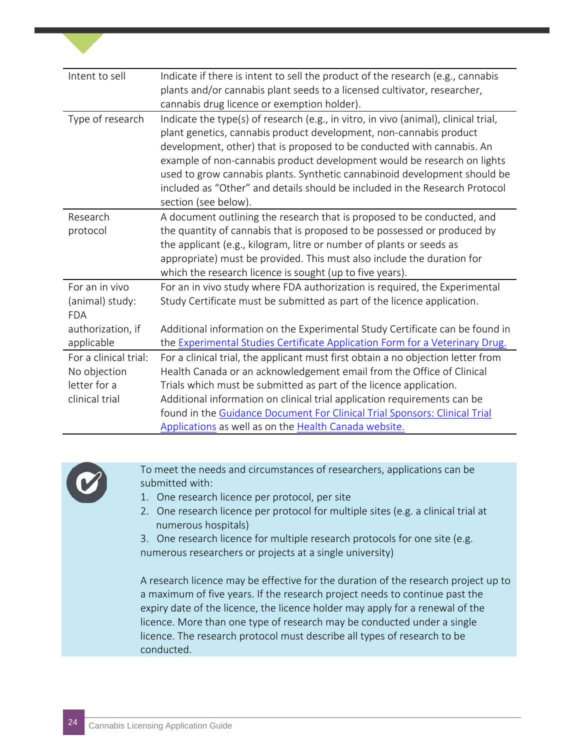| Intent to sell                                                                     | Indicate if there is intent to sell the product of the research (e.g., cannabis<br>plants and/or cannabis plant seeds to a licensed cultivator, researcher,<br>cannabis drug licence or exemption holder).                                                                                                                                                                                                                                                                                         |
|------------------------------------------------------------------------------------|----------------------------------------------------------------------------------------------------------------------------------------------------------------------------------------------------------------------------------------------------------------------------------------------------------------------------------------------------------------------------------------------------------------------------------------------------------------------------------------------------|
| Type of research                                                                   | Indicate the type(s) of research (e.g., in vitro, in vivo (animal), clinical trial,<br>plant genetics, cannabis product development, non-cannabis product<br>development, other) that is proposed to be conducted with cannabis. An<br>example of non-cannabis product development would be research on lights<br>used to grow cannabis plants. Synthetic cannabinoid development should be<br>included as "Other" and details should be included in the Research Protocol<br>section (see below). |
| Research<br>protocol                                                               | A document outlining the research that is proposed to be conducted, and<br>the quantity of cannabis that is proposed to be possessed or produced by<br>the applicant (e.g., kilogram, litre or number of plants or seeds as<br>appropriate) must be provided. This must also include the duration for<br>which the research licence is sought (up to five years).                                                                                                                                  |
| For an in vivo<br>(animal) study:<br><b>FDA</b><br>authorization, if<br>applicable | For an in vivo study where FDA authorization is required, the Experimental<br>Study Certificate must be submitted as part of the licence application.<br>Additional information on the Experimental Study Certificate can be found in<br>the Experimental Studies Certificate Application Form for a Veterinary Drug.                                                                                                                                                                              |
| For a clinical trial:<br>No objection<br>letter for a<br>clinical trial            | For a clinical trial, the applicant must first obtain a no objection letter from<br>Health Canada or an acknowledgement email from the Office of Clinical<br>Trials which must be submitted as part of the licence application.<br>Additional information on clinical trial application requirements can be<br>found in the Guidance Document For Clinical Trial Sponsors: Clinical Trial<br>Applications as well as on the Health Canada website.                                                 |



To meet the needs and circumstances of researchers, applications can be submitted with:

- 1. One research licence per protocol, per site
- 2. One research licence per protocol for multiple sites (e.g. a clinical trial at numerous hospitals)
- 3. One research licence for multiple research protocols for one site (e.g. numerous researchers or projects at a single university)

A research licence may be effective for the duration of the research project up to a maximum of five years. If the research project needs to continue past the expiry date of the licence, the licence holder may apply for a renewal of the licence. More than one type of research may be conducted under a single licence. The research protocol must describe all types of research to be conducted.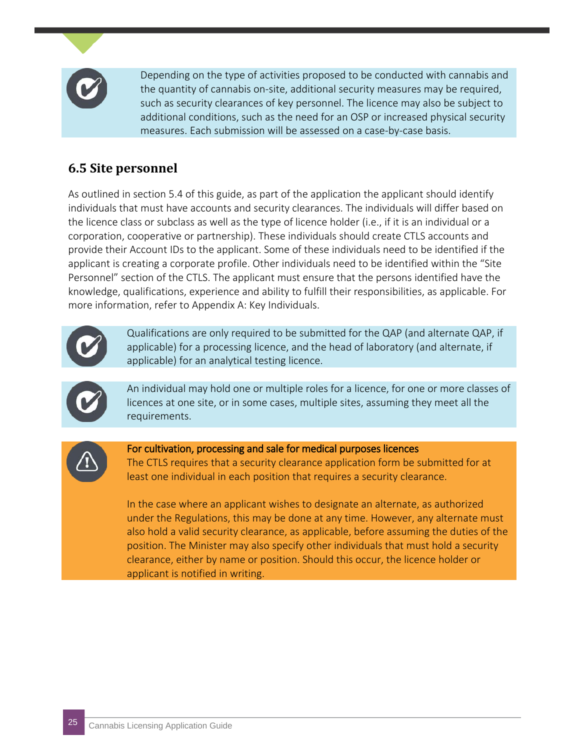

Depending on the type of activities proposed to be conducted with cannabis and the quantity of cannabis on-site, additional security measures may be required, such as security clearances of key personnel. The licence may also be subject to additional conditions, such as the need for an OSP or increased physical security measures. Each submission will be assessed on a case-by-case basis.

#### **6.5 Site personnel**

As outlined in section 5.4 of this guide, as part of the application the applicant should identify individuals that must have accounts and security clearances. The individuals will differ based on the licence class or subclass as well as the type of licence holder (i.e., if it is an individual or a corporation, cooperative or partnership). These individuals should create CTLS accounts and provide their Account IDs to the applicant. Some of these individuals need to be identified if the applicant is creating a corporate profile. Other individuals need to be identified within the "Site Personnel" section of the CTLS. The applicant must ensure that the persons identified have the knowledge, qualifications, experience and ability to fulfill their responsibilities, as applicable. For more information, refer to Appendix A: Key Individuals.



Qualifications are only required to be submitted for the QAP (and alternate QAP, if applicable) for a processing licence, and the head of laboratory (and alternate, if applicable) for an analytical testing licence.



An individual may hold one or multiple roles for a licence, for one or more classes of licences at one site, or in some cases, multiple sites, assuming they meet all the requirements.



For cultivation, processing and sale for medical purposes licences

The CTLS requires that a security clearance application form be submitted for at least one individual in each position that requires a security clearance.

In the case where an applicant wishes to designate an alternate, as authorized under the Regulations, this may be done at any time. However, any alternate must also hold a valid security clearance, as applicable, before assuming the duties of the position. The Minister may also specify other individuals that must hold a security clearance, either by name or position. Should this occur, the licence holder or applicant is notified in writing.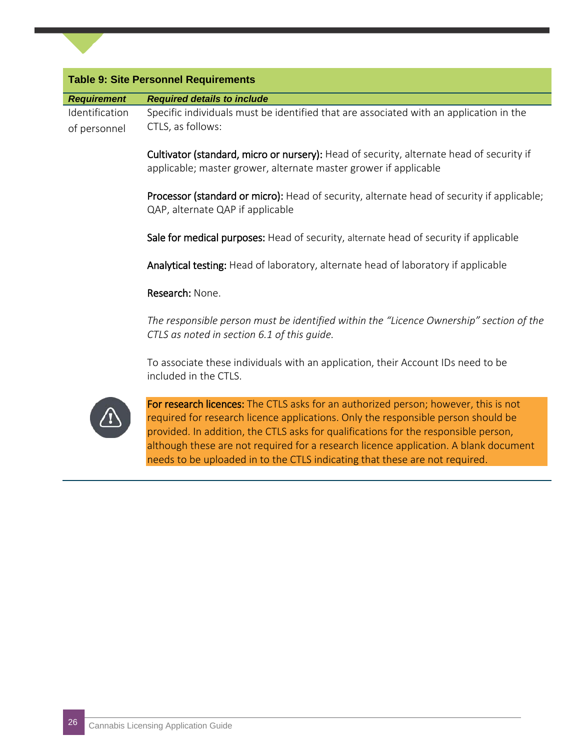| <b>Requirement</b> | <b>Required details to include</b>                                                                                                                                                                                                                                                                                                                                                                                                     |
|--------------------|----------------------------------------------------------------------------------------------------------------------------------------------------------------------------------------------------------------------------------------------------------------------------------------------------------------------------------------------------------------------------------------------------------------------------------------|
| Identification     | Specific individuals must be identified that are associated with an application in the                                                                                                                                                                                                                                                                                                                                                 |
| of personnel       | CTLS, as follows:                                                                                                                                                                                                                                                                                                                                                                                                                      |
|                    | Cultivator (standard, micro or nursery): Head of security, alternate head of security if<br>applicable; master grower, alternate master grower if applicable                                                                                                                                                                                                                                                                           |
|                    | Processor (standard or micro): Head of security, alternate head of security if applicable;<br>QAP, alternate QAP if applicable                                                                                                                                                                                                                                                                                                         |
|                    | Sale for medical purposes: Head of security, alternate head of security if applicable                                                                                                                                                                                                                                                                                                                                                  |
|                    | Analytical testing: Head of laboratory, alternate head of laboratory if applicable                                                                                                                                                                                                                                                                                                                                                     |
|                    | Research: None.                                                                                                                                                                                                                                                                                                                                                                                                                        |
|                    | The responsible person must be identified within the "Licence Ownership" section of the<br>CTLS as noted in section 6.1 of this guide.                                                                                                                                                                                                                                                                                                 |
|                    | To associate these individuals with an application, their Account IDs need to be<br>included in the CTLS.                                                                                                                                                                                                                                                                                                                              |
|                    | For research licences: The CTLS asks for an authorized person; however, this is not<br>required for research licence applications. Only the responsible person should be<br>provided. In addition, the CTLS asks for qualifications for the responsible person,<br>although these are not required for a research licence application. A blank document<br>needs to be uploaded in to the CTLS indicating that these are not required. |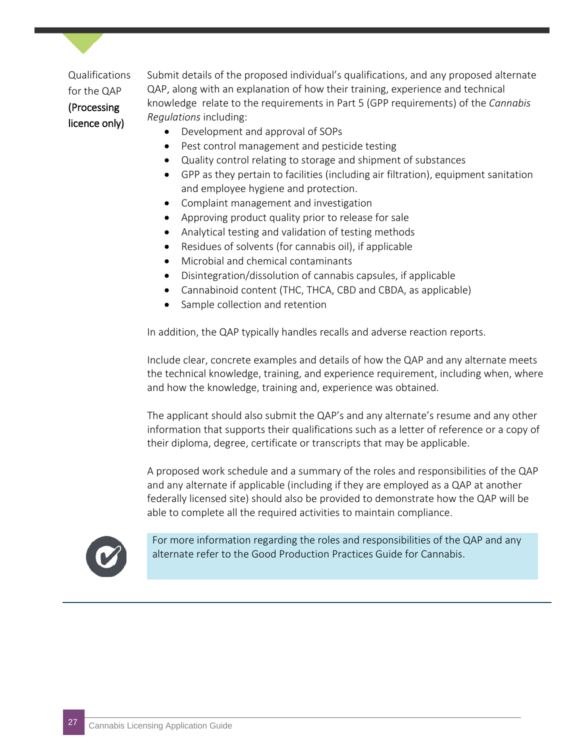Qualifications for the QAP (Processing licence only)

Submit details of the proposed individual's qualifications, and any proposed alternate QAP, along with an explanation of how their training, experience and technical knowledge relate to the requirements in Part 5 (GPP requirements) of the *Cannabis Regulations* including:

- Development and approval of SOPs
- Pest control management and pesticide testing
- Quality control relating to storage and shipment of substances
- GPP as they pertain to facilities (including air filtration), equipment sanitation and employee hygiene and protection.
- Complaint management and investigation
- Approving product quality prior to release for sale
- Analytical testing and validation of testing methods
- Residues of solvents (for cannabis oil), if applicable
- Microbial and chemical contaminants
- Disintegration/dissolution of cannabis capsules, if applicable
- Cannabinoid content (THC, THCA, CBD and CBDA, as applicable)
- Sample collection and retention

In addition, the QAP typically handles recalls and adverse reaction reports.

Include clear, concrete examples and details of how the QAP and any alternate meets the technical knowledge, training, and experience requirement, including when, where and how the knowledge, training and, experience was obtained.

The applicant should also submit the QAP's and any alternate's resume and any other information that supports their qualifications such as a letter of reference or a copy of their diploma, degree, certificate or transcripts that may be applicable.

A proposed work schedule and a summary of the roles and responsibilities of the QAP and any alternate if applicable (including if they are employed as a QAP at another federally licensed site) should also be provided to demonstrate how the QAP will be able to complete all the required activities to maintain compliance.



For more information regarding the roles and responsibilities of the QAP and any alternate refer to the Good Production Practices Guide for Cannabis.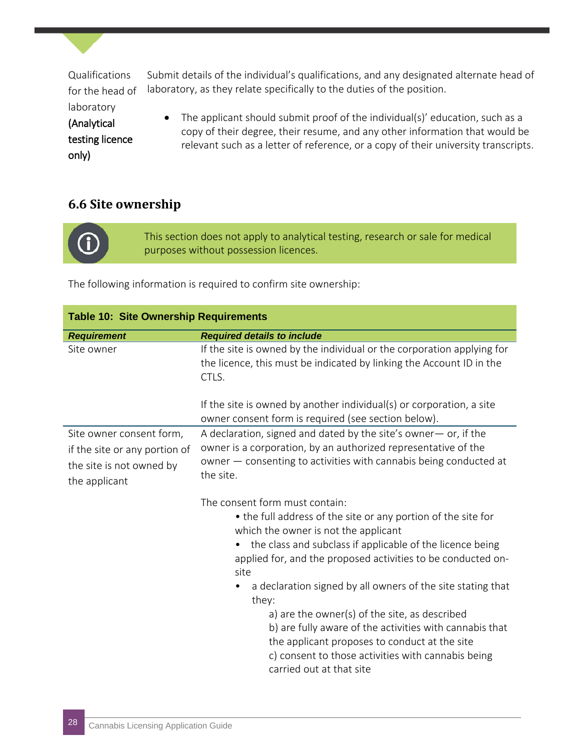Qualifications for the head of

laboratory (Analytical testing licence only)

Submit details of the individual's qualifications, and any designated alternate head of laboratory, as they relate specifically to the duties of the position.

• The applicant should submit proof of the individual(s)' education, such as a copy of their degree, their resume, and any other information that would be relevant such as a letter of reference, or a copy of their university transcripts.

#### **6.6 Site ownership**

This section does not apply to analytical testing, research or sale for medical purposes without possession licences.

The following information is required to confirm site ownership:

| <b>Table 10: Site Ownership Requirements</b>                                                           |                                                                                                                                                                                                                                                                                                                                                                                                                                                                                                                                                                                                     |  |
|--------------------------------------------------------------------------------------------------------|-----------------------------------------------------------------------------------------------------------------------------------------------------------------------------------------------------------------------------------------------------------------------------------------------------------------------------------------------------------------------------------------------------------------------------------------------------------------------------------------------------------------------------------------------------------------------------------------------------|--|
| <b>Requirement</b>                                                                                     | <b>Required details to include</b>                                                                                                                                                                                                                                                                                                                                                                                                                                                                                                                                                                  |  |
| Site owner                                                                                             | If the site is owned by the individual or the corporation applying for<br>the licence, this must be indicated by linking the Account ID in the<br>CTLS.                                                                                                                                                                                                                                                                                                                                                                                                                                             |  |
|                                                                                                        | If the site is owned by another individual(s) or corporation, a site<br>owner consent form is required (see section below).                                                                                                                                                                                                                                                                                                                                                                                                                                                                         |  |
| Site owner consent form,<br>if the site or any portion of<br>the site is not owned by<br>the applicant | A declaration, signed and dated by the site's owner- or, if the<br>owner is a corporation, by an authorized representative of the<br>owner - consenting to activities with cannabis being conducted at<br>the site.                                                                                                                                                                                                                                                                                                                                                                                 |  |
|                                                                                                        | The consent form must contain:<br>• the full address of the site or any portion of the site for<br>which the owner is not the applicant<br>the class and subclass if applicable of the licence being<br>applied for, and the proposed activities to be conducted on-<br>site<br>a declaration signed by all owners of the site stating that<br>they:<br>a) are the owner(s) of the site, as described<br>b) are fully aware of the activities with cannabis that<br>the applicant proposes to conduct at the site<br>c) consent to those activities with cannabis being<br>carried out at that site |  |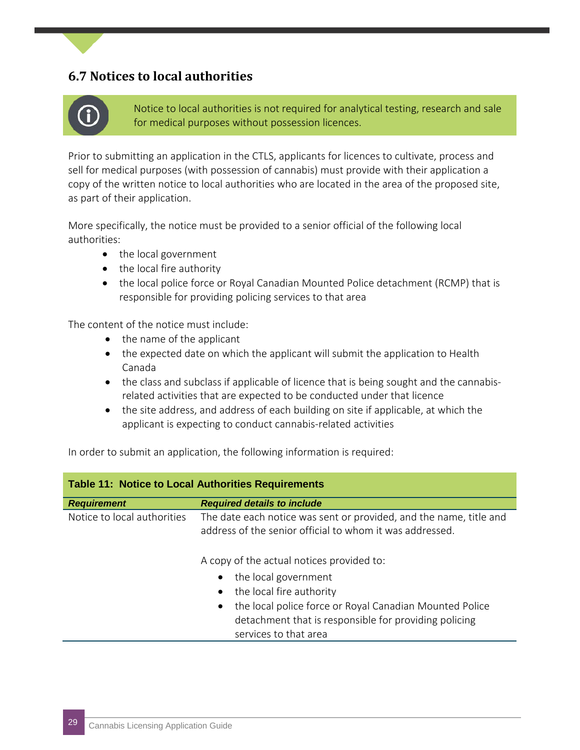#### **6.7 Notices to local authorities**



Notice to local authorities is not required for analytical testing, research and sale for medical purposes without possession licences.

Prior to submitting an application in the CTLS, applicants for licences to cultivate, process and sell for medical purposes (with possession of cannabis) must provide with their application a copy of the written notice to local authorities who are located in the area of the proposed site, as part of their application.

More specifically, the notice must be provided to a senior official of the following local authorities:

- the local government
- the local fire authority
- the local police force or Royal Canadian Mounted Police detachment (RCMP) that is responsible for providing policing services to that area

The content of the notice must include:

- the name of the applicant
- the expected date on which the applicant will submit the application to Health Canada
- the class and subclass if applicable of licence that is being sought and the cannabisrelated activities that are expected to be conducted under that licence
- the site address, and address of each building on site if applicable, at which the applicant is expecting to conduct cannabis-related activities

In order to submit an application, the following information is required:

| <b>Table 11: Notice to Local Authorities Requirements</b> |                                                                                                                                                                                                                         |  |
|-----------------------------------------------------------|-------------------------------------------------------------------------------------------------------------------------------------------------------------------------------------------------------------------------|--|
| <b>Requirement</b>                                        | <b>Required details to include</b>                                                                                                                                                                                      |  |
| Notice to local authorities                               | The date each notice was sent or provided, and the name, title and<br>address of the senior official to whom it was addressed.<br>A copy of the actual notices provided to:                                             |  |
|                                                           | the local government<br>$\bullet$<br>the local fire authority<br>the local police force or Royal Canadian Mounted Police<br>$\bullet$<br>detachment that is responsible for providing policing<br>services to that area |  |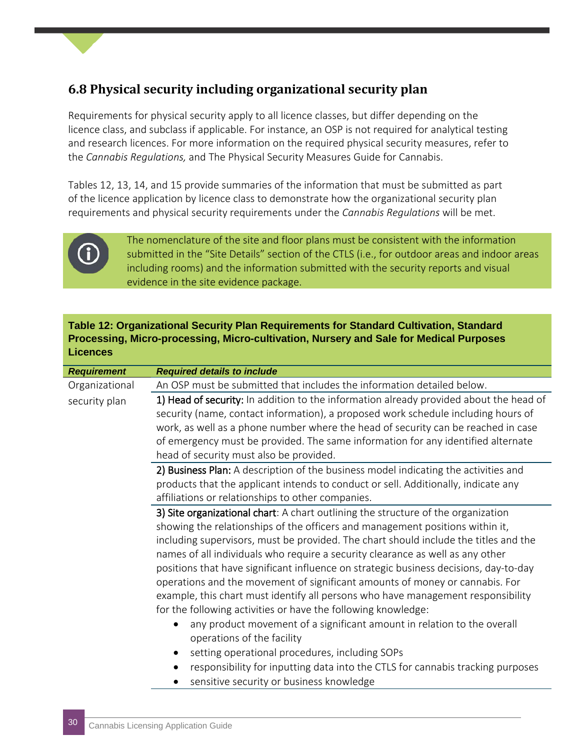#### **6.8 Physical security including organizational security plan**

Requirements for physical security apply to all licence classes, but differ depending on the licence class, and subclass if applicable. For instance, an OSP is not required for analytical testing and research licences. For more information on the required physical security measures, refer to the *Cannabis Regulations,* and The Physical Security Measures Guide for Cannabis.

Tables 12, 13, 14, and 15 provide summaries of the information that must be submitted as part of the licence application by licence class to demonstrate how the organizational security plan requirements and physical security requirements under the *Cannabis Regulations* will be met.



The nomenclature of the site and floor plans must be consistent with the information submitted in the "Site Details" section of the CTLS (i.e., for outdoor areas and indoor areas including rooms) and the information submitted with the security reports and visual evidence in the site evidence package.

#### **Table 12: Organizational Security Plan Requirements for Standard Cultivation, Standard Processing, Micro-processing, Micro-cultivation, Nursery and Sale for Medical Purposes Licences**

| <b>Requirement</b> | <b>Required details to include</b>                                                     |
|--------------------|----------------------------------------------------------------------------------------|
| Organizational     | An OSP must be submitted that includes the information detailed below.                 |
| security plan      | 1) Head of security: In addition to the information already provided about the head of |
|                    | security (name, contact information), a proposed work schedule including hours of      |
|                    | work, as well as a phone number where the head of security can be reached in case      |
|                    | of emergency must be provided. The same information for any identified alternate       |
|                    | head of security must also be provided.                                                |
|                    | 2) Business Plan: A description of the business model indicating the activities and    |
|                    | products that the applicant intends to conduct or sell. Additionally, indicate any     |
|                    | affiliations or relationships to other companies.                                      |
|                    | 3) Site organizational chart: A chart outlining the structure of the organization      |
|                    | showing the relationships of the officers and management positions within it,          |
|                    | including supervisors, must be provided. The chart should include the titles and the   |
|                    | names of all individuals who require a security clearance as well as any other         |
|                    | positions that have significant influence on strategic business decisions, day-to-day  |
|                    | operations and the movement of significant amounts of money or cannabis. For           |
|                    | example, this chart must identify all persons who have management responsibility       |
|                    | for the following activities or have the following knowledge:                          |
|                    | any product movement of a significant amount in relation to the overall                |
|                    | operations of the facility                                                             |
|                    | setting operational procedures, including SOPs                                         |
|                    | responsibility for inputting data into the CTLS for cannabis tracking purposes         |
|                    | sensitive security or business knowledge                                               |
|                    |                                                                                        |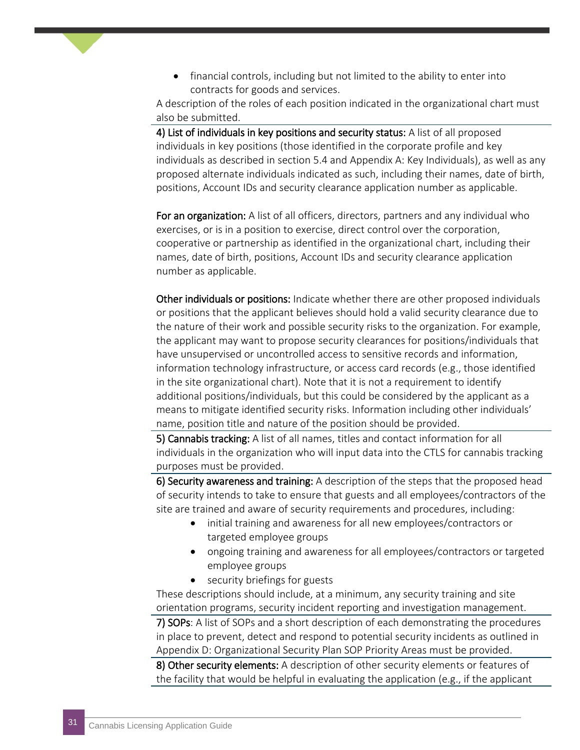• financial controls, including but not limited to the ability to enter into contracts for goods and services.

A description of the roles of each position indicated in the organizational chart must also be submitted.

4) List of individuals in key positions and security status: A list of all proposed individuals in key positions (those identified in the corporate profile and key individuals as described in section 5.4 and Appendix A: Key Individuals), as well as any proposed alternate individuals indicated as such, including their names, date of birth, positions, Account IDs and security clearance application number as applicable.

For an organization: A list of all officers, directors, partners and any individual who exercises, or is in a position to exercise, direct control over the corporation, cooperative or partnership as identified in the organizational chart, including their names, date of birth, positions, Account IDs and security clearance application number as applicable.

Other individuals or positions: Indicate whether there are other proposed individuals or positions that the applicant believes should hold a valid security clearance due to the nature of their work and possible security risks to the organization. For example, the applicant may want to propose security clearances for positions/individuals that have unsupervised or uncontrolled access to sensitive records and information, information technology infrastructure, or access card records (e.g., those identified in the site organizational chart). Note that it is not a requirement to identify additional positions/individuals, but this could be considered by the applicant as a means to mitigate identified security risks. Information including other individuals' name, position title and nature of the position should be provided.

5) Cannabis tracking: A list of all names, titles and contact information for all individuals in the organization who will input data into the CTLS for cannabis tracking purposes must be provided.

6) Security awareness and training: A description of the steps that the proposed head of security intends to take to ensure that guests and all employees/contractors of the site are trained and aware of security requirements and procedures, including:

- initial training and awareness for all new employees/contractors or targeted employee groups
- ongoing training and awareness for all employees/contractors or targeted employee groups
- security briefings for guests

These descriptions should include, at a minimum, any security training and site orientation programs, security incident reporting and investigation management.

7) SOPs: A list of SOPs and a short description of each demonstrating the procedures in place to prevent, detect and respond to potential security incidents as outlined in Appendix D: Organizational Security Plan SOP Priority Areas must be provided.

8) Other security elements: A description of other security elements or features of the facility that would be helpful in evaluating the application (e.g., if the applicant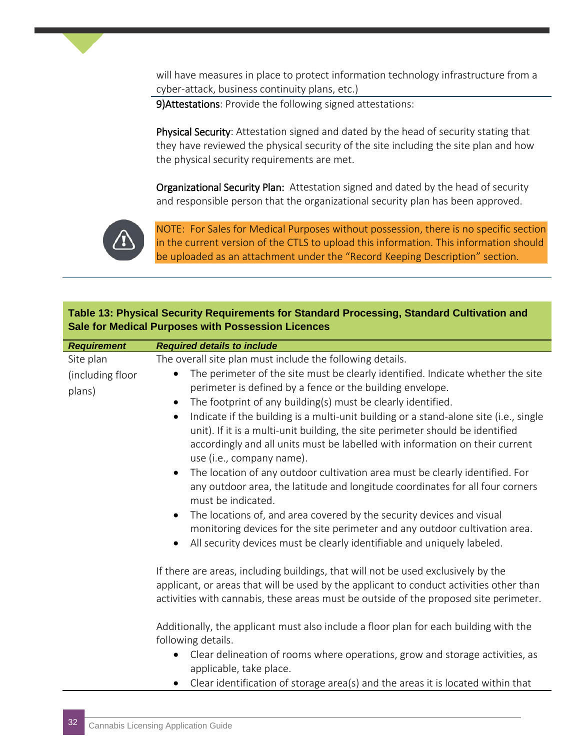will have measures in place to protect information technology infrastructure from a cyber-attack, business continuity plans, etc.)

9)Attestations: Provide the following signed attestations:

Physical Security: Attestation signed and dated by the head of security stating that they have reviewed the physical security of the site including the site plan and how the physical security requirements are met.

Organizational Security Plan: Attestation signed and dated by the head of security and responsible person that the organizational security plan has been approved.



NOTE: For Sales for Medical Purposes without possession, there is no specific section in the current version of the CTLS to upload this information. This information should be uploaded as an attachment under the "Record Keeping Description" section.

#### **Table 13: Physical Security Requirements for Standard Processing, Standard Cultivation and Sale for Medical Purposes with Possession Licences**

| <b>Requirement</b> | <b>Required details to include</b>                                                                                                                                                                                                                                    |
|--------------------|-----------------------------------------------------------------------------------------------------------------------------------------------------------------------------------------------------------------------------------------------------------------------|
| Site plan          | The overall site plan must include the following details.                                                                                                                                                                                                             |
| (including floor   | The perimeter of the site must be clearly identified. Indicate whether the site<br>$\bullet$                                                                                                                                                                          |
| plans)             | perimeter is defined by a fence or the building envelope.                                                                                                                                                                                                             |
|                    | The footprint of any building(s) must be clearly identified.<br>$\bullet$                                                                                                                                                                                             |
|                    | Indicate if the building is a multi-unit building or a stand-alone site (i.e., single<br>$\bullet$                                                                                                                                                                    |
|                    | unit). If it is a multi-unit building, the site perimeter should be identified                                                                                                                                                                                        |
|                    | accordingly and all units must be labelled with information on their current<br>use (i.e., company name).                                                                                                                                                             |
|                    | The location of any outdoor cultivation area must be clearly identified. For<br>$\bullet$                                                                                                                                                                             |
|                    | any outdoor area, the latitude and longitude coordinates for all four corners<br>must be indicated.                                                                                                                                                                   |
|                    | The locations of, and area covered by the security devices and visual<br>$\bullet$                                                                                                                                                                                    |
|                    | monitoring devices for the site perimeter and any outdoor cultivation area.                                                                                                                                                                                           |
|                    | All security devices must be clearly identifiable and uniquely labeled.<br>$\bullet$                                                                                                                                                                                  |
|                    | If there are areas, including buildings, that will not be used exclusively by the<br>applicant, or areas that will be used by the applicant to conduct activities other than<br>activities with cannabis, these areas must be outside of the proposed site perimeter. |
|                    | Additionally, the applicant must also include a floor plan for each building with the<br>following details.                                                                                                                                                           |
|                    | Clear delineation of rooms where operations, grow and storage activities, as<br>$\bullet$<br>applicable, take place.                                                                                                                                                  |
|                    | Clear identification of storage area(s) and the areas it is located within that<br>$\bullet$                                                                                                                                                                          |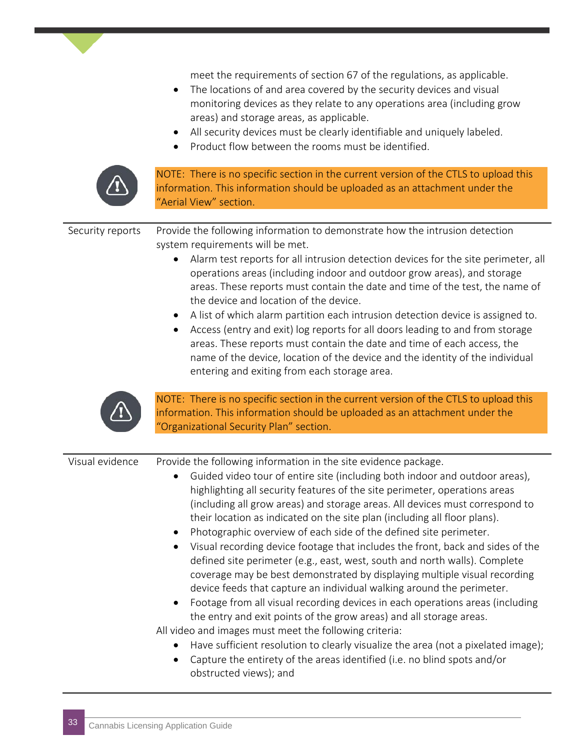meet the requirements of section 67 of the regulations, as applicable.

- The locations of and area covered by the security devices and visual monitoring devices as they relate to any operations area (including grow areas) and storage areas, as applicable.
- All security devices must be clearly identifiable and uniquely labeled.
- Product flow between the rooms must be identified.



NOTE: There is no specific section in the current version of the CTLS to upload this information. This information should be uploaded as an attachment under the "Aerial View" section.

Security reports Provide the following information to demonstrate how the intrusion detection system requirements will be met.

- Alarm test reports for all intrusion detection devices for the site perimeter, all operations areas (including indoor and outdoor grow areas), and storage areas. These reports must contain the date and time of the test, the name of the device and location of the device.
- A list of which alarm partition each intrusion detection device is assigned to.
- Access (entry and exit) log reports for all doors leading to and from storage areas. These reports must contain the date and time of each access, the name of the device, location of the device and the identity of the individual entering and exiting from each storage area.



NOTE: There is no specific section in the current version of the CTLS to upload this information. This information should be uploaded as an attachment under the "Organizational Security Plan" section.

| Visual evidence | Provide the following information in the site evidence package.<br>Guided video tour of entire site (including both indoor and outdoor areas),<br>$\bullet$<br>highlighting all security features of the site perimeter, operations areas<br>(including all grow areas) and storage areas. All devices must correspond to<br>their location as indicated on the site plan (including all floor plans).<br>Photographic overview of each side of the defined site perimeter.<br>$\bullet$<br>Visual recording device footage that includes the front, back and sides of the<br>$\bullet$<br>defined site perimeter (e.g., east, west, south and north walls). Complete<br>coverage may be best demonstrated by displaying multiple visual recording<br>device feeds that capture an individual walking around the perimeter.<br>Footage from all visual recording devices in each operations areas (including<br>$\bullet$<br>the entry and exit points of the grow areas) and all storage areas.<br>All video and images must meet the following criteria:<br>Have sufficient resolution to clearly visualize the area (not a pixelated image);<br>$\bullet$ |
|-----------------|--------------------------------------------------------------------------------------------------------------------------------------------------------------------------------------------------------------------------------------------------------------------------------------------------------------------------------------------------------------------------------------------------------------------------------------------------------------------------------------------------------------------------------------------------------------------------------------------------------------------------------------------------------------------------------------------------------------------------------------------------------------------------------------------------------------------------------------------------------------------------------------------------------------------------------------------------------------------------------------------------------------------------------------------------------------------------------------------------------------------------------------------------------------|
|                 | Capture the entirety of the areas identified (i.e. no blind spots and/or<br>$\bullet$<br>obstructed views); and                                                                                                                                                                                                                                                                                                                                                                                                                                                                                                                                                                                                                                                                                                                                                                                                                                                                                                                                                                                                                                              |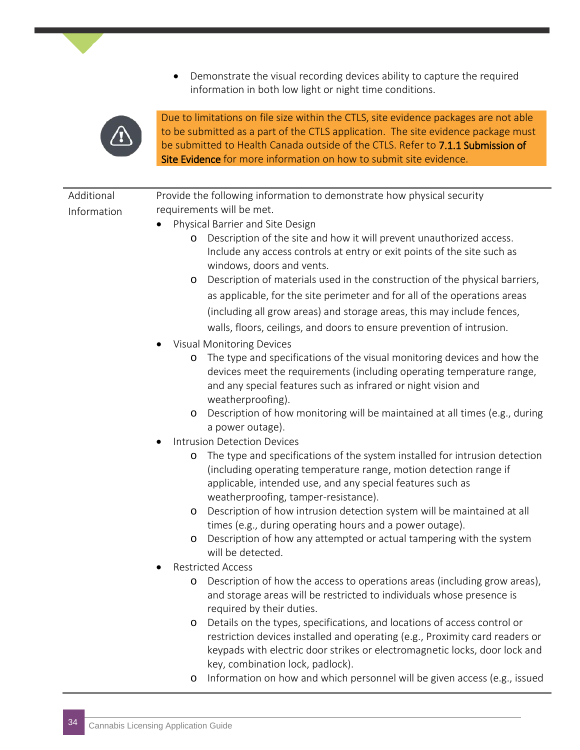• Demonstrate the visual recording devices ability to capture the required information in both low light or night time conditions.



Due to limitations on file size within the CTLS, site evidence packages are not able to be submitted as a part of the CTLS application. The site evidence package must be submitted to Health Canada outside of the CTLS. Refer to 7.1.1 Submission of Site Evidence for more information on how to submit site evidence.

| Additional  | Provide the following information to demonstrate how physical security                                |
|-------------|-------------------------------------------------------------------------------------------------------|
| Information | requirements will be met.                                                                             |
|             | Physical Barrier and Site Design                                                                      |
|             | Description of the site and how it will prevent unauthorized access.<br>$\circ$                       |
|             | Include any access controls at entry or exit points of the site such as                               |
|             | windows, doors and vents.                                                                             |
|             | Description of materials used in the construction of the physical barriers,<br>$\circ$                |
|             | as applicable, for the site perimeter and for all of the operations areas                             |
|             | (including all grow areas) and storage areas, this may include fences,                                |
|             | walls, floors, ceilings, and doors to ensure prevention of intrusion.                                 |
|             | <b>Visual Monitoring Devices</b>                                                                      |
|             | The type and specifications of the visual monitoring devices and how the<br>$\circ$                   |
|             | devices meet the requirements (including operating temperature range,                                 |
|             | and any special features such as infrared or night vision and                                         |
|             | weatherproofing).                                                                                     |
|             | Description of how monitoring will be maintained at all times (e.g., during<br>$\circ$                |
|             | a power outage).                                                                                      |
|             | <b>Intrusion Detection Devices</b>                                                                    |
|             | The type and specifications of the system installed for intrusion detection<br>$\circ$                |
|             | (including operating temperature range, motion detection range if                                     |
|             | applicable, intended use, and any special features such as                                            |
|             | weatherproofing, tamper-resistance).                                                                  |
|             | Description of how intrusion detection system will be maintained at all<br>$\circ$                    |
|             | times (e.g., during operating hours and a power outage).                                              |
|             | Description of how any attempted or actual tampering with the system<br>$\circ$                       |
|             | will be detected.                                                                                     |
|             | <b>Restricted Access</b><br>Description of how the access to operations areas (including grow areas), |
|             | $\circ$<br>and storage areas will be restricted to individuals whose presence is                      |
|             | required by their duties.                                                                             |
|             | Details on the types, specifications, and locations of access control or<br>O                         |
|             | restriction devices installed and operating (e.g., Proximity card readers or                          |
|             | keypads with electric door strikes or electromagnetic locks, door lock and                            |
|             | key, combination lock, padlock).                                                                      |
|             | Information on how and which personnel will be given access (e.g., issued<br>O                        |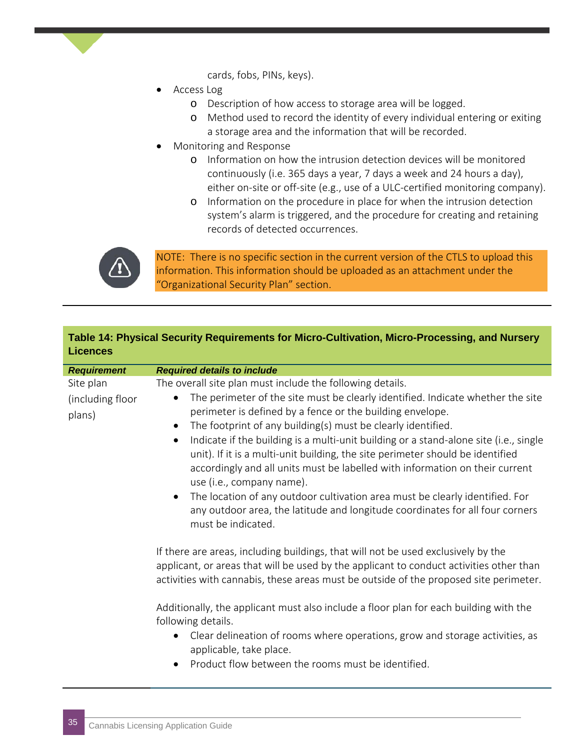cards, fobs, PINs, keys).

- Access Log
	- o Description of how access to storage area will be logged.
	- o Method used to record the identity of every individual entering or exiting a storage area and the information that will be recorded.
- Monitoring and Response
	- o Information on how the intrusion detection devices will be monitored continuously (i.e. 365 days a year, 7 days a week and 24 hours a day), either on-site or off-site (e.g., use of a ULC-certified monitoring company).
	- o Information on the procedure in place for when the intrusion detection system's alarm is triggered, and the procedure for creating and retaining records of detected occurrences.



NOTE: There is no specific section in the current version of the CTLS to upload this information. This information should be uploaded as an attachment under the "Organizational Security Plan" section.

#### **Table 14: Physical Security Requirements for Micro-Cultivation, Micro-Processing, and Nursery Licences**

| <b>Requirement</b>                      | <b>Required details to include</b>                                                                                                                                                                                                                                                                                                                                                                                                                                                                                                                                                                                                                                                                                                                                                                           |
|-----------------------------------------|--------------------------------------------------------------------------------------------------------------------------------------------------------------------------------------------------------------------------------------------------------------------------------------------------------------------------------------------------------------------------------------------------------------------------------------------------------------------------------------------------------------------------------------------------------------------------------------------------------------------------------------------------------------------------------------------------------------------------------------------------------------------------------------------------------------|
| Site plan<br>(including floor<br>plans) | The overall site plan must include the following details.<br>The perimeter of the site must be clearly identified. Indicate whether the site<br>$\bullet$<br>perimeter is defined by a fence or the building envelope.<br>The footprint of any building(s) must be clearly identified.<br>$\bullet$<br>Indicate if the building is a multi-unit building or a stand-alone site (i.e., single<br>$\bullet$<br>unit). If it is a multi-unit building, the site perimeter should be identified<br>accordingly and all units must be labelled with information on their current<br>use (i.e., company name).<br>The location of any outdoor cultivation area must be clearly identified. For<br>$\bullet$<br>any outdoor area, the latitude and longitude coordinates for all four corners<br>must be indicated. |
|                                         | If there are areas, including buildings, that will not be used exclusively by the<br>applicant, or areas that will be used by the applicant to conduct activities other than<br>activities with cannabis, these areas must be outside of the proposed site perimeter.<br>Additionally, the applicant must also include a floor plan for each building with the<br>following details.<br>Clear delineation of rooms where operations, grow and storage activities, as<br>$\bullet$<br>applicable, take place.<br>Product flow between the rooms must be identified.                                                                                                                                                                                                                                           |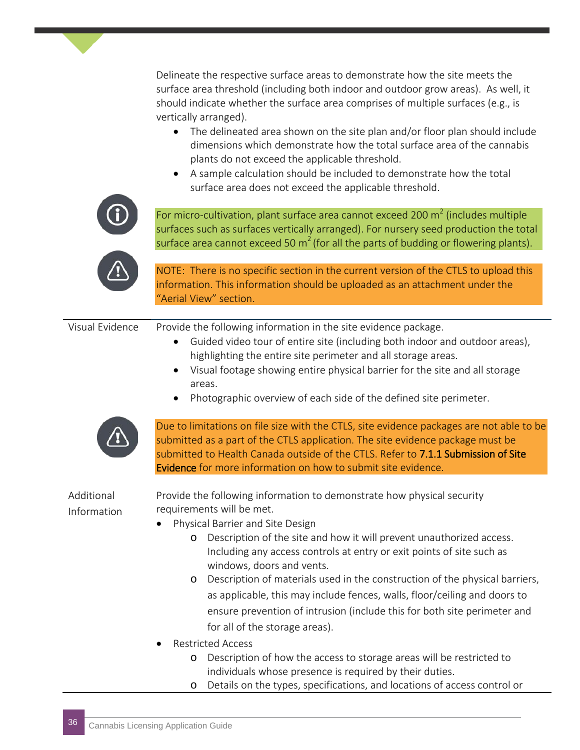Delineate the respective surface areas to demonstrate how the site meets the surface area threshold (including both indoor and outdoor grow areas). As well, it should indicate whether the surface area comprises of multiple surfaces (e.g., is vertically arranged).

- The delineated area shown on the site plan and/or floor plan should include dimensions which demonstrate how the total surface area of the cannabis plants do not exceed the applicable threshold.
- A sample calculation should be included to demonstrate how the total surface area does not exceed the applicable threshold.



For micro-cultivation, plant surface area cannot exceed 200  $\text{m}^2$  (includes multiple surfaces such as surfaces vertically arranged). For nursery seed production the total surface area cannot exceed 50  $m^2$  (for all the parts of budding or flowering plants).



NOTE: There is no specific section in the current version of the CTLS to upload this information. This information should be uploaded as an attachment under the "Aerial View" section.

Visual Evidence Provide the following information in the site evidence package.

- Guided video tour of entire site (including both indoor and outdoor areas), highlighting the entire site perimeter and all storage areas.
- Visual footage showing entire physical barrier for the site and all storage areas.
- Photographic overview of each side of the defined site perimeter.



Due to limitations on file size with the CTLS, site evidence packages are not able to be submitted as a part of the CTLS application. The site evidence package must be submitted to Health Canada outside of the CTLS. Refer to 7.1.1 Submission of Site Evidence for more information on how to submit site evidence.

#### Additional Information

Provide the following information to demonstrate how physical security requirements will be met.

- Physical Barrier and Site Design
	- o Description of the site and how it will prevent unauthorized access. Including any access controls at entry or exit points of site such as windows, doors and vents.
	- o Description of materials used in the construction of the physical barriers, as applicable, this may include fences, walls, floor/ceiling and doors to ensure prevention of intrusion (include this for both site perimeter and for all of the storage areas).
- Restricted Access
	- o Description of how the access to storage areas will be restricted to individuals whose presence is required by their duties.
	- o Details on the types, specifications, and locations of access control or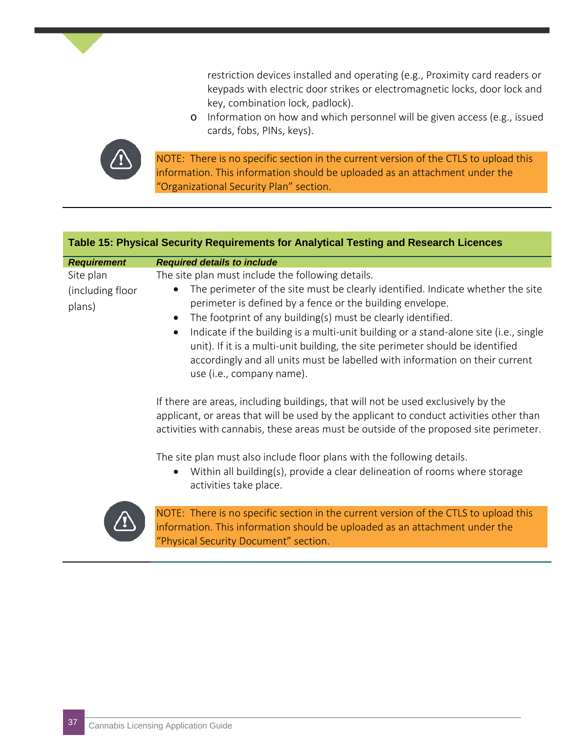restriction devices installed and operating (e.g., Proximity card readers or keypads with electric door strikes or electromagnetic locks, door lock and key, combination lock, padlock).

o Information on how and which personnel will be given access (e.g., issued cards, fobs, PINs, keys).



NOTE: There is no specific section in the current version of the CTLS to upload this information. This information should be uploaded as an attachment under the "Organizational Security Plan" section.

#### **Table 15: Physical Security Requirements for Analytical Testing and Research Licences**

| <b>Requirement</b>         | <b>Required details to include</b>                                                                                                                                                                                                                                                                                                                                                                                                                                                                                |
|----------------------------|-------------------------------------------------------------------------------------------------------------------------------------------------------------------------------------------------------------------------------------------------------------------------------------------------------------------------------------------------------------------------------------------------------------------------------------------------------------------------------------------------------------------|
| Site plan                  | The site plan must include the following details.                                                                                                                                                                                                                                                                                                                                                                                                                                                                 |
| (including floor<br>plans) | The perimeter of the site must be clearly identified. Indicate whether the site<br>perimeter is defined by a fence or the building envelope.<br>The footprint of any building(s) must be clearly identified.<br>$\bullet$<br>Indicate if the building is a multi-unit building or a stand-alone site (i.e., single<br>unit). If it is a multi-unit building, the site perimeter should be identified<br>accordingly and all units must be labelled with information on their current<br>use (i.e., company name). |
|                            | If there are areas, including buildings, that will not be used exclusively by the<br>applicant, or areas that will be used by the applicant to conduct activities other than<br>activities with cannabis, these areas must be outside of the proposed site perimeter.<br>The site plan must also include floor plans with the following details.<br>Within all building(s), provide a clear delineation of rooms where storage                                                                                    |
|                            | activities take place.                                                                                                                                                                                                                                                                                                                                                                                                                                                                                            |



NOTE: There is no specific section in the current version of the CTLS to upload this information. This information should be uploaded as an attachment under the "Physical Security Document" section.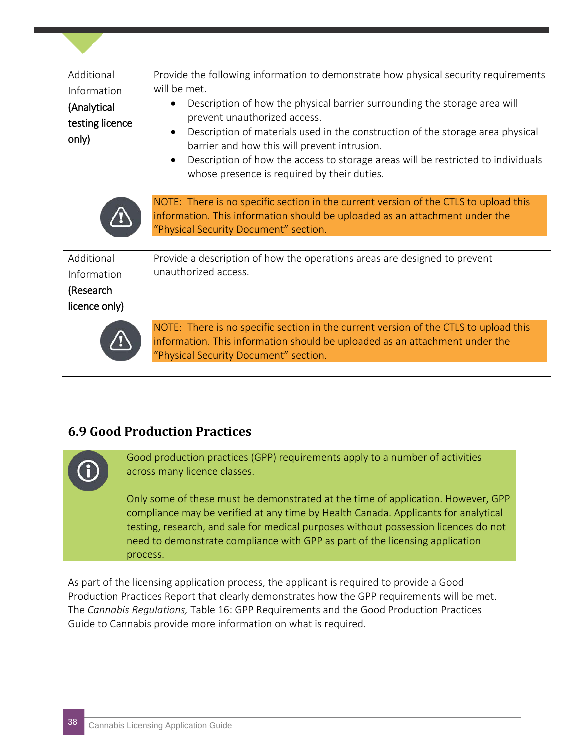| Additional<br>Information<br>(Analytical<br>testing licence<br>only) | Provide the following information to demonstrate how physical security requirements<br>will be met.<br>Description of how the physical barrier surrounding the storage area will<br>٠<br>prevent unauthorized access.<br>Description of materials used in the construction of the storage area physical<br>$\bullet$<br>barrier and how this will prevent intrusion.<br>Description of how the access to storage areas will be restricted to individuals<br>$\bullet$<br>whose presence is required by their duties. |
|----------------------------------------------------------------------|----------------------------------------------------------------------------------------------------------------------------------------------------------------------------------------------------------------------------------------------------------------------------------------------------------------------------------------------------------------------------------------------------------------------------------------------------------------------------------------------------------------------|
|                                                                      | NOTE: There is no specific section in the current version of the CTLS to upload this<br>information. This information should be uploaded as an attachment under the<br>"Physical Security Document" section.                                                                                                                                                                                                                                                                                                         |
| Additional<br>Information<br>(Research<br>licence only)              | Provide a description of how the operations areas are designed to prevent<br>unauthorized access.                                                                                                                                                                                                                                                                                                                                                                                                                    |
|                                                                      | NOTE: There is no specific section in the current version of the CTLS to upload this<br>information. This information should be uploaded as an attachment under the<br>"Physical Security Document" section.                                                                                                                                                                                                                                                                                                         |

#### **6.9 Good Production Practices**

Good production practices (GPP) requirements apply to a number of activities across many licence classes.

Only some of these must be demonstrated at the time of application. However, GPP compliance may be verified at any time by Health Canada. Applicants for analytical testing, research, and sale for medical purposes without possession licences do not need to demonstrate compliance with GPP as part of the licensing application process.

As part of the licensing application process, the applicant is required to provide a Good Production Practices Report that clearly demonstrates how the GPP requirements will be met. The *Cannabis Regulations,* Table 16: GPP Requirements and the Good Production Practices Guide to Cannabis provide more information on what is required.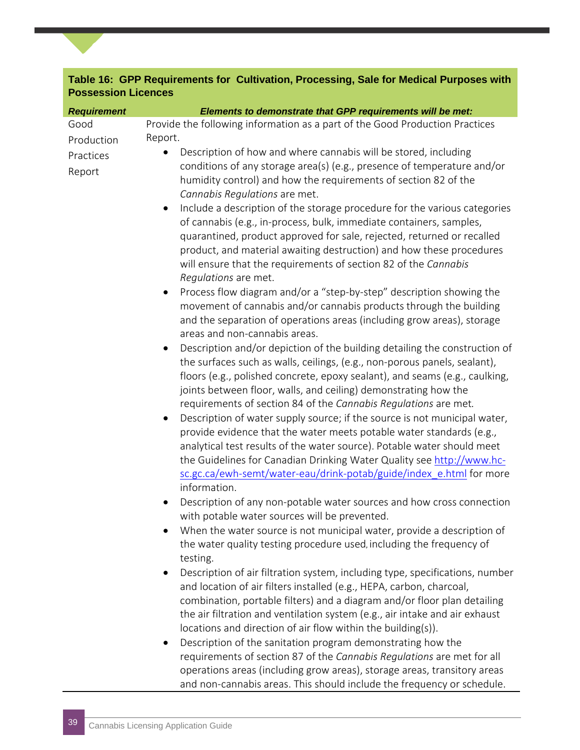#### **Table 16: GPP Requirements for Cultivation, Processing, Sale for Medical Purposes with Possession Licences**

| <b>Requirement</b>  | Elements to demonstrate that GPP requirements will be met:                                                                                                                                                                                                                                                                                                                                                                                                                                                                                                                                                                                                                                                                                                                                                                                                                                                                                    |
|---------------------|-----------------------------------------------------------------------------------------------------------------------------------------------------------------------------------------------------------------------------------------------------------------------------------------------------------------------------------------------------------------------------------------------------------------------------------------------------------------------------------------------------------------------------------------------------------------------------------------------------------------------------------------------------------------------------------------------------------------------------------------------------------------------------------------------------------------------------------------------------------------------------------------------------------------------------------------------|
| Good                | Provide the following information as a part of the Good Production Practices                                                                                                                                                                                                                                                                                                                                                                                                                                                                                                                                                                                                                                                                                                                                                                                                                                                                  |
| Production          | Report.                                                                                                                                                                                                                                                                                                                                                                                                                                                                                                                                                                                                                                                                                                                                                                                                                                                                                                                                       |
| Practices<br>Report | Description of how and where cannabis will be stored, including<br>conditions of any storage area(s) (e.g., presence of temperature and/or<br>humidity control) and how the requirements of section 82 of the<br>Cannabis Regulations are met.                                                                                                                                                                                                                                                                                                                                                                                                                                                                                                                                                                                                                                                                                                |
|                     | Include a description of the storage procedure for the various categories<br>$\bullet$<br>of cannabis (e.g., in-process, bulk, immediate containers, samples,<br>quarantined, product approved for sale, rejected, returned or recalled<br>product, and material awaiting destruction) and how these procedures<br>will ensure that the requirements of section 82 of the Cannabis<br>Regulations are met.                                                                                                                                                                                                                                                                                                                                                                                                                                                                                                                                    |
|                     | Process flow diagram and/or a "step-by-step" description showing the<br>$\bullet$<br>movement of cannabis and/or cannabis products through the building<br>and the separation of operations areas (including grow areas), storage<br>areas and non-cannabis areas.                                                                                                                                                                                                                                                                                                                                                                                                                                                                                                                                                                                                                                                                            |
|                     | Description and/or depiction of the building detailing the construction of<br>$\bullet$<br>the surfaces such as walls, ceilings, (e.g., non-porous panels, sealant),<br>floors (e.g., polished concrete, epoxy sealant), and seams (e.g., caulking,<br>joints between floor, walls, and ceiling) demonstrating how the<br>requirements of section 84 of the Cannabis Regulations are met.<br>Description of water supply source; if the source is not municipal water,<br>$\bullet$<br>provide evidence that the water meets potable water standards (e.g.,<br>analytical test results of the water source). Potable water should meet<br>the Guidelines for Canadian Drinking Water Quality see http://www.hc-<br>sc.gc.ca/ewh-semt/water-eau/drink-potab/guide/index e.html for more<br>information.<br>Description of any non-potable water sources and how cross connection<br>$\bullet$<br>with potable water sources will be prevented. |
|                     | When the water source is not municipal water, provide a description of<br>the water quality testing procedure used, including the frequency of<br>testing.<br>Description of air filtration system, including type, specifications, number<br>$\bullet$<br>and location of air filters installed (e.g., HEPA, carbon, charcoal,<br>combination, portable filters) and a diagram and/or floor plan detailing<br>the air filtration and ventilation system (e.g., air intake and air exhaust<br>locations and direction of air flow within the building(s)).<br>Description of the sanitation program demonstrating how the<br>٠<br>requirements of section 87 of the Cannabis Regulations are met for all<br>operations areas (including grow areas), storage areas, transitory areas<br>and non-cannabis areas. This should include the frequency or schedule.                                                                                |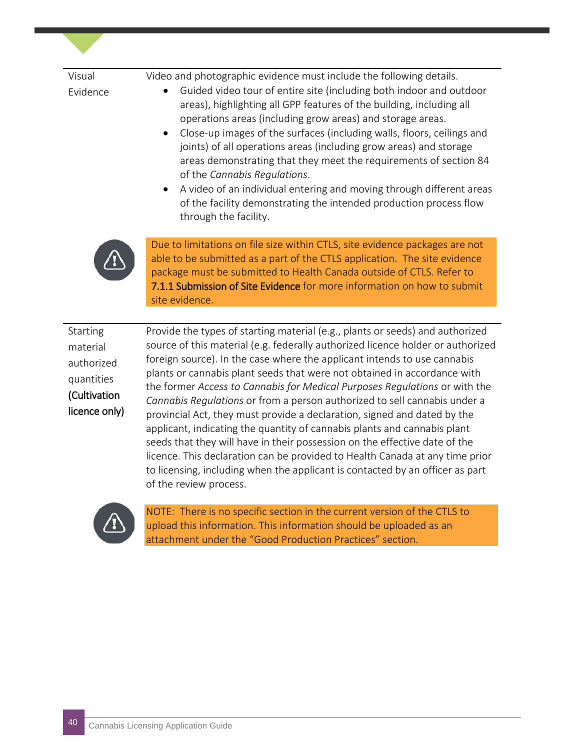| Visual                                                                            | Video and photographic evidence must include the following details.                                                                                                                                                                                                                                                                                                                                                                                                                                                                                                                                                                                             |
|-----------------------------------------------------------------------------------|-----------------------------------------------------------------------------------------------------------------------------------------------------------------------------------------------------------------------------------------------------------------------------------------------------------------------------------------------------------------------------------------------------------------------------------------------------------------------------------------------------------------------------------------------------------------------------------------------------------------------------------------------------------------|
| Evidence                                                                          | Guided video tour of entire site (including both indoor and outdoor<br>areas), highlighting all GPP features of the building, including all<br>operations areas (including grow areas) and storage areas.<br>Close-up images of the surfaces (including walls, floors, ceilings and<br>$\bullet$<br>joints) of all operations areas (including grow areas) and storage<br>areas demonstrating that they meet the requirements of section 84<br>of the Cannabis Regulations.<br>A video of an individual entering and moving through different areas<br>$\bullet$<br>of the facility demonstrating the intended production process flow<br>through the facility. |
|                                                                                   | Due to limitations on file size within CTLS, site evidence packages are not<br>able to be submitted as a part of the CTLS application. The site evidence<br>package must be submitted to Health Canada outside of CTLS. Refer to<br>7.1.1 Submission of Site Evidence for more information on how to submit<br>site evidence.                                                                                                                                                                                                                                                                                                                                   |
| Starting<br>material<br>authorized<br>quantities<br>(Cultivation<br>licence only) | Provide the types of starting material (e.g., plants or seeds) and authorized<br>source of this material (e.g. federally authorized licence holder or authorized<br>foreign source). In the case where the applicant intends to use cannabis<br>plants or cannabis plant seeds that were not obtained in accordance with<br>the former Access to Cannabis for Medical Purposes Regulations or with the<br>Cannabis Regulations or from a person authorized to sell cannabis under a<br>provincial Act, they must provide a declaration signed and dated by the                                                                                                  |

provincial Act, they must provide a declaration, signed and dated by the applicant, indicating the quantity of cannabis plants and cannabis plant seeds that they will have in their possession on the effective date of the licence. This declaration can be provided to Health Canada at any time prior to licensing, including when the applicant is contacted by an officer as part of the review process.



NOTE: There is no specific section in the current version of the CTLS to upload this information. This information should be uploaded as an attachment under the "Good Production Practices" section.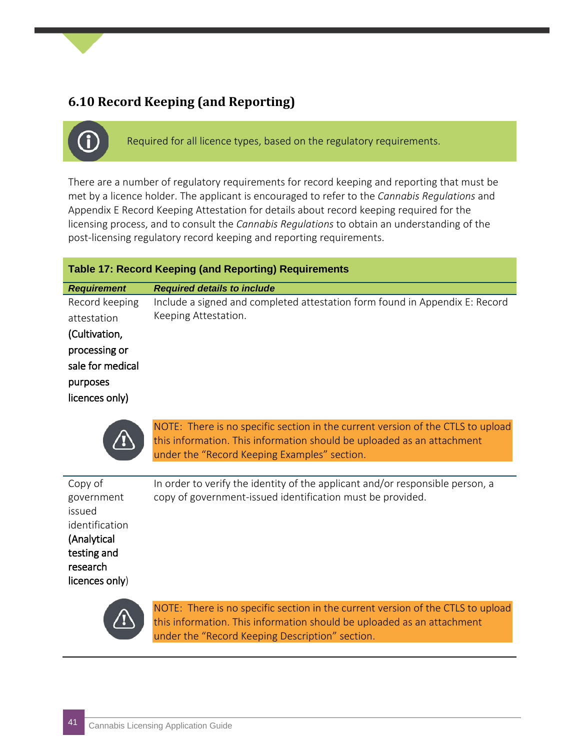#### **6.10 Record Keeping (and Reporting)**

Required for all licence types, based on the regulatory requirements.

There are a number of regulatory requirements for record keeping and reporting that must be met by a licence holder. The applicant is encouraged to refer to the *Cannabis Regulations* and Appendix E Record Keeping Attestation for details about record keeping required for the licensing process, and to consult the *Cannabis Regulations* to obtain an understanding of the post-licensing regulatory record keeping and reporting requirements.

| <b>Table 17: Record Keeping (and Reporting) Requirements</b>                                                      |                                                                                                     |  |  |  |
|-------------------------------------------------------------------------------------------------------------------|-----------------------------------------------------------------------------------------------------|--|--|--|
| <b>Requirement</b>                                                                                                | <b>Required details to include</b>                                                                  |  |  |  |
| Record keeping<br>attestation<br>(Cultivation,<br>processing or<br>sale for medical<br>purposes<br>licences only) | Include a signed and completed attestation form found in Appendix E: Record<br>Keeping Attestation. |  |  |  |



NOTE: There is no specific section in the current version of the CTLS to upload this information. This information should be uploaded as an attachment under the "Record Keeping Examples" section.

| Copy of<br>government<br>issued<br>identification<br>(Analytical<br>testing and<br>research<br>licences only) | In order to verify the identity of the applicant and/or responsible person, a<br>copy of government-issued identification must be provided. |
|---------------------------------------------------------------------------------------------------------------|---------------------------------------------------------------------------------------------------------------------------------------------|
|                                                                                                               |                                                                                                                                             |



NOTE: There is no specific section in the current version of the CTLS to upload this information. This information should be uploaded as an attachment under the "Record Keeping Description" section.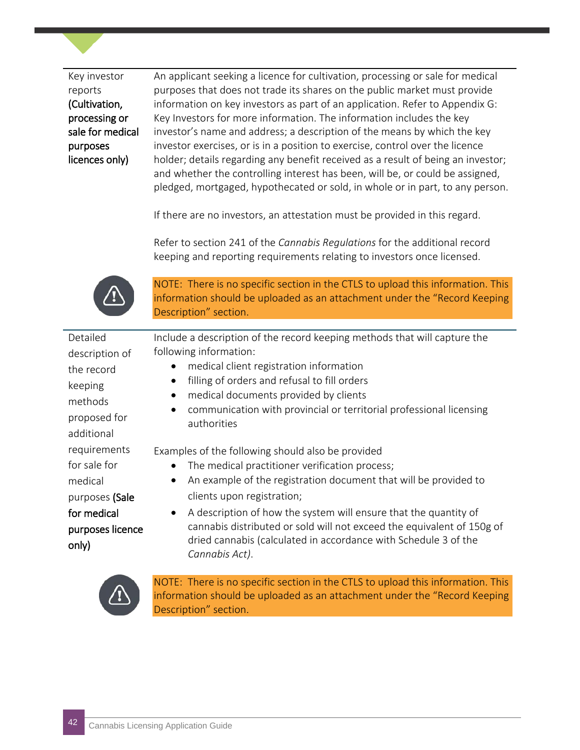Key investor reports (Cultivation, processing or sale for medical purposes licences only)

An applicant seeking a licence for cultivation, processing or sale for medical purposes that does not trade its shares on the public market must provide information on key investors as part of an application. Refer to Appendix G: Key Investors for more information. The information includes the key investor's name and address; a description of the means by which the key investor exercises, or is in a position to exercise, control over the licence holder; details regarding any benefit received as a result of being an investor; and whether the controlling interest has been, will be, or could be assigned, pledged, mortgaged, hypothecated or sold, in whole or in part, to any person.

If there are no investors, an attestation must be provided in this regard.

Refer to section 241 of the *Cannabis Regulations* for the additional record keeping and reporting requirements relating to investors once licensed.



NOTE: There is no specific section in the CTLS to upload this information. This information should be uploaded as an attachment under the "Record Keeping Description" section.

| Include a description of the record keeping methods that will capture the                                                                                   |
|-------------------------------------------------------------------------------------------------------------------------------------------------------------|
| following information:                                                                                                                                      |
| medical client registration information                                                                                                                     |
| filling of orders and refusal to fill orders                                                                                                                |
| medical documents provided by clients<br>$\bullet$                                                                                                          |
| communication with provincial or territorial professional licensing<br>$\bullet$<br>authorities                                                             |
|                                                                                                                                                             |
| Examples of the following should also be provided                                                                                                           |
| The medical practitioner verification process;<br>$\bullet$                                                                                                 |
| An example of the registration document that will be provided to<br>$\bullet$                                                                               |
| clients upon registration;                                                                                                                                  |
| A description of how the system will ensure that the quantity of<br>$\bullet$                                                                               |
| cannabis distributed or sold will not exceed the equivalent of 150g of<br>dried cannabis (calculated in accordance with Schedule 3 of the<br>Cannabis Act). |
|                                                                                                                                                             |



NOTE: There is no specific section in the CTLS to upload this information. This information should be uploaded as an attachment under the "Record Keeping Description" section.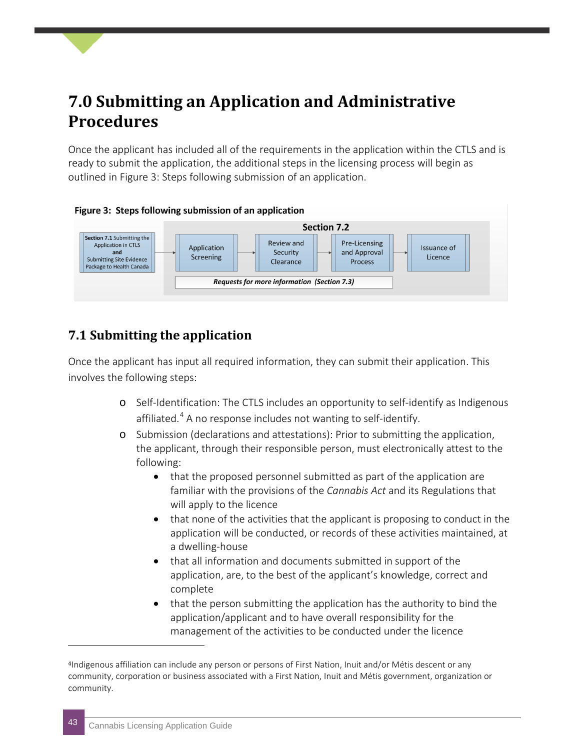### <span id="page-42-0"></span>**7.0 Submitting an Application and Administrative Procedures**

Once the applicant has included all of the requirements in the application within the CTLS and is ready to submit the application, the additional steps in the licensing process will begin as outlined in Figure 3: Steps following submission of an application.



#### Figure 3: Steps following submission of an application

#### **7.1 Submitting the application**

Once the applicant has input all required information, they can submit their application. This involves the following steps:

- o Self-Identification: The CTLS includes an opportunity to self-identify as Indigenous affiliated.<sup>[4](#page-42-1)</sup> A no response includes not wanting to self-identify.
- o Submission (declarations and attestations): Prior to submitting the application, the applicant, through their responsible person, must electronically attest to the following:
	- that the proposed personnel submitted as part of the application are familiar with the provisions of the *Cannabis Act* and its Regulations that will apply to the licence
	- that none of the activities that the applicant is proposing to conduct in the application will be conducted, or records of these activities maintained, at a dwelling-house
	- that all information and documents submitted in support of the application, are, to the best of the applicant's knowledge, correct and complete
	- that the person submitting the application has the authority to bind the application/applicant and to have overall responsibility for the management of the activities to be conducted under the licence

j

<span id="page-42-1"></span><sup>4</sup>Indigenous affiliation can include any person or persons of First Nation, Inuit and/or Métis descent or any community, corporation or business associated with a First Nation, Inuit and Métis government, organization or community.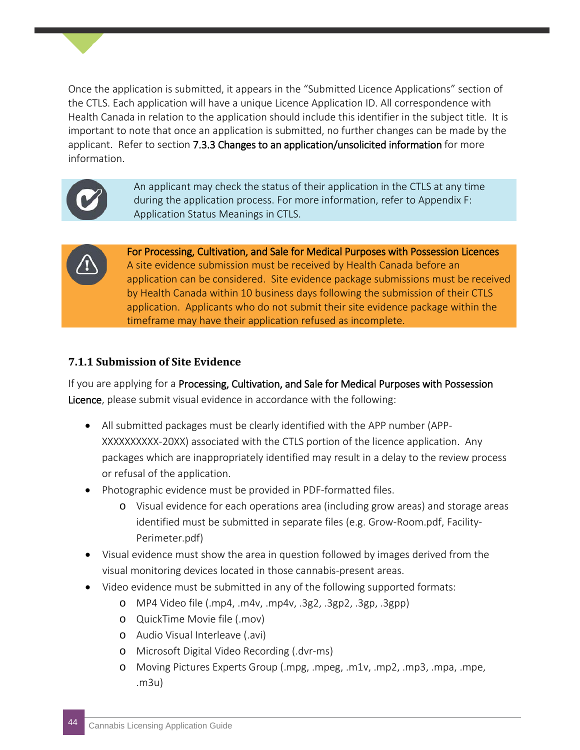Once the application is submitted, it appears in the "Submitted Licence Applications" section of the CTLS. Each application will have a unique Licence Application ID. All correspondence with Health Canada in relation to the application should include this identifier in the subject title. It is important to note that once an application is submitted, no further changes can be made by the applicant. Refer to section 7.3.3 Changes to an application/unsolicited information for more information.



An applicant may check the status of their application in the CTLS at any time during the application process. For more information, refer to Appendix F: Application Status Meanings in CTLS.



For Processing, Cultivation, and Sale for Medical Purposes with Possession Licences A site evidence submission must be received by Health Canada before an application can be considered. Site evidence package submissions must be received by Health Canada within 10 business days following the submission of their CTLS application. Applicants who do not submit their site evidence package within the timeframe may have their application refused as incomplete.

#### **7.1.1 Submission of Site Evidence**

If you are applying for a Processing, Cultivation, and Sale for Medical Purposes with Possession Licence, please submit visual evidence in accordance with the following:

- All submitted packages must be clearly identified with the APP number (APP-XXXXXXXXXX-20XX) associated with the CTLS portion of the licence application. Any packages which are inappropriately identified may result in a delay to the review process or refusal of the application.
- Photographic evidence must be provided in PDF-formatted files.
	- o Visual evidence for each operations area (including grow areas) and storage areas identified must be submitted in separate files (e.g. Grow-Room.pdf, Facility-Perimeter.pdf)
- Visual evidence must show the area in question followed by images derived from the visual monitoring devices located in those cannabis-present areas.
- Video evidence must be submitted in any of the following supported formats:
	- o MP4 Video file (.mp4, .m4v, .mp4v, .3g2, .3gp2, .3gp, .3gpp)
	- o QuickTime Movie file (.mov)
	- o Audio Visual Interleave (.avi)
	- o Microsoft Digital Video Recording (.dvr-ms)
	- o Moving Pictures Experts Group (.mpg, .mpeg, .m1v, .mp2, .mp3, .mpa, .mpe, .m3u)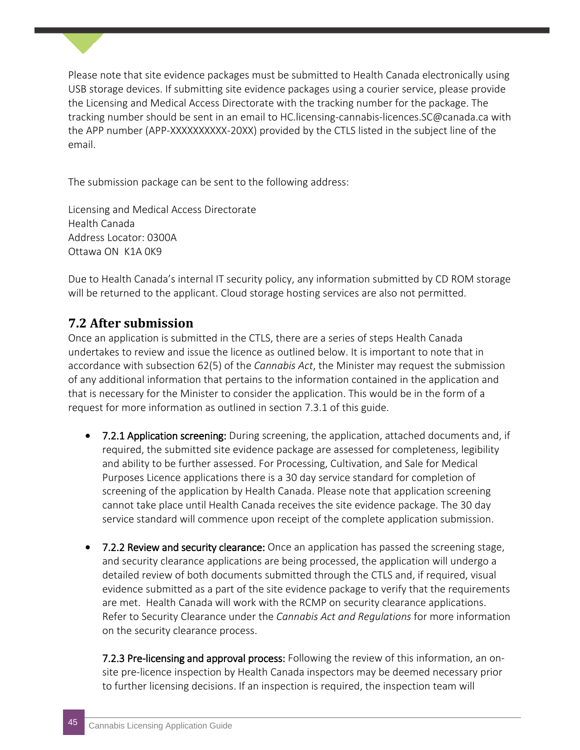Please note that site evidence packages must be submitted to Health Canada electronically using USB storage devices. If submitting site evidence packages using a courier service, please provide the Licensing and Medical Access Directorate with the tracking number for the package. The tracking number should be sent in an email to HC.licensing-cannabis-licences.SC@canada.ca with the APP number (APP-XXXXXXXXXX-20XX) provided by the CTLS listed in the subject line of the email.

The submission package can be sent to the following address:

Licensing and Medical Access Directorate Health Canada Address Locator: 0300A Ottawa ON K1A 0K9

Due to Health Canada's internal IT security policy, any information submitted by CD ROM storage will be returned to the applicant. Cloud storage hosting services are also not permitted.

#### **7.2 After submission**

Once an application is submitted in the CTLS, there are a series of steps Health Canada undertakes to review and issue the licence as outlined below. It is important to note that in accordance with subsection 62(5) of the *Cannabis Act*, the Minister may request the submission of any additional information that pertains to the information contained in the application and that is necessary for the Minister to consider the application. This would be in the form of a request for more information as outlined in section 7.3.1 of this guide.

- 7.2.1 Application screening: During screening, the application, attached documents and, if required, the submitted site evidence package are assessed for completeness, legibility and ability to be further assessed. For Processing, Cultivation, and Sale for Medical Purposes Licence applications there is a 30 day service standard for completion of screening of the application by Health Canada. Please note that application screening cannot take place until Health Canada receives the site evidence package. The 30 day service standard will commence upon receipt of the complete application submission.
- 7.2.2 Review and security clearance: Once an application has passed the screening stage, and security clearance applications are being processed, the application will undergo a detailed review of both documents submitted through the CTLS and, if required, visual evidence submitted as a part of the site evidence package to verify that the requirements are met. Health Canada will work with the RCMP on security clearance applications. Refer to Security Clearance under the *Cannabis Act and Regulations* for more information on the security clearance process.

7.2.3 Pre-licensing and approval process: Following the review of this information, an onsite pre-licence inspection by Health Canada inspectors may be deemed necessary prior to further licensing decisions. If an inspection is required, the inspection team will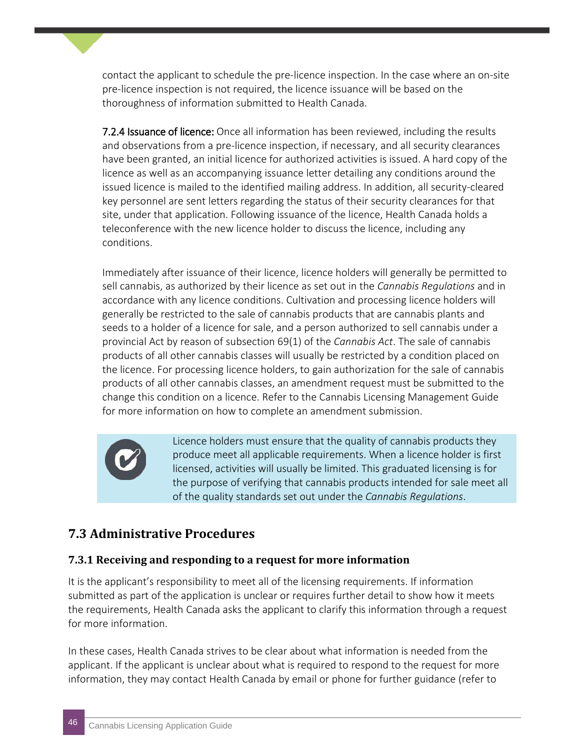contact the applicant to schedule the pre-licence inspection. In the case where an on-site pre-licence inspection is not required, the licence issuance will be based on the thoroughness of information submitted to Health Canada.

**7.2.4 Issuance of licence:** Once all information has been reviewed, including the results and observations from a pre-licence inspection, if necessary, and all security clearances have been granted, an initial licence for authorized activities is issued. A hard copy of the licence as well as an accompanying issuance letter detailing any conditions around the issued licence is mailed to the identified mailing address. In addition, all security-cleared key personnel are sent letters regarding the status of their security clearances for that site, under that application. Following issuance of the licence, Health Canada holds a teleconference with the new licence holder to discuss the licence, including any conditions.

Immediately after issuance of their licence, licence holders will generally be permitted to sell cannabis, as authorized by their licence as set out in the *Cannabis Regulations* and in accordance with any licence conditions. Cultivation and processing licence holders will generally be restricted to the sale of cannabis products that are cannabis plants and seeds to a holder of a licence for sale, and a person authorized to sell cannabis under a provincial Act by reason of subsection 69(1) of the *Cannabis Act*. The sale of cannabis products of all other cannabis classes will usually be restricted by a condition placed on the licence. For processing licence holders, to gain authorization for the sale of cannabis products of all other cannabis classes, an amendment request must be submitted to the change this condition on a licence. Refer to the Cannabis Licensing Management Guide for more information on how to complete an amendment submission.



Licence holders must ensure that the quality of cannabis products they produce meet all applicable requirements. When a licence holder is first licensed, activities will usually be limited. This graduated licensing is for the purpose of verifying that cannabis products intended for sale meet all of the quality standards set out under the *Cannabis Regulations*.

#### **7.3 Administrative Procedures**

#### **7.3.1 Receiving and responding to a request for more information**

It is the applicant's responsibility to meet all of the licensing requirements. If information submitted as part of the application is unclear or requires further detail to show how it meets the requirements, Health Canada asks the applicant to clarify this information through a request for more information.

In these cases, Health Canada strives to be clear about what information is needed from the applicant. If the applicant is unclear about what is required to respond to the request for more information, they may contact Health Canada by email or phone for further guidance (refer to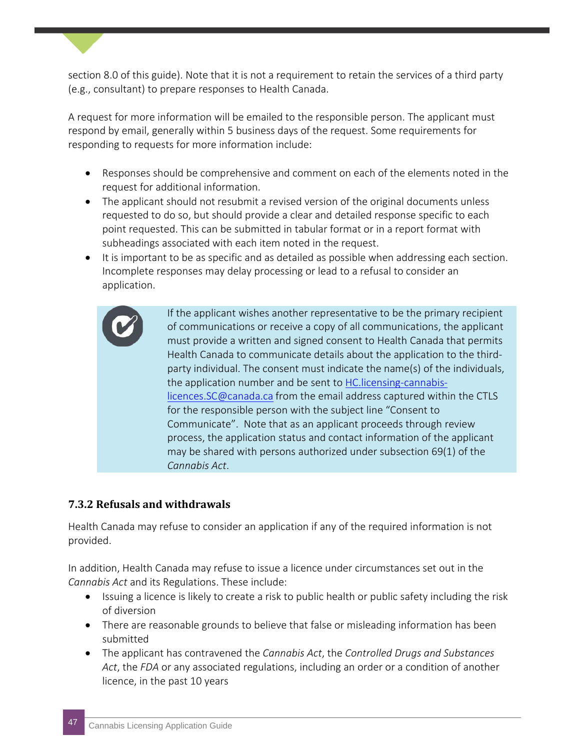section 8.0 of this guide). Note that it is not a requirement to retain the services of a third party (e.g., consultant) to prepare responses to Health Canada.

A request for more information will be emailed to the responsible person. The applicant must respond by email, generally within 5 business days of the request. Some requirements for responding to requests for more information include:

- Responses should be comprehensive and comment on each of the elements noted in the request for additional information.
- The applicant should not resubmit a revised version of the original documents unless requested to do so, but should provide a clear and detailed response specific to each point requested. This can be submitted in tabular format or in a report format with subheadings associated with each item noted in the request.
- It is important to be as specific and as detailed as possible when addressing each section. Incomplete responses may delay processing or lead to a refusal to consider an application.

If the applicant wishes another representative to be the primary recipient of communications or receive a copy of all communications, the applicant must provide a written and signed consent to Health Canada that permits Health Canada to communicate details about the application to the thirdparty individual. The consent must indicate the name(s) of the individuals, the application number and be sent to [HC.licensing-cannabis](mailto:HC.licensing-cannabis-licences.SC@canada.ca)[licences.SC@canada.ca](mailto:HC.licensing-cannabis-licences.SC@canada.ca) from the email address captured within the CTLS for the responsible person with the subject line "Consent to Communicate". Note that as an applicant proceeds through review process, the application status and contact information of the applicant may be shared with persons authorized under subsection 69(1) of the *Cannabis Act*.

#### **7.3.2 Refusals and withdrawals**

Health Canada may refuse to consider an application if any of the required information is not provided.

In addition, Health Canada may refuse to issue a licence under circumstances set out in the *Cannabis Act* and its Regulations. These include:

- Issuing a licence is likely to create a risk to public health or public safety including the risk of diversion
- There are reasonable grounds to believe that false or misleading information has been submitted
- The applicant has contravened the *Cannabis Act*, the *Controlled Drugs and Substances Act*, the *FDA* or any associated regulations, including an order or a condition of another licence, in the past 10 years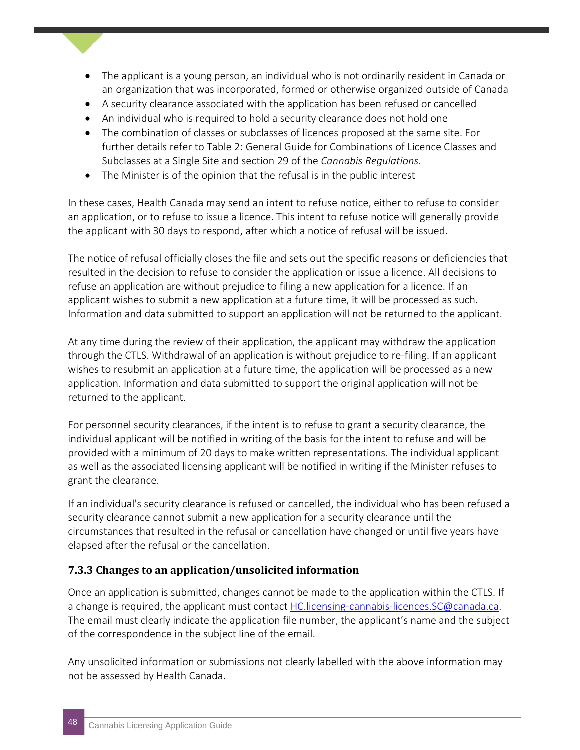- The applicant is a young person, an individual who is not ordinarily resident in Canada or an organization that was incorporated, formed or otherwise organized outside of Canada
- A security clearance associated with the application has been refused or cancelled
- An individual who is required to hold a security clearance does not hold one
- The combination of classes or subclasses of licences proposed at the same site. For further details refer to Table 2: General Guide for Combinations of Licence Classes and Subclasses at a Single Site and section 29 of the *Cannabis Regulations*.
- The Minister is of the opinion that the refusal is in the public interest

In these cases, Health Canada may send an intent to refuse notice, either to refuse to consider an application, or to refuse to issue a licence. This intent to refuse notice will generally provide the applicant with 30 days to respond, after which a notice of refusal will be issued.

The notice of refusal officially closes the file and sets out the specific reasons or deficiencies that resulted in the decision to refuse to consider the application or issue a licence. All decisions to refuse an application are without prejudice to filing a new application for a licence. If an applicant wishes to submit a new application at a future time, it will be processed as such. Information and data submitted to support an application will not be returned to the applicant.

At any time during the review of their application, the applicant may withdraw the application through the CTLS. Withdrawal of an application is without prejudice to re-filing. If an applicant wishes to resubmit an application at a future time, the application will be processed as a new application. Information and data submitted to support the original application will not be returned to the applicant.

For personnel security clearances, if the intent is to refuse to grant a security clearance, the individual applicant will be notified in writing of the basis for the intent to refuse and will be provided with a minimum of 20 days to make written representations. The individual applicant as well as the associated licensing applicant will be notified in writing if the Minister refuses to grant the clearance.

If an individual's security clearance is refused or cancelled, the individual who has been refused a security clearance cannot submit a new application for a security clearance until the circumstances that resulted in the refusal or cancellation have changed or until five years have elapsed after the refusal or the cancellation.

#### **7.3.3 Changes to an application/unsolicited information**

Once an application is submitted, changes cannot be made to the application within the CTLS. If a change is required, the applicant must contact [HC.licensing-cannabis-licences.SC@canada.ca.](mailto:HC.licensing-cannabis-licences.SC@canada.ca) The email must clearly indicate the application file number, the applicant's name and the subject of the correspondence in the subject line of the email.

Any unsolicited information or submissions not clearly labelled with the above information may not be assessed by Health Canada.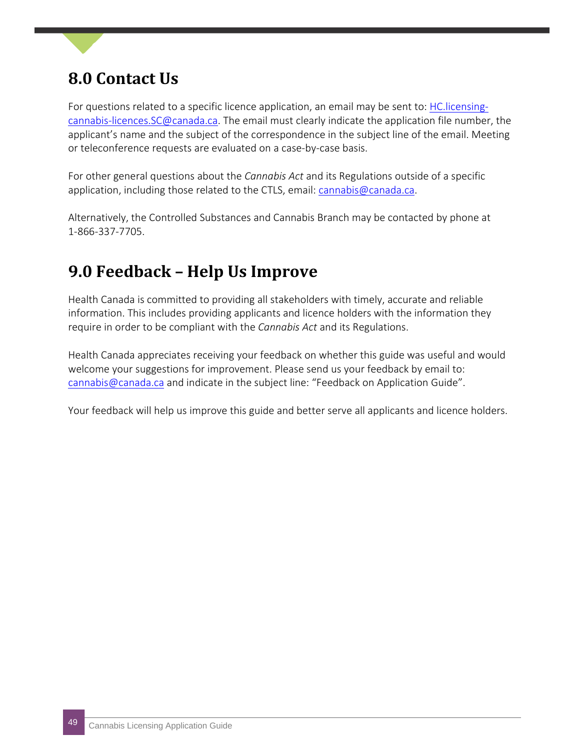### <span id="page-48-0"></span>**8.0 Contact Us**

For questions related to a specific licence application, an email may be sent to: [HC.licensing](mailto:HC.licensing-cannabis-licences.SC@canada.ca)[cannabis-licences.SC@canada.ca.](mailto:HC.licensing-cannabis-licences.SC@canada.ca) The email must clearly indicate the application file number, the applicant's name and the subject of the correspondence in the subject line of the email. Meeting or teleconference requests are evaluated on a case-by-case basis.

For other general questions about the *Cannabis Act* and its Regulations outside of a specific application, including those related to the CTLS, email: [cannabis@canada.ca.](mailto:cannabis@canada.ca)

Alternatively, the Controlled Substances and Cannabis Branch may be contacted by phone at 1-866-337-7705.

### <span id="page-48-1"></span>**9.0 Feedback – Help Us Improve**

Health Canada is committed to providing all stakeholders with timely, accurate and reliable information. This includes providing applicants and licence holders with the information they require in order to be compliant with the *Cannabis Act* and its Regulations.

Health Canada appreciates receiving your feedback on whether this guide was useful and would welcome your suggestions for improvement. Please send us your feedback by email to: [cannabis@canada.ca](mailto:cannabis@canada.ca) and indicate in the subject line: "Feedback on Application Guide".

Your feedback will help us improve this guide and better serve all applicants and licence holders.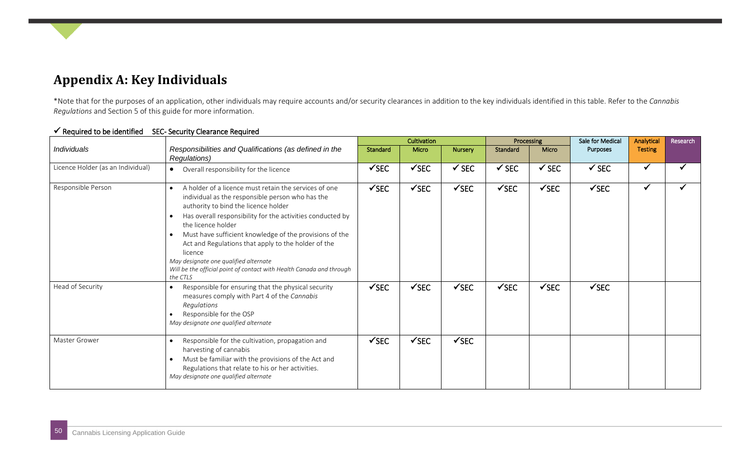### **Appendix A: Key Individuals**

\*Note that for the purposes of an application, other individuals may require accounts and/or security clearances in addition to the key individuals identified in this table. Refer to the *Cannabis Regulations* and Section 5 of this guide for more information.

<span id="page-49-0"></span>

|                                   |                                                                                                                                                                                                                                                                                                                                                                                                                                                                                                                                        |                  | Cultivation      |                  |                  |                  | Sale for Medical | Analytical     | Research |
|-----------------------------------|----------------------------------------------------------------------------------------------------------------------------------------------------------------------------------------------------------------------------------------------------------------------------------------------------------------------------------------------------------------------------------------------------------------------------------------------------------------------------------------------------------------------------------------|------------------|------------------|------------------|------------------|------------------|------------------|----------------|----------|
| Individuals                       | Responsibilities and Qualifications (as defined in the<br>Regulations)                                                                                                                                                                                                                                                                                                                                                                                                                                                                 | Standard         | Micro            | <b>Nursery</b>   | Standard         | Micro            | Purposes         | <b>Testing</b> |          |
| Licence Holder (as an Individual) | Overall responsibility for the licence<br>$\bullet$                                                                                                                                                                                                                                                                                                                                                                                                                                                                                    | $\checkmark$ SEC | $\checkmark$ SEC | $\checkmark$ SEC | $\checkmark$ SEC | $\checkmark$ SEC | $\checkmark$ SEC | $\checkmark$   |          |
| Responsible Person                | A holder of a licence must retain the services of one<br>$\bullet$<br>individual as the responsible person who has the<br>authority to bind the licence holder<br>Has overall responsibility for the activities conducted by<br>$\bullet$<br>the licence holder<br>Must have sufficient knowledge of the provisions of the<br>$\bullet$<br>Act and Regulations that apply to the holder of the<br>licence<br>May designate one qualified alternate<br>Will be the official point of contact with Health Canada and through<br>the CTLS | $\checkmark$ SEC | $\checkmark$ SEC | $\checkmark$ SEC | $\checkmark$ SEC | $\checkmark$ SEC | $\checkmark$ SEC | $\checkmark$   |          |
| Head of Security                  | Responsible for ensuring that the physical security<br>measures comply with Part 4 of the Cannabis<br>Regulations<br>Responsible for the OSP<br>May designate one qualified alternate                                                                                                                                                                                                                                                                                                                                                  | $\checkmark$ SEC | $\checkmark$ SEC | $\checkmark$ SEC | $\checkmark$ SEC | $\checkmark$ SEC | $\checkmark$ SEC |                |          |
| Master Grower                     | Responsible for the cultivation, propagation and<br>harvesting of cannabis<br>Must be familiar with the provisions of the Act and<br>Regulations that relate to his or her activities.<br>May designate one qualified alternate                                                                                                                                                                                                                                                                                                        | $\checkmark$ SEC | $\checkmark$ SEC | $\checkmark$ SEC |                  |                  |                  |                |          |

#### $\checkmark$  Required to be identified SEC- Security Clearance Required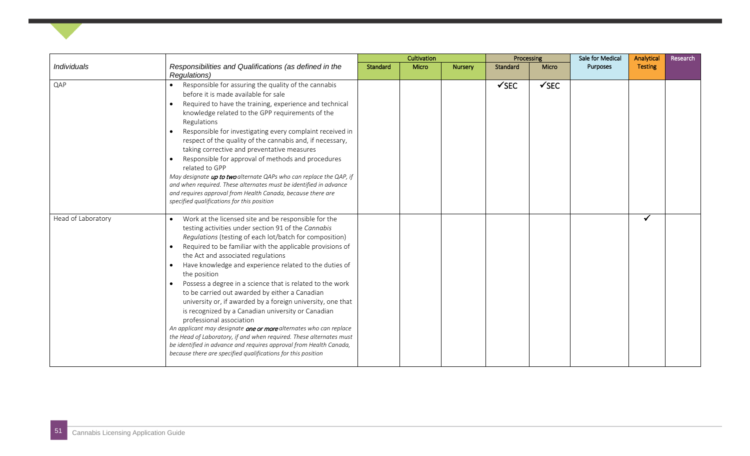|                    |                                                                                                                                                                                                                                                                                                                                                                                                                                                                                                                                                                                                                                                                                                                                                                                                                                                                                                                    | Cultivation |       |                | Processing       |                  | <b>Sale for Medical</b> | Analytical     | Research |
|--------------------|--------------------------------------------------------------------------------------------------------------------------------------------------------------------------------------------------------------------------------------------------------------------------------------------------------------------------------------------------------------------------------------------------------------------------------------------------------------------------------------------------------------------------------------------------------------------------------------------------------------------------------------------------------------------------------------------------------------------------------------------------------------------------------------------------------------------------------------------------------------------------------------------------------------------|-------------|-------|----------------|------------------|------------------|-------------------------|----------------|----------|
| <b>Individuals</b> | Responsibilities and Qualifications (as defined in the<br>Regulations)                                                                                                                                                                                                                                                                                                                                                                                                                                                                                                                                                                                                                                                                                                                                                                                                                                             | Standard    | Micro | <b>Nursery</b> | Standard         | Micro            | <b>Purposes</b>         | <b>Testing</b> |          |
| QAP                | Responsible for assuring the quality of the cannabis<br>$\bullet$<br>before it is made available for sale<br>Required to have the training, experience and technical<br>knowledge related to the GPP requirements of the<br>Regulations<br>Responsible for investigating every complaint received in<br>respect of the quality of the cannabis and, if necessary,<br>taking corrective and preventative measures<br>Responsible for approval of methods and procedures<br>related to GPP<br>May designate up to two alternate QAPs who can replace the QAP, if<br>and when required. These alternates must be identified in advance<br>and requires approval from Health Canada, because there are<br>specified qualifications for this position                                                                                                                                                                   |             |       |                | $\checkmark$ SEC | $\checkmark$ SEC |                         |                |          |
| Head of Laboratory | Work at the licensed site and be responsible for the<br>$\bullet$<br>testing activities under section 91 of the Cannabis<br>Regulations (testing of each lot/batch for composition)<br>Required to be familiar with the applicable provisions of<br>the Act and associated regulations<br>Have knowledge and experience related to the duties of<br>the position<br>Possess a degree in a science that is related to the work<br>to be carried out awarded by either a Canadian<br>university or, if awarded by a foreign university, one that<br>is recognized by a Canadian university or Canadian<br>professional association<br>An applicant may designate one or more alternates who can replace<br>the Head of Laboratory, if and when required. These alternates must<br>be identified in advance and requires approval from Health Canada,<br>because there are specified qualifications for this position |             |       |                |                  |                  |                         | $\checkmark$   |          |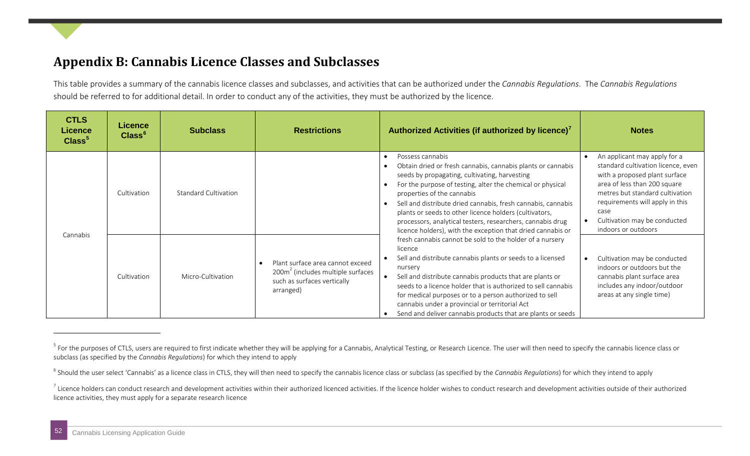### <span id="page-51-3"></span><span id="page-51-2"></span><span id="page-51-1"></span>**Appendix B: Cannabis Licence Classes and Subclasses**

This table provides a summary of the cannabis licence classes and subclasses, and activities that can be authorized under the *Cannabis Regulations*. The *Cannabis Regulations* should be referred to for additional detail. In order to conduct any of the activities, they must be authorized by the licence.

<span id="page-51-0"></span>

| <b>CTLS</b><br><b>Licence</b><br>Class <sup>5</sup> | <b>Licence</b><br>Class <sup>6</sup> | <b>Subclass</b>      | <b>Restrictions</b>                                                                                                                       | Authorized Activities (if authorized by licence) <sup>7</sup>                                                                                                                                                                                                                                                                                                                                                                                                                                    | <b>Notes</b>                                                                                                                                                                                                                                                             |
|-----------------------------------------------------|--------------------------------------|----------------------|-------------------------------------------------------------------------------------------------------------------------------------------|--------------------------------------------------------------------------------------------------------------------------------------------------------------------------------------------------------------------------------------------------------------------------------------------------------------------------------------------------------------------------------------------------------------------------------------------------------------------------------------------------|--------------------------------------------------------------------------------------------------------------------------------------------------------------------------------------------------------------------------------------------------------------------------|
| Cannabis                                            | Cultivation                          | Standard Cultivation |                                                                                                                                           | Possess cannabis<br>Obtain dried or fresh cannabis, cannabis plants or cannabis<br>seeds by propagating, cultivating, harvesting<br>For the purpose of testing, alter the chemical or physical<br>properties of the cannabis<br>Sell and distribute dried cannabis, fresh cannabis, cannabis<br>$\bullet$<br>plants or seeds to other licence holders (cultivators,<br>processors, analytical testers, researchers, cannabis drug<br>licence holders), with the exception that dried cannabis or | An applicant may apply for a<br>standard cultivation licence, even<br>with a proposed plant surface<br>area of less than 200 square<br>metres but standard cultivation<br>requirements will apply in this<br>case<br>Cultivation may be conducted<br>indoors or outdoors |
|                                                     | Cultivation                          | Micro-Cultivation    | Plant surface area cannot exceed<br>200 <sub>m</sub> <sup>2</sup> (includes multiple surfaces<br>such as surfaces vertically<br>arranged) | fresh cannabis cannot be sold to the holder of a nursery<br>licence<br>Sell and distribute cannabis plants or seeds to a licensed<br>nursery<br>Sell and distribute cannabis products that are plants or<br>seeds to a licence holder that is authorized to sell cannabis<br>for medical purposes or to a person authorized to sell<br>cannabis under a provincial or territorial Act<br>Send and deliver cannabis products that are plants or seeds                                             | Cultivation may be conducted<br>indoors or outdoors but the<br>cannabis plant surface area<br>includes any indoor/outdoor<br>areas at any single time)                                                                                                                   |

-

<sup>&</sup>lt;sup>5</sup> For the purposes of CTLS, users are required to first indicate whether they will be applying for a Cannabis, Analytical Testing, or Research Licence. The user will then need to specify the cannabis licence class or subclass (as specified by the *Cannabis Regulations*) for which they intend to apply

<sup>&</sup>lt;sup>6</sup> Should the user select 'Cannabis' as a licence class in CTLS, they will then need to specify the cannabis licence class or subclass (as specified by the *Cannabis Regulations*) for which they intend to apply

 $^7$  Licence holders can conduct research and development activities within their authorized licenced activities. If the licence holder wishes to conduct research and development activities outside of their authorized licence activities, they must apply for a separate research licence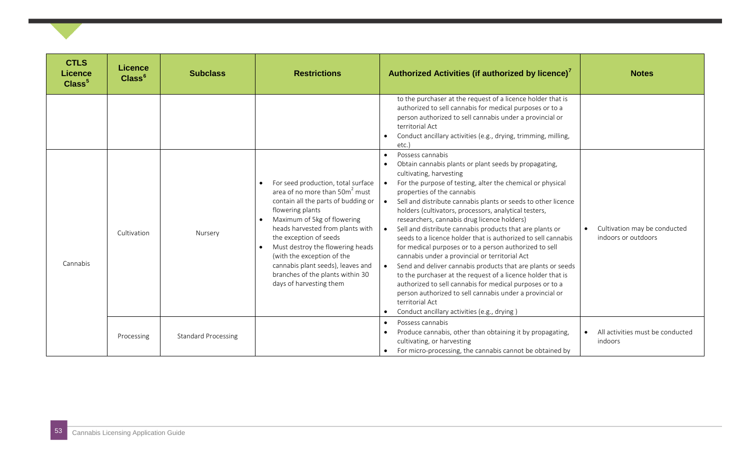| <b>CTLS</b><br><b>Licence</b><br>Class <sup>5</sup> | <b>Licence</b><br>Class <sup>6</sup> | <b>Subclass</b>            | <b>Restrictions</b>                                                                                                                                                                                                                                                                                                                                                                                            | Authorized Activities (if authorized by licence) <sup>7</sup>                                                                                                                                                                                                                                                                                                                                                                                                                                                                                                                                                                                                                                                                                                                                                                                                                                                                                                                                  | <b>Notes</b>                                        |
|-----------------------------------------------------|--------------------------------------|----------------------------|----------------------------------------------------------------------------------------------------------------------------------------------------------------------------------------------------------------------------------------------------------------------------------------------------------------------------------------------------------------------------------------------------------------|------------------------------------------------------------------------------------------------------------------------------------------------------------------------------------------------------------------------------------------------------------------------------------------------------------------------------------------------------------------------------------------------------------------------------------------------------------------------------------------------------------------------------------------------------------------------------------------------------------------------------------------------------------------------------------------------------------------------------------------------------------------------------------------------------------------------------------------------------------------------------------------------------------------------------------------------------------------------------------------------|-----------------------------------------------------|
|                                                     |                                      |                            |                                                                                                                                                                                                                                                                                                                                                                                                                | to the purchaser at the request of a licence holder that is<br>authorized to sell cannabis for medical purposes or to a<br>person authorized to sell cannabis under a provincial or<br>territorial Act<br>Conduct ancillary activities (e.g., drying, trimming, milling,<br>etc.)                                                                                                                                                                                                                                                                                                                                                                                                                                                                                                                                                                                                                                                                                                              |                                                     |
| Cannabis                                            | Cultivation                          | Nursery                    | For seed production, total surface<br>area of no more than 50m <sup>2</sup> must<br>contain all the parts of budding or<br>flowering plants<br>Maximum of 5kg of flowering<br>heads harvested from plants with<br>the exception of seeds<br>Must destroy the flowering heads<br>(with the exception of the<br>cannabis plant seeds), leaves and<br>branches of the plants within 30<br>days of harvesting them | Possess cannabis<br>$\bullet$<br>Obtain cannabis plants or plant seeds by propagating,<br>$\bullet$<br>cultivating, harvesting<br>For the purpose of testing, alter the chemical or physical<br>properties of the cannabis<br>Sell and distribute cannabis plants or seeds to other licence<br>$\bullet$<br>holders (cultivators, processors, analytical testers,<br>researchers, cannabis drug licence holders)<br>Sell and distribute cannabis products that are plants or<br>$\bullet$<br>seeds to a licence holder that is authorized to sell cannabis<br>for medical purposes or to a person authorized to sell<br>cannabis under a provincial or territorial Act<br>Send and deliver cannabis products that are plants or seeds<br>to the purchaser at the request of a licence holder that is<br>authorized to sell cannabis for medical purposes or to a<br>person authorized to sell cannabis under a provincial or<br>territorial Act<br>Conduct ancillary activities (e.g., drying) | Cultivation may be conducted<br>indoors or outdoors |
|                                                     | Processing                           | <b>Standard Processing</b> |                                                                                                                                                                                                                                                                                                                                                                                                                | Possess cannabis<br>$\bullet$<br>Produce cannabis, other than obtaining it by propagating,<br>$\bullet$<br>cultivating, or harvesting<br>For micro-processing, the cannabis cannot be obtained by                                                                                                                                                                                                                                                                                                                                                                                                                                                                                                                                                                                                                                                                                                                                                                                              | All activities must be conducted<br>indoors         |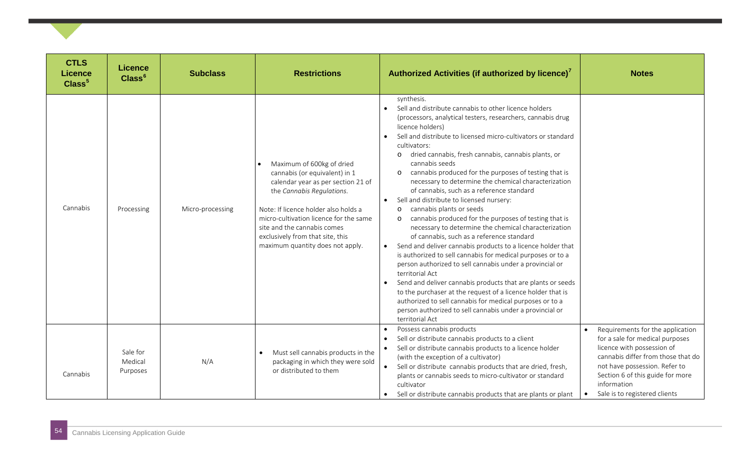| <b>CTLS</b><br><b>Licence</b><br>Class <sup>5</sup> | <b>Licence</b><br>Class <sup>6</sup> | <b>Subclass</b>  | <b>Restrictions</b>                                                                                                                                                                                                                                                                                                    | Authorized Activities (if authorized by licence) <sup>7</sup>                                                                                                                                                                                                                                                                                                                                                                                                                                                                                                                                                                                                                                                                                                                                                                                                                                                                                                                                                                                                                                                                                                                                                                                                                                 | <b>Notes</b>                                                                                                                                                                                                                                                 |
|-----------------------------------------------------|--------------------------------------|------------------|------------------------------------------------------------------------------------------------------------------------------------------------------------------------------------------------------------------------------------------------------------------------------------------------------------------------|-----------------------------------------------------------------------------------------------------------------------------------------------------------------------------------------------------------------------------------------------------------------------------------------------------------------------------------------------------------------------------------------------------------------------------------------------------------------------------------------------------------------------------------------------------------------------------------------------------------------------------------------------------------------------------------------------------------------------------------------------------------------------------------------------------------------------------------------------------------------------------------------------------------------------------------------------------------------------------------------------------------------------------------------------------------------------------------------------------------------------------------------------------------------------------------------------------------------------------------------------------------------------------------------------|--------------------------------------------------------------------------------------------------------------------------------------------------------------------------------------------------------------------------------------------------------------|
| Cannabis                                            | Processing                           | Micro-processing | Maximum of 600kg of dried<br>cannabis (or equivalent) in 1<br>calendar year as per section 21 of<br>the Cannabis Regulations.<br>Note: If licence holder also holds a<br>micro-cultivation licence for the same<br>site and the cannabis comes<br>exclusively from that site, this<br>maximum quantity does not apply. | synthesis.<br>Sell and distribute cannabis to other licence holders<br>(processors, analytical testers, researchers, cannabis drug<br>licence holders)<br>Sell and distribute to licensed micro-cultivators or standard<br>$\bullet$<br>cultivators:<br>dried cannabis, fresh cannabis, cannabis plants, or<br>$\circ$<br>cannabis seeds<br>cannabis produced for the purposes of testing that is<br>$\circ$<br>necessary to determine the chemical characterization<br>of cannabis, such as a reference standard<br>Sell and distribute to licensed nursery:<br>cannabis plants or seeds<br>$\circ$<br>cannabis produced for the purposes of testing that is<br>$\circ$<br>necessary to determine the chemical characterization<br>of cannabis, such as a reference standard<br>Send and deliver cannabis products to a licence holder that<br>$\bullet$<br>is authorized to sell cannabis for medical purposes or to a<br>person authorized to sell cannabis under a provincial or<br>territorial Act<br>Send and deliver cannabis products that are plants or seeds<br>$\bullet$<br>to the purchaser at the request of a licence holder that is<br>authorized to sell cannabis for medical purposes or to a<br>person authorized to sell cannabis under a provincial or<br>territorial Act |                                                                                                                                                                                                                                                              |
| Cannabis                                            | Sale for<br>Medical<br>Purposes      | N/A              | Must sell cannabis products in the<br>$\bullet$<br>packaging in which they were sold<br>or distributed to them                                                                                                                                                                                                         | Possess cannabis products<br>$\bullet$<br>Sell or distribute cannabis products to a client<br>$\bullet$<br>Sell or distribute cannabis products to a licence holder<br>$\bullet$<br>(with the exception of a cultivator)<br>Sell or distribute cannabis products that are dried, fresh,<br>$\bullet$<br>plants or cannabis seeds to micro-cultivator or standard<br>cultivator<br>Sell or distribute cannabis products that are plants or plant                                                                                                                                                                                                                                                                                                                                                                                                                                                                                                                                                                                                                                                                                                                                                                                                                                               | Requirements for the application<br>for a sale for medical purposes<br>licence with possession of<br>cannabis differ from those that do<br>not have possession. Refer to<br>Section 6 of this guide for more<br>information<br>Sale is to registered clients |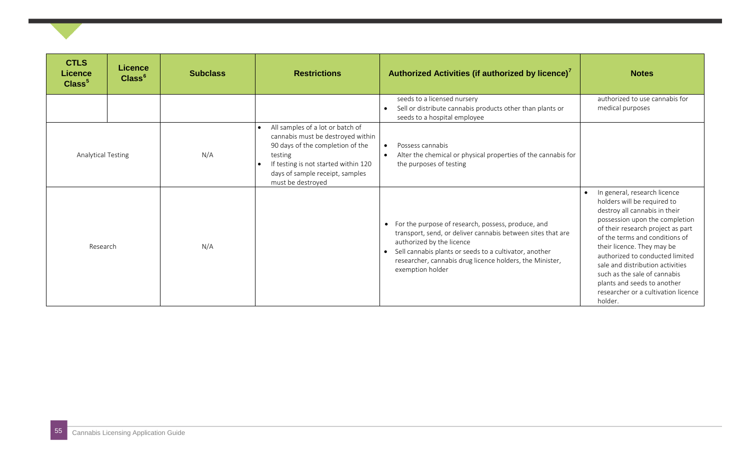| <b>CTLS</b><br><b>Licence</b><br>Class <sup>5</sup> | <b>Licence</b><br>Class <sup>6</sup> | <b>Subclass</b> | <b>Restrictions</b>                                                                                                                                                                                                               | Authorized Activities (if authorized by licence) <sup>7</sup>                                                                                                                                                                                                                                                      | <b>Notes</b>                                                                                                                                                                                                                                                                                                                                                                                                                |
|-----------------------------------------------------|--------------------------------------|-----------------|-----------------------------------------------------------------------------------------------------------------------------------------------------------------------------------------------------------------------------------|--------------------------------------------------------------------------------------------------------------------------------------------------------------------------------------------------------------------------------------------------------------------------------------------------------------------|-----------------------------------------------------------------------------------------------------------------------------------------------------------------------------------------------------------------------------------------------------------------------------------------------------------------------------------------------------------------------------------------------------------------------------|
|                                                     |                                      |                 |                                                                                                                                                                                                                                   | seeds to a licensed nursery<br>Sell or distribute cannabis products other than plants or<br>$\bullet$<br>seeds to a hospital employee                                                                                                                                                                              | authorized to use cannabis for<br>medical purposes                                                                                                                                                                                                                                                                                                                                                                          |
| <b>Analytical Testing</b>                           |                                      | N/A             | All samples of a lot or batch of<br>$\bullet$<br>cannabis must be destroyed within<br>90 days of the completion of the<br>testing<br>If testing is not started within 120<br>days of sample receipt, samples<br>must be destroyed | Possess cannabis<br>$\bullet$<br>Alter the chemical or physical properties of the cannabis for<br>$\bullet$<br>the purposes of testing                                                                                                                                                                             |                                                                                                                                                                                                                                                                                                                                                                                                                             |
| Research                                            |                                      | N/A             |                                                                                                                                                                                                                                   | For the purpose of research, possess, produce, and<br>$\bullet$<br>transport, send, or deliver cannabis between sites that are<br>authorized by the licence<br>Sell cannabis plants or seeds to a cultivator, another<br>$\bullet$<br>researcher, cannabis drug licence holders, the Minister,<br>exemption holder | In general, research licence<br>holders will be required to<br>destroy all cannabis in their<br>possession upon the completion<br>of their research project as part<br>of the terms and conditions of<br>their licence. They may be<br>authorized to conducted limited<br>sale and distribution activities<br>such as the sale of cannabis<br>plants and seeds to another<br>researcher or a cultivation licence<br>holder. |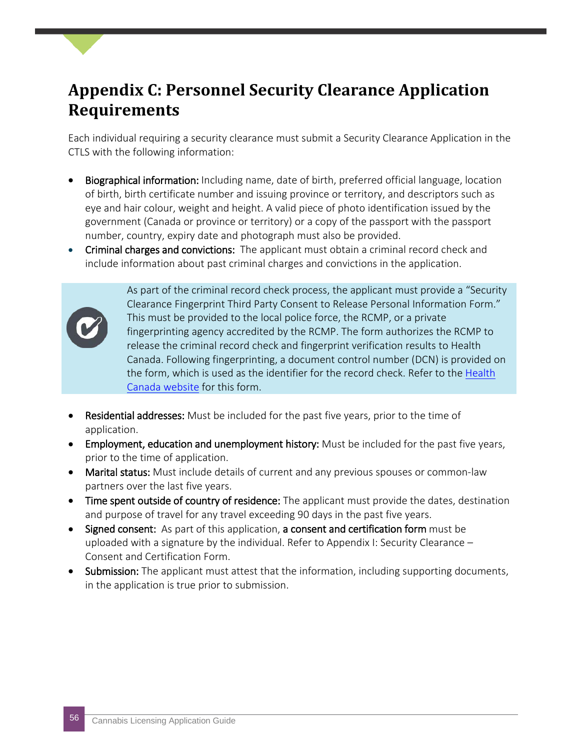### <span id="page-55-0"></span>**Appendix C: Personnel Security Clearance Application Requirements**

Each individual requiring a security clearance must submit a Security Clearance Application in the CTLS with the following information:

- Biographical information: Including name, date of birth, preferred official language, location of birth, birth certificate number and issuing province or territory, and descriptors such as eye and hair colour, weight and height. A valid piece of photo identification issued by the government (Canada or province or territory) or a copy of the passport with the passport number, country, expiry date and photograph must also be provided.
- Criminal charges and convictions: The applicant must obtain a criminal record check and include information about past criminal charges and convictions in the application.



As part of the criminal record check process, the applicant must provide a "Security Clearance Fingerprint Third Party Consent to Release Personal Information Form." This must be provided to the local police force, the RCMP, or a private fingerprinting agency accredited by the RCMP. The form authorizes the RCMP to release the criminal record check and fingerprint verification results to Health Canada. Following fingerprinting, a document control number (DCN) is provided on the form, which is used as the identifier for the record check. Refer to the <u>Health</u> [Canada website](https://www.canada.ca/en/health-canada/services/drugs-medication/cannabis/licensed-producers/security-clearance-fingerprint-third-party-consent-release-personal-information-access-cannabis.html) for this form.

- Residential addresses: Must be included for the past five years, prior to the time of application.
- Employment, education and unemployment history: Must be included for the past five years, prior to the time of application.
- Marital status: Must include details of current and any previous spouses or common-law partners over the last five years.
- Time spent outside of country of residence: The applicant must provide the dates, destination and purpose of travel for any travel exceeding 90 days in the past five years.
- Signed consent: As part of this application, a consent and certification form must be uploaded with a signature by the individual. Refer to Appendix I: Security Clearance – Consent and Certification Form.
- **Submission:** The applicant must attest that the information, including supporting documents, in the application is true prior to submission.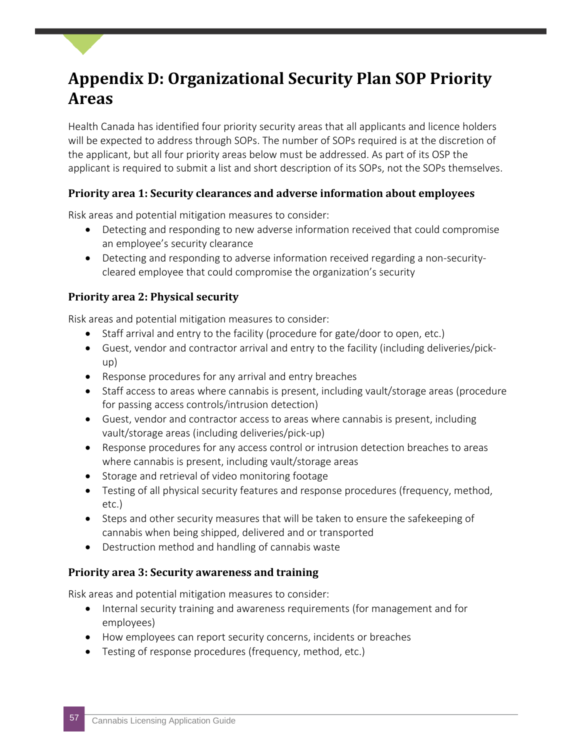### <span id="page-56-0"></span>**Appendix D: Organizational Security Plan SOP Priority Areas**

Health Canada has identified four priority security areas that all applicants and licence holders will be expected to address through SOPs. The number of SOPs required is at the discretion of the applicant, but all four priority areas below must be addressed. As part of its OSP the applicant is required to submit a list and short description of its SOPs, not the SOPs themselves.

#### **Priority area 1: Security clearances and adverse information about employees**

Risk areas and potential mitigation measures to consider:

- Detecting and responding to new adverse information received that could compromise an employee's security clearance
- Detecting and responding to adverse information received regarding a non-securitycleared employee that could compromise the organization's security

#### **Priority area 2: Physical security**

Risk areas and potential mitigation measures to consider:

- Staff arrival and entry to the facility (procedure for gate/door to open, etc.)
- Guest, vendor and contractor arrival and entry to the facility (including deliveries/pickup)
- Response procedures for any arrival and entry breaches
- Staff access to areas where cannabis is present, including vault/storage areas (procedure for passing access controls/intrusion detection)
- Guest, vendor and contractor access to areas where cannabis is present, including vault/storage areas (including deliveries/pick-up)
- Response procedures for any access control or intrusion detection breaches to areas where cannabis is present, including vault/storage areas
- Storage and retrieval of video monitoring footage
- Testing of all physical security features and response procedures (frequency, method, etc.)
- Steps and other security measures that will be taken to ensure the safekeeping of cannabis when being shipped, delivered and or transported
- Destruction method and handling of cannabis waste

#### **Priority area 3: Security awareness and training**

Risk areas and potential mitigation measures to consider:

- Internal security training and awareness requirements (for management and for employees)
- How employees can report security concerns, incidents or breaches
- Testing of response procedures (frequency, method, etc.)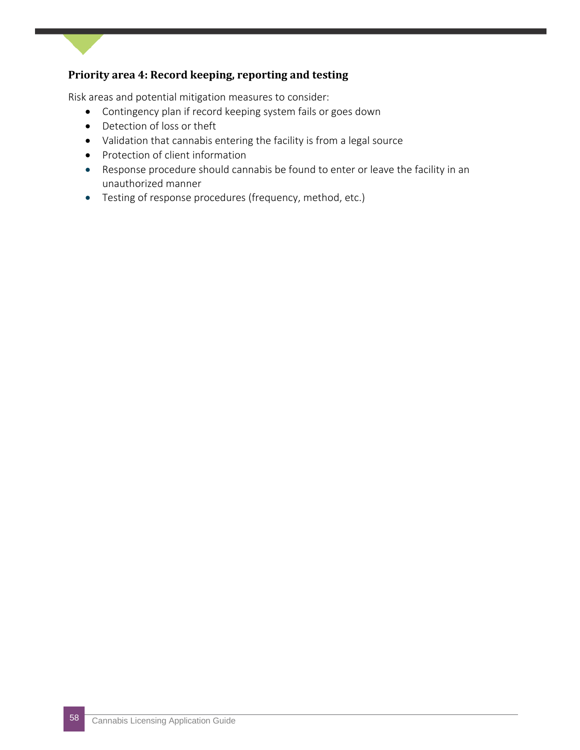#### **Priority area 4: Record keeping, reporting and testing**

Risk areas and potential mitigation measures to consider:

- Contingency plan if record keeping system fails or goes down
- Detection of loss or theft
- Validation that cannabis entering the facility is from a legal source
- Protection of client information
- Response procedure should cannabis be found to enter or leave the facility in an unauthorized manner
- Testing of response procedures (frequency, method, etc.)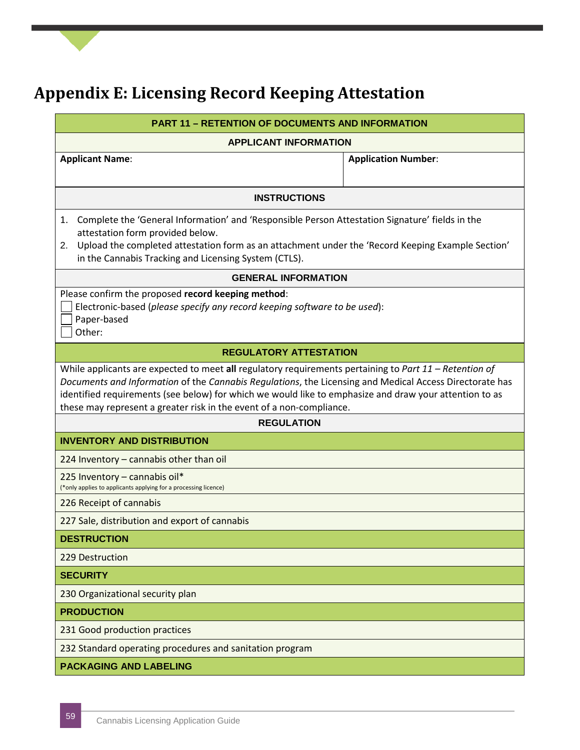### <span id="page-58-0"></span>**Appendix E: Licensing Record Keeping Attestation**

| <b>PART 11 - RETENTION OF DOCUMENTS AND INFORMATION</b>                                                                                                                                                                                                                                                                                                                                               |                            |  |  |  |
|-------------------------------------------------------------------------------------------------------------------------------------------------------------------------------------------------------------------------------------------------------------------------------------------------------------------------------------------------------------------------------------------------------|----------------------------|--|--|--|
| <b>APPLICANT INFORMATION</b>                                                                                                                                                                                                                                                                                                                                                                          |                            |  |  |  |
| <b>Applicant Name:</b>                                                                                                                                                                                                                                                                                                                                                                                | <b>Application Number:</b> |  |  |  |
|                                                                                                                                                                                                                                                                                                                                                                                                       |                            |  |  |  |
| <b>INSTRUCTIONS</b>                                                                                                                                                                                                                                                                                                                                                                                   |                            |  |  |  |
| Complete the 'General Information' and 'Responsible Person Attestation Signature' fields in the<br>1.<br>attestation form provided below.<br>Upload the completed attestation form as an attachment under the 'Record Keeping Example Section'<br>2.<br>in the Cannabis Tracking and Licensing System (CTLS).                                                                                         |                            |  |  |  |
| <b>GENERAL INFORMATION</b>                                                                                                                                                                                                                                                                                                                                                                            |                            |  |  |  |
| Please confirm the proposed record keeping method:<br>Electronic-based (please specify any record keeping software to be used):<br>Paper-based<br>Other:                                                                                                                                                                                                                                              |                            |  |  |  |
| <b>REGULATORY ATTESTATION</b>                                                                                                                                                                                                                                                                                                                                                                         |                            |  |  |  |
| While applicants are expected to meet all regulatory requirements pertaining to Part $11$ – Retention of<br>Documents and Information of the Cannabis Regulations, the Licensing and Medical Access Directorate has<br>identified requirements (see below) for which we would like to emphasize and draw your attention to as<br>these may represent a greater risk in the event of a non-compliance. |                            |  |  |  |
| <b>REGULATION</b>                                                                                                                                                                                                                                                                                                                                                                                     |                            |  |  |  |
| <b>INVENTORY AND DISTRIBUTION</b>                                                                                                                                                                                                                                                                                                                                                                     |                            |  |  |  |
| 224 Inventory - cannabis other than oil                                                                                                                                                                                                                                                                                                                                                               |                            |  |  |  |
| 225 Inventory - cannabis oil*<br>(*only applies to applicants applying for a processing licence)                                                                                                                                                                                                                                                                                                      |                            |  |  |  |
| 226 Receipt of cannabis                                                                                                                                                                                                                                                                                                                                                                               |                            |  |  |  |
| 227 Sale, distribution and export of cannabis                                                                                                                                                                                                                                                                                                                                                         |                            |  |  |  |
| <b>DESTRUCTION</b>                                                                                                                                                                                                                                                                                                                                                                                    |                            |  |  |  |
| 229 Destruction                                                                                                                                                                                                                                                                                                                                                                                       |                            |  |  |  |
| <b>SECURITY</b>                                                                                                                                                                                                                                                                                                                                                                                       |                            |  |  |  |
| 230 Organizational security plan                                                                                                                                                                                                                                                                                                                                                                      |                            |  |  |  |
| <b>PRODUCTION</b>                                                                                                                                                                                                                                                                                                                                                                                     |                            |  |  |  |
| 231 Good production practices                                                                                                                                                                                                                                                                                                                                                                         |                            |  |  |  |
| 232 Standard operating procedures and sanitation program                                                                                                                                                                                                                                                                                                                                              |                            |  |  |  |
| <b>PACKAGING AND LABELING</b>                                                                                                                                                                                                                                                                                                                                                                         |                            |  |  |  |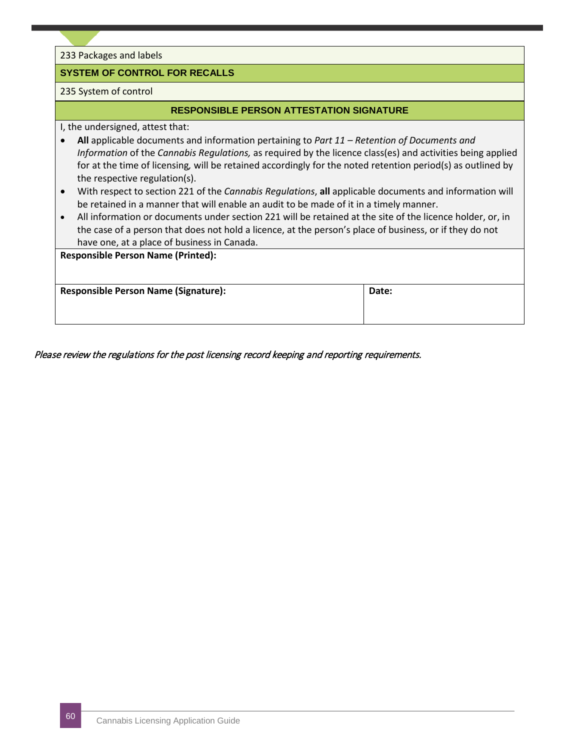233 Packages and labels

#### **SYSTEM OF CONTROL FOR RECALLS**

#### 235 System of control

#### **RESPONSIBLE PERSON ATTESTATION SIGNATURE**

I, the undersigned, attest that:

- **All** applicable documents and information pertaining to *Part 11 – Retention of Documents and Information* of the *Cannabis Regulations,* as required by the licence class(es) and activities being applied for at the time of licensing*,* will be retained accordingly for the noted retention period(s) as outlined by the respective regulation(s).
- With respect to section 221 of the *Cannabis Regulations*, **all** applicable documents and information will be retained in a manner that will enable an audit to be made of it in a timely manner.
- All information or documents under section 221 will be retained at the site of the licence holder, or, in the case of a person that does not hold a licence, at the person's place of business, or if they do not have one, at a place of business in Canada.

| <b>Responsible Person Name (Printed):</b>   |       |
|---------------------------------------------|-------|
| <b>Responsible Person Name (Signature):</b> | Date: |

Please review the regulations for the post licensing record keeping and reporting requirements.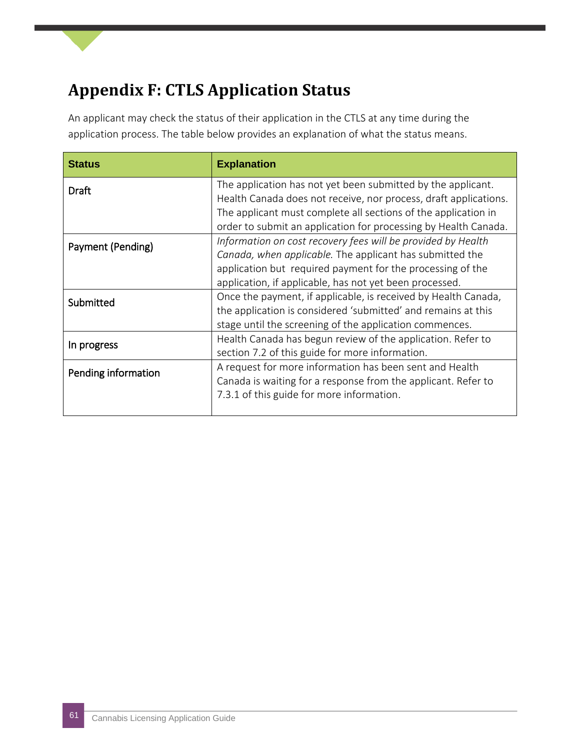### <span id="page-60-0"></span>**Appendix F: CTLS Application Status**

An applicant may check the status of their application in the CTLS at any time during the application process. The table below provides an explanation of what the status means.

| <b>Status</b>       | <b>Explanation</b>                                                                                                                                                                                                                                |
|---------------------|---------------------------------------------------------------------------------------------------------------------------------------------------------------------------------------------------------------------------------------------------|
| Draft               | The application has not yet been submitted by the applicant.<br>Health Canada does not receive, nor process, draft applications.                                                                                                                  |
|                     | The applicant must complete all sections of the application in<br>order to submit an application for processing by Health Canada.                                                                                                                 |
| Payment (Pending)   | Information on cost recovery fees will be provided by Health<br>Canada, when applicable. The applicant has submitted the<br>application but required payment for the processing of the<br>application, if applicable, has not yet been processed. |
| Submitted           | Once the payment, if applicable, is received by Health Canada,<br>the application is considered 'submitted' and remains at this<br>stage until the screening of the application commences.                                                        |
| In progress         | Health Canada has begun review of the application. Refer to<br>section 7.2 of this guide for more information.                                                                                                                                    |
| Pending information | A request for more information has been sent and Health<br>Canada is waiting for a response from the applicant. Refer to<br>7.3.1 of this guide for more information.                                                                             |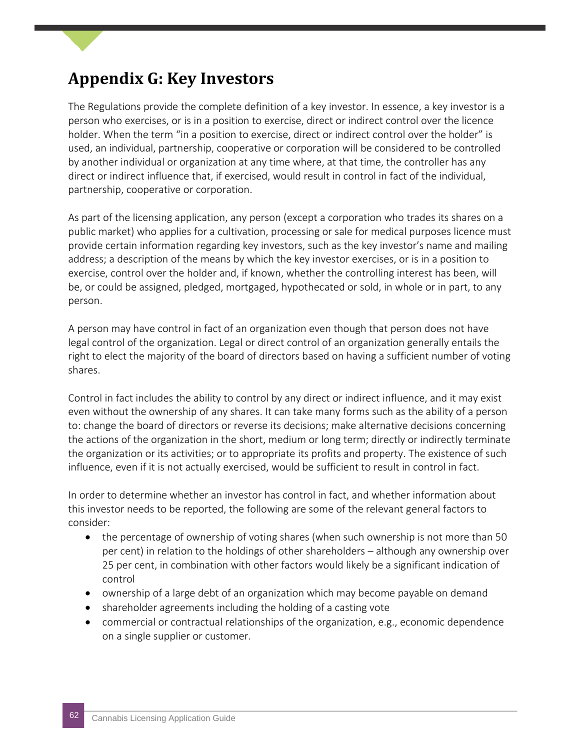### <span id="page-61-0"></span>**Appendix G: Key Investors**

The Regulations provide the complete definition of a key investor. In essence, a key investor is a person who exercises, or is in a position to exercise, direct or indirect control over the licence holder. When the term "in a position to exercise, direct or indirect control over the holder" is used, an individual, partnership, cooperative or corporation will be considered to be controlled by another individual or organization at any time where, at that time, the controller has any direct or indirect influence that, if exercised, would result in control in fact of the individual, partnership, cooperative or corporation.

As part of the licensing application, any person (except a corporation who trades its shares on a public market) who applies for a cultivation, processing or sale for medical purposes licence must provide certain information regarding key investors, such as the key investor's name and mailing address; a description of the means by which the key investor exercises, or is in a position to exercise, control over the holder and, if known, whether the controlling interest has been, will be, or could be assigned, pledged, mortgaged, hypothecated or sold, in whole or in part, to any person.

A person may have control in fact of an organization even though that person does not have legal control of the organization. Legal or direct control of an organization generally entails the right to elect the majority of the board of directors based on having a sufficient number of voting shares.

Control in fact includes the ability to control by any direct or indirect influence, and it may exist even without the ownership of any shares. It can take many forms such as the ability of a person to: change the board of directors or reverse its decisions; make alternative decisions concerning the actions of the organization in the short, medium or long term; directly or indirectly terminate the organization or its activities; or to appropriate its profits and property. The existence of such influence, even if it is not actually exercised, would be sufficient to result in control in fact.

In order to determine whether an investor has control in fact, and whether information about this investor needs to be reported, the following are some of the relevant general factors to consider:

- the percentage of ownership of voting shares (when such ownership is not more than 50 per cent) in relation to the holdings of other shareholders – although any ownership over 25 per cent, in combination with other factors would likely be a significant indication of control
- ownership of a large debt of an organization which may become payable on demand
- shareholder agreements including the holding of a casting vote
- commercial or contractual relationships of the organization, e.g., economic dependence on a single supplier or customer.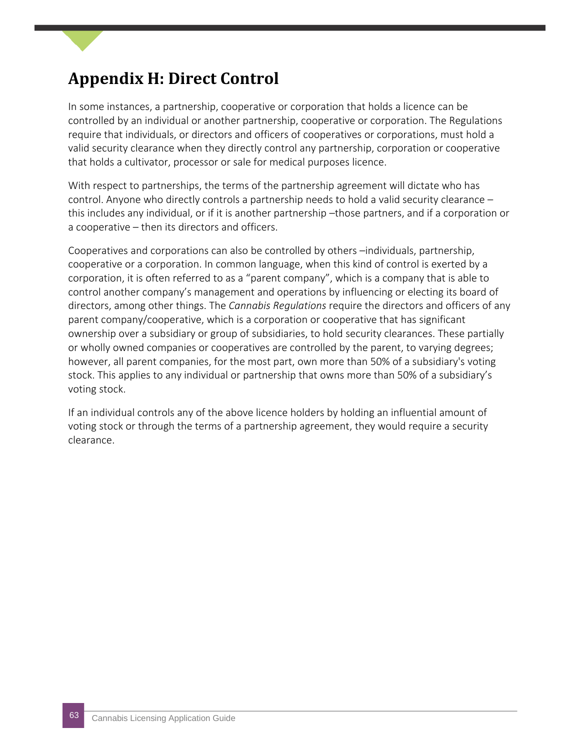### <span id="page-62-0"></span>**Appendix H: Direct Control**

In some instances, a partnership, cooperative or corporation that holds a licence can be controlled by an individual or another partnership, cooperative or corporation. The Regulations require that individuals, or directors and officers of cooperatives or corporations, must hold a valid security clearance when they directly control any partnership, corporation or cooperative that holds a cultivator, processor or sale for medical purposes licence.

With respect to partnerships, the terms of the partnership agreement will dictate who has control. Anyone who directly controls a partnership needs to hold a valid security clearance – this includes any individual, or if it is another partnership –those partners, and if a corporation or a cooperative – then its directors and officers.

Cooperatives and corporations can also be controlled by others –individuals, partnership, cooperative or a corporation. In common language, when this kind of control is exerted by a corporation, it is often referred to as a "parent company", which is a company that is able to control another company's management and operations by influencing or electing its board of directors, among other things. The *Cannabis Regulations* require the directors and officers of any parent company/cooperative, which is a corporation or cooperative that has significant ownership over a subsidiary or group of subsidiaries, to hold security clearances. These partially or wholly owned companies or cooperatives are controlled by the parent, to varying degrees; however, all parent companies, for the most part, own more than 50% of a subsidiary's voting stock. This applies to any individual or partnership that owns more than 50% of a subsidiary's voting stock.

If an individual controls any of the above licence holders by holding an influential amount of voting stock or through the terms of a partnership agreement, they would require a security clearance.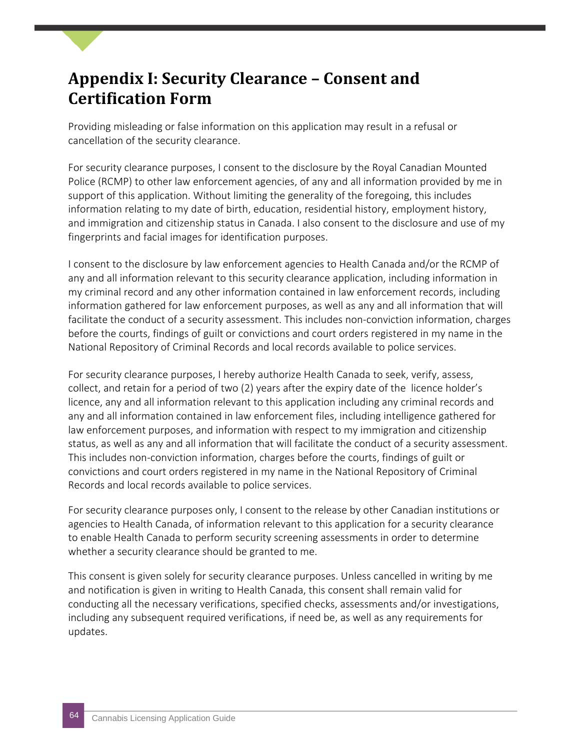### <span id="page-63-0"></span>**Appendix I: Security Clearance – Consent and Certification Form**

Providing misleading or false information on this application may result in a refusal or cancellation of the security clearance.

For security clearance purposes, I consent to the disclosure by the Royal Canadian Mounted Police (RCMP) to other law enforcement agencies, of any and all information provided by me in support of this application. Without limiting the generality of the foregoing, this includes information relating to my date of birth, education, residential history, employment history, and immigration and citizenship status in Canada. I also consent to the disclosure and use of my fingerprints and facial images for identification purposes.

I consent to the disclosure by law enforcement agencies to Health Canada and/or the RCMP of any and all information relevant to this security clearance application, including information in my criminal record and any other information contained in law enforcement records, including information gathered for law enforcement purposes, as well as any and all information that will facilitate the conduct of a security assessment. This includes non-conviction information, charges before the courts, findings of guilt or convictions and court orders registered in my name in the National Repository of Criminal Records and local records available to police services.

For security clearance purposes, I hereby authorize Health Canada to seek, verify, assess, collect, and retain for a period of two (2) years after the expiry date of the licence holder's licence, any and all information relevant to this application including any criminal records and any and all information contained in law enforcement files, including intelligence gathered for law enforcement purposes, and information with respect to my immigration and citizenship status, as well as any and all information that will facilitate the conduct of a security assessment. This includes non-conviction information, charges before the courts, findings of guilt or convictions and court orders registered in my name in the National Repository of Criminal Records and local records available to police services.

For security clearance purposes only, I consent to the release by other Canadian institutions or agencies to Health Canada, of information relevant to this application for a security clearance to enable Health Canada to perform security screening assessments in order to determine whether a security clearance should be granted to me.

This consent is given solely for security clearance purposes. Unless cancelled in writing by me and notification is given in writing to Health Canada, this consent shall remain valid for conducting all the necessary verifications, specified checks, assessments and/or investigations, including any subsequent required verifications, if need be, as well as any requirements for updates.